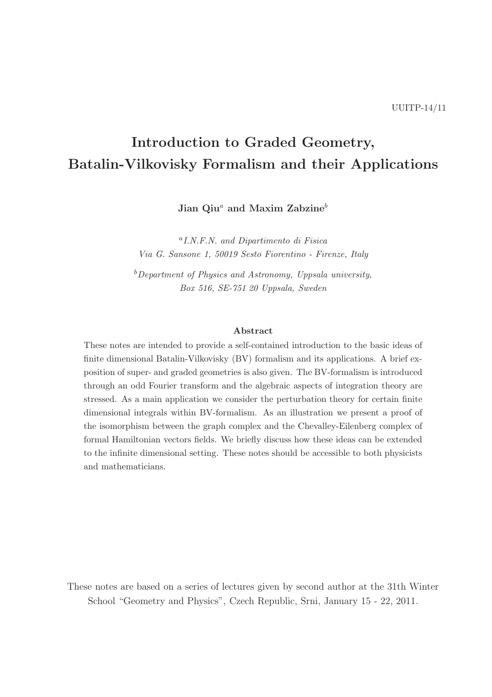# Introduction to Graded Geometry, Batalin-Vilkovisky Formalism and their Applications

Jian Qiu<sup>a</sup> and Maxim Zabzine<sup>b</sup>

a I.N.F.N. and Dipartimento di Fisica Via G. Sansone 1, 50019 Sesto Fiorentino - Firenze, Italy

 $b$ Department of Physics and Astronomy, Uppsala university, Box 516, SE-751 20 Uppsala, Sweden

#### Abstract

These notes are intended to provide a self-contained introduction to the basic ideas of finite dimensional Batalin-Vilkovisky (BV) formalism and its applications. A brief exposition of super- and graded geometries is also given. The BV-formalism is introduced through an odd Fourier transform and the algebraic aspects of integration theory are stressed. As a main application we consider the perturbation theory for certain finite dimensional integrals within BV-formalism. As an illustration we present a proof of the isomorphism between the graph complex and the Chevalley-Eilenberg complex of formal Hamiltonian vectors fields. We briefly discuss how these ideas can be extended to the infinite dimensional setting. These notes should be accessible to both physicists and mathematicians.

These notes are based on a series of lectures given by second author at the 31th Winter School "Geometry and Physics", Czech Republic, Srni, January 15 - 22, 2011.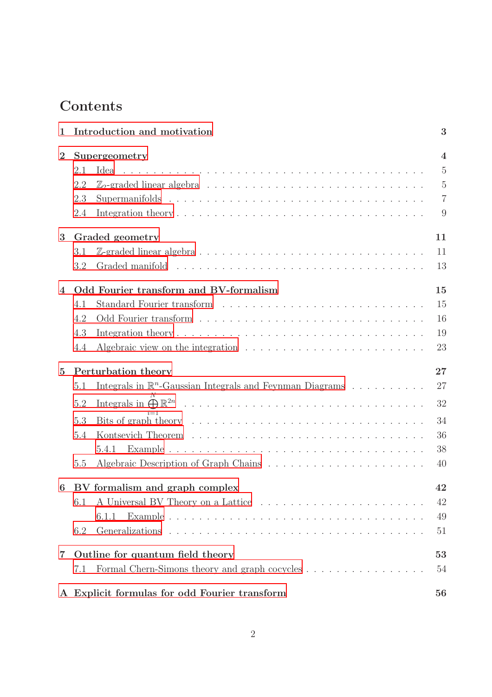# Contents

| $\mathbf{1}$            |                                        | Introduction and motivation                                                                 | 3              |
|-------------------------|----------------------------------------|---------------------------------------------------------------------------------------------|----------------|
| $\overline{2}$          | Supergeometry                          |                                                                                             |                |
|                         | 2.1                                    | Idea                                                                                        | $\overline{5}$ |
|                         | 2.2                                    |                                                                                             | $\overline{5}$ |
|                         | 2.3                                    |                                                                                             | $\overline{7}$ |
|                         | 2.4                                    |                                                                                             | 9              |
| 3                       | 11<br>Graded geometry                  |                                                                                             |                |
|                         | 3.1                                    |                                                                                             | 11             |
|                         | 3.2                                    |                                                                                             | 13             |
| $\overline{4}$          | Odd Fourier transform and BV-formalism |                                                                                             | 15             |
|                         | 4.1                                    |                                                                                             | 15             |
|                         | 4.2                                    |                                                                                             | 16             |
|                         | 4.3                                    |                                                                                             | 19             |
|                         | 4.4                                    | Algebraic view on the integration $\ldots \ldots \ldots \ldots \ldots \ldots \ldots \ldots$ | 23             |
| $\overline{5}$          | Perturbation theory                    |                                                                                             |                |
|                         | 5.1                                    | Integrals in $\mathbb{R}^n$ -Gaussian Integrals and Feynman Diagrams                        | 27             |
|                         | 5.2                                    |                                                                                             | 32             |
|                         | 5.3                                    |                                                                                             | 34             |
|                         | 5.4                                    |                                                                                             | 36             |
|                         |                                        | 5.4.1                                                                                       | 38             |
|                         | 5.5                                    |                                                                                             | 40             |
| 6                       | BV formalism and graph complex         |                                                                                             | 42             |
|                         | 6.1                                    |                                                                                             | 42             |
|                         |                                        | 6.1.1                                                                                       | 49             |
|                         | 6.2                                    |                                                                                             | 51             |
| $\overline{\mathbf{7}}$ | Outline for quantum field theory       |                                                                                             |                |
|                         | 7.1                                    | Formal Chern-Simons theory and graph cocycles                                               | 54             |
|                         |                                        | A Explicit formulas for odd Fourier transform                                               | 56             |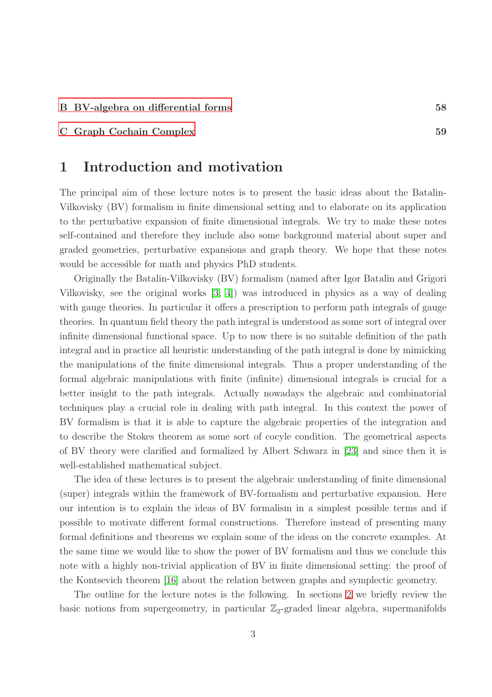### <span id="page-2-0"></span>[C Graph Cochain Complex](#page-58-0) 59

### 1 Introduction and motivation

The principal aim of these lecture notes is to present the basic ideas about the Batalin-Vilkovisky (BV) formalism in finite dimensional setting and to elaborate on its application to the perturbative expansion of finite dimensional integrals. We try to make these notes self-contained and therefore they include also some background material about super and graded geometries, perturbative expansions and graph theory. We hope that these notes would be accessible for math and physics PhD students.

Originally the Batalin-Vilkovisky (BV) formalism (named after Igor Batalin and Grigori Vilkovisky, see the original works [\[3,](#page-64-0) [4\]](#page-64-1)) was introduced in physics as a way of dealing with gauge theories. In particular it offers a prescription to perform path integrals of gauge theories. In quantum field theory the path integral is understood as some sort of integral over infinite dimensional functional space. Up to now there is no suitable definition of the path integral and in practice all heuristic understanding of the path integral is done by mimicking the manipulations of the finite dimensional integrals. Thus a proper understanding of the formal algebraic manipulations with finite (infinite) dimensional integrals is crucial for a better insight to the path integrals. Actually nowadays the algebraic and combinatorial techniques play a crucial role in dealing with path integral. In this context the power of BV formalism is that it is able to capture the algebraic properties of the integration and to describe the Stokes theorem as some sort of cocyle condition. The geometrical aspects of BV theory were clarified and formalized by Albert Schwarz in [\[23\]](#page-66-0) and since then it is well-established mathematical subject.

The idea of these lectures is to present the algebraic understanding of finite dimensional (super) integrals within the framework of BV-formalism and perturbative expansion. Here our intention is to explain the ideas of BV formalism in a simplest possible terms and if possible to motivate different formal constructions. Therefore instead of presenting many formal definitions and theorems we explain some of the ideas on the concrete examples. At the same time we would like to show the power of BV formalism and thus we conclude this note with a highly non-trivial application of BV in finite dimensional setting: the proof of the Kontsevich theorem [\[16\]](#page-65-0) about the relation between graphs and symplectic geometry.

The outline for the lecture notes is the following. In sections [2](#page-3-0) we briefly review the basic notions from supergeometry, in particular  $\mathbb{Z}_2$ -graded linear algebra, supermanifolds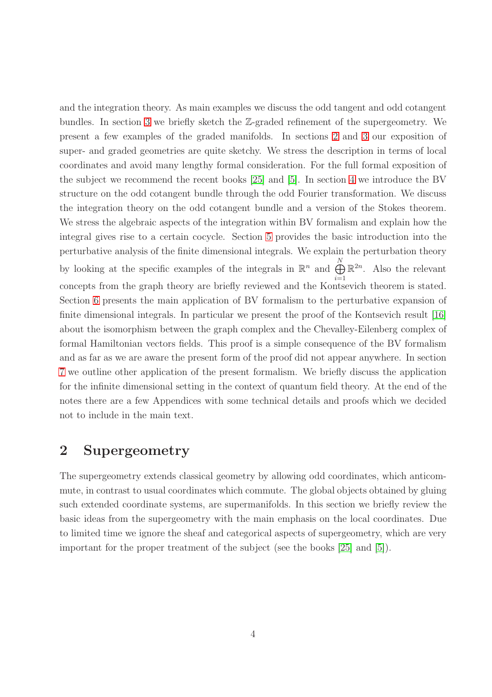and the integration theory. As main examples we discuss the odd tangent and odd cotangent bundles. In section [3](#page-10-0) we briefly sketch the Z-graded refinement of the supergeometry. We present a few examples of the graded manifolds. In sections [2](#page-3-0) and [3](#page-10-0) our exposition of super- and graded geometries are quite sketchy. We stress the description in terms of local coordinates and avoid many lengthy formal consideration. For the full formal exposition of the subject we recommend the recent books [\[25\]](#page-66-1) and [\[5\]](#page-65-1). In section [4](#page-14-0) we introduce the BV structure on the odd cotangent bundle through the odd Fourier transformation. We discuss the integration theory on the odd cotangent bundle and a version of the Stokes theorem. We stress the algebraic aspects of the integration within BV formalism and explain how the integral gives rise to a certain cocycle. Section [5](#page-26-0) provides the basic introduction into the perturbative analysis of the finite dimensional integrals. We explain the perturbation theory by looking at the specific examples of the integrals in  $\mathbb{R}^n$  and  $\bigoplus^N$  $i=1$  $\mathbb{R}^{2n}$ . Also the relevant concepts from the graph theory are briefly reviewed and the Kontsevich theorem is stated. Section [6](#page-41-0) presents the main application of BV formalism to the perturbative expansion of finite dimensional integrals. In particular we present the proof of the Kontsevich result [\[16\]](#page-65-0) about the isomorphism between the graph complex and the Chevalley-Eilenberg complex of formal Hamiltonian vectors fields. This proof is a simple consequence of the BV formalism and as far as we are aware the present form of the proof did not appear anywhere. In section [7](#page-52-0) we outline other application of the present formalism. We briefly discuss the application for the infinite dimensional setting in the context of quantum field theory. At the end of the notes there are a few Appendices with some technical details and proofs which we decided not to include in the main text.

# <span id="page-3-0"></span>2 Supergeometry

The supergeometry extends classical geometry by allowing odd coordinates, which anticommute, in contrast to usual coordinates which commute. The global objects obtained by gluing such extended coordinate systems, are supermanifolds. In this section we briefly review the basic ideas from the supergeometry with the main emphasis on the local coordinates. Due to limited time we ignore the sheaf and categorical aspects of supergeometry, which are very important for the proper treatment of the subject (see the books [\[25\]](#page-66-1) and [\[5\]](#page-65-1)).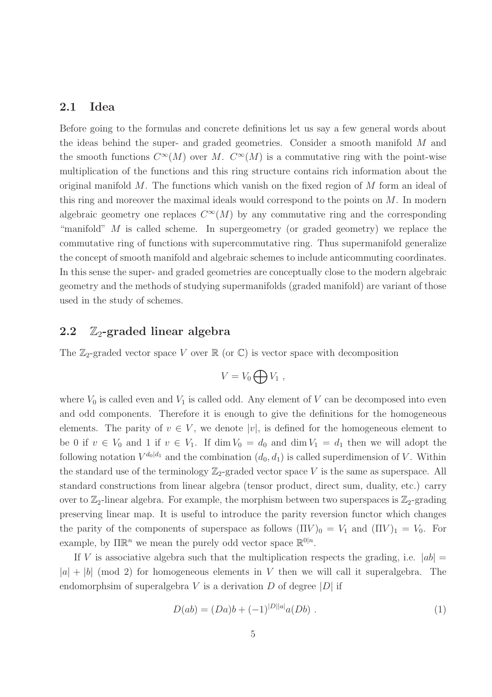### <span id="page-4-0"></span>2.1 Idea

Before going to the formulas and concrete definitions let us say a few general words about the ideas behind the super- and graded geometries. Consider a smooth manifold M and the smooth functions  $C^{\infty}(M)$  over M.  $C^{\infty}(M)$  is a commutative ring with the point-wise multiplication of the functions and this ring structure contains rich information about the original manifold M. The functions which vanish on the fixed region of M form an ideal of this ring and moreover the maximal ideals would correspond to the points on M. In modern algebraic geometry one replaces  $C^{\infty}(M)$  by any commutative ring and the corresponding "manifold"  $M$  is called scheme. In supergeometry (or graded geometry) we replace the commutative ring of functions with supercommutative ring. Thus supermanifold generalize the concept of smooth manifold and algebraic schemes to include anticommuting coordinates. In this sense the super- and graded geometries are conceptually close to the modern algebraic geometry and the methods of studying supermanifolds (graded manifold) are variant of those used in the study of schemes.

### <span id="page-4-1"></span>2.2  $\mathbb{Z}_2$ -graded linear algebra

The  $\mathbb{Z}_2$ -graded vector space V over  $\mathbb{R}$  (or  $\mathbb{C}$ ) is vector space with decomposition

$$
V = V_0 \bigoplus V_1 ,
$$

where  $V_0$  is called even and  $V_1$  is called odd. Any element of V can be decomposed into even and odd components. Therefore it is enough to give the definitions for the homogeneous elements. The parity of  $v \in V$ , we denote |v|, is defined for the homogeneous element to be 0 if  $v \in V_0$  and 1 if  $v \in V_1$ . If dim  $V_0 = d_0$  and dim  $V_1 = d_1$  then we will adopt the following notation  $V^{d_0|d_1}$  and the combination  $(d_0, d_1)$  is called superdimension of V. Within the standard use of the terminology  $\mathbb{Z}_2$ -graded vector space V is the same as superspace. All standard constructions from linear algebra (tensor product, direct sum, duality, etc.) carry over to  $\mathbb{Z}_2$ -linear algebra. For example, the morphism between two superspaces is  $\mathbb{Z}_2$ -grading preserving linear map. It is useful to introduce the parity reversion functor which changes the parity of the components of superspace as follows  $(\Pi V)_0 = V_1$  and  $(\Pi V)_1 = V_0$ . For example, by  $\Pi \mathbb{R}^n$  we mean the purely odd vector space  $\mathbb{R}^{0|n}$ .

If V is associative algebra such that the multiplication respects the grading, i.e.  $|ab| =$  $|a| + |b| \pmod{2}$  for homogeneous elements in V then we will call it superalgebra. The endomorphsim of superalgebra V is a derivation D of degree  $|D|$  if

<span id="page-4-2"></span>
$$
D(ab) = (Da)b + (-1)^{|D||a|}a(Db) .
$$
 (1)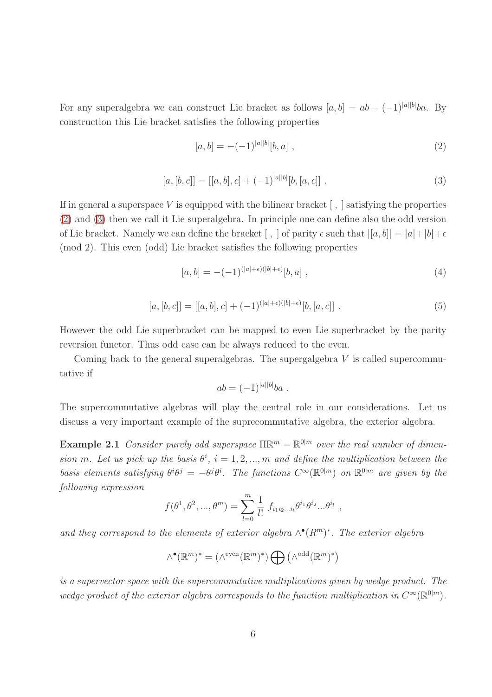For any superalgebra we can construct Lie bracket as follows  $[a, b] = ab - (-1)^{|a||b|}ba$ . By construction this Lie bracket satisfies the following properties

<span id="page-5-0"></span>
$$
[a,b] = -(-1)^{|a||b|}[b,a] \t{,}
$$
\t(2)

<span id="page-5-1"></span>
$$
[a,[b,c]] = [[a,b],c] + (-1)^{|a||b|}[b,[a,c]] . \qquad (3)
$$

If in general a superspace V is equipped with the bilinear bracket  $\lceil$ , satisfying the properties [\(2\)](#page-5-0) and [\(3\)](#page-5-1) then we call it Lie superalgebra. In principle one can define also the odd version of Lie bracket. Namely we can define the bracket  $\langle , \rangle$  of parity  $\epsilon$  such that  $|[a, b]| = |a| + |b| + \epsilon$ (mod 2). This even (odd) Lie bracket satisfies the following properties

<span id="page-5-2"></span>
$$
[a,b] = -(-1)^{(|a|+\epsilon)(|b|+\epsilon)}[b,a] \t{,}
$$
\t(4)

<span id="page-5-3"></span>
$$
[a,[b,c]] = [[a,b],c] + (-1)^{(|a|+\epsilon)(|b|+\epsilon)}[b,[a,c]] . \qquad (5)
$$

However the odd Lie superbracket can be mapped to even Lie superbracket by the parity reversion functor. Thus odd case can be always reduced to the even.

Coming back to the general superalgebras. The supergalgebra  $V$  is called supercommutative if

$$
ab = (-1)^{|a||b|}ba .
$$

The supercommutative algebras will play the central role in our considerations. Let us discuss a very important example of the suprecommutative algebra, the exterior algebra.

**Example 2.1** Consider purely odd superspace  $\Pi \mathbb{R}^m = \mathbb{R}^{0|m}$  over the real number of dimen*sion* m. Let us pick up the basis  $\theta^i$ ,  $i = 1, 2, ..., m$  and define the multiplication between the *basis elements satisfying*  $\theta^i \theta^j = -\theta^j \theta^i$ . The functions  $C^{\infty}(\mathbb{R}^{0|m})$  on  $\mathbb{R}^{0|m}$  are given by the *following expression*

$$
f(\theta^1, \theta^2, ..., \theta^m) = \sum_{l=0}^m \frac{1}{l!} f_{i_1 i_2 ... i_l} \theta^{i_1} \theta^{i_2} ... \theta^{i_l} ,
$$

and they correspond to the elements of exterior algebra  $\wedge^{\bullet}(R^m)^*$ . The exterior algebra

$$
\wedge^\bullet(\mathbb{R}^m)^*=(\wedge^\mathrm{even}(\mathbb{R}^m)^*)\bigoplus\left(\wedge^\mathrm{odd}(\mathbb{R}^m)^*\right)
$$

*is a supervector space with the supercommutative multiplications given by wedge product. The* wedge product of the exterior algebra corresponds to the function multiplication in  $C^{\infty}(\mathbb{R}^{0|m})$ .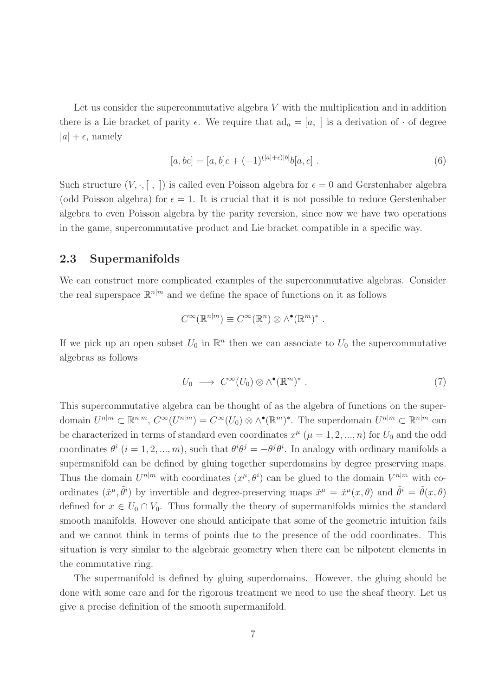Let us consider the supercommutative algebra V with the multiplication and in addition there is a Lie bracket of parity  $\epsilon$ . We require that  $ad_a = [a, \cdot]$  is a derivation of  $\cdot$  of degree  $|a| + \epsilon$ , namely

<span id="page-6-2"></span>
$$
[a, bc] = [a, b]c + (-1)^{(|a| + \epsilon)|b|}b[a, c] . \tag{6}
$$

Such structure  $(V, \cdot, [ , ])$  is called even Poisson algebra for  $\epsilon = 0$  and Gerstenhaber algebra (odd Poisson algebra) for  $\epsilon = 1$ . It is crucial that it is not possible to reduce Gerstenhaber algebra to even Poisson algebra by the parity reversion, since now we have two operations in the game, supercommutative product and Lie bracket compatible in a specific way.

### <span id="page-6-0"></span>2.3 Supermanifolds

We can construct more complicated examples of the supercommutative algebras. Consider the real superspace  $\mathbb{R}^{n|m}$  and we define the space of functions on it as follows

$$
C^{\infty}(\mathbb{R}^{n|m}) \equiv C^{\infty}(\mathbb{R}^n) \otimes \wedge^{\bullet}(\mathbb{R}^m)^* .
$$

If we pick up an open subset  $U_0$  in  $\mathbb{R}^n$  then we can associate to  $U_0$  the supercommutative algebras as follows

<span id="page-6-1"></span>
$$
U_0 \longrightarrow C^{\infty}(U_0) \otimes \wedge^{\bullet}(\mathbb{R}^m)^* \ . \tag{7}
$$

This supercommutative algebra can be thought of as the algebra of functions on the superdomain  $U^{n|m} \subset \mathbb{R}^{n|m}$ ,  $C^{\infty}(U^{n|m}) = C^{\infty}(U_0) \otimes \wedge^{\bullet}(\mathbb{R}^m)^*$ . The superdomain  $U^{n|m} \subset \mathbb{R}^{n|m}$  can be characterized in terms of standard even coordinates  $x^{\mu}$  ( $\mu = 1, 2, ..., n$ ) for  $U_0$  and the odd coordinates  $\theta^i$  ( $i = 1, 2, ..., m$ ), such that  $\theta^i \theta^j = -\theta^j \theta^i$ . In analogy with ordinary manifolds a supermanifold can be defined by gluing together superdomains by degree preserving maps. Thus the domain  $U^{n|m}$  with coordinates  $(x^{\mu}, \theta^i)$  can be glued to the domain  $V^{n|m}$  with coordinates  $(\tilde{x}^{\mu}, \tilde{\theta}^{i})$  by invertible and degree-preserving maps  $\tilde{x}^{\mu} = \tilde{x}^{\mu}(x, \theta)$  and  $\tilde{\theta}^{i} = \tilde{\theta}(x, \theta)$ defined for  $x \in U_0 \cap V_0$ . Thus formally the theory of supermanifolds mimics the standard smooth manifolds. However one should anticipate that some of the geometric intuition fails and we cannot think in terms of points due to the presence of the odd coordinates. This situation is very similar to the algebraic geometry when there can be nilpotent elements in the commutative ring.

The supermanifold is defined by gluing superdomains. However, the gluing should be done with some care and for the rigorous treatment we need to use the sheaf theory. Let us give a precise definition of the smooth supermanifold.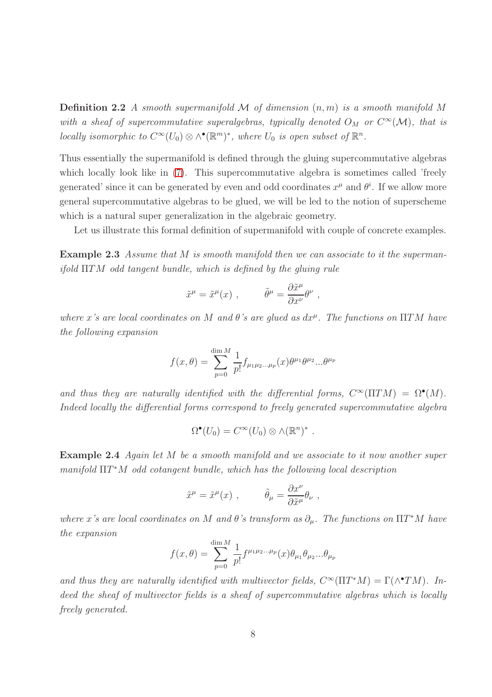Definition 2.2 *A smooth supermanifold* M *of dimension* (n, m) *is a smooth manifold* M with a sheaf of supercommutative superalgebras, typically denoted  $O_M$  or  $C^{\infty}(\mathcal{M})$ , that is *locally isomorphic to*  $C^{\infty}(U_0) \otimes \wedge^{\bullet}(\mathbb{R}^m)^*$ , where  $U_0$  *is open subset of*  $\mathbb{R}^n$ .

Thus essentially the supermanifold is defined through the gluing supercommutative algebras which locally look like in  $(7)$ . This supercommutative algebra is sometimes called 'freely generated' since it can be generated by even and odd coordinates  $x^{\mu}$  and  $\theta^{i}$ . If we allow more general supercommutative algebras to be glued, we will be led to the notion of superscheme which is a natural super generalization in the algebraic geometry.

<span id="page-7-0"></span>Let us illustrate this formal definition of supermanifold with couple of concrete examples.

Example 2.3 *Assume that* M *is smooth manifold then we can associate to it the supermanifold* ΠTM *odd tangent bundle, which is defined by the gluing rule*

$$
\tilde{x}^{\mu} = \tilde{x}^{\mu}(x) , \qquad \tilde{\theta}^{\mu} = \frac{\partial \tilde{x}^{\mu}}{\partial x^{\nu}} \theta^{\nu} ,
$$

 $where x's are local coordinates on M and \theta's are glued as dx^{\mu}$ . The functions on  $\Pi TM$  have *the following expansion*

$$
f(x,\theta) = \sum_{p=0}^{\dim M} \frac{1}{p!} f_{\mu_1 \mu_2 \dots \mu_p}(x) \theta^{\mu_1} \theta^{\mu_2} \dots \theta^{\mu_p}
$$

and thus they are naturally identified with the differential forms,  $C^{\infty}(\Pi TM) = \Omega^{\bullet}(M)$ . *Indeed locally the differential forms correspond to freely generated supercommutative algebra*

$$
\Omega^{\bullet}(U_0) = C^{\infty}(U_0) \otimes \wedge (\mathbb{R}^n)^* .
$$

<span id="page-7-1"></span>Example 2.4 *Again let* M *be a smooth manifold and we associate to it now another super manifold* ΠT <sup>∗</sup>M *odd cotangent bundle, which has the following local description*

$$
\tilde{x}^{\mu} = \tilde{x}^{\mu}(x) , \qquad \tilde{\theta}_{\mu} = \frac{\partial x^{\nu}}{\partial \tilde{x}^{\mu}} \theta_{\nu} ,
$$

*where* x's are local coordinates on M and  $\theta$ 's transform as  $\partial_{\mu}$ . The functions on  $\Pi T^*M$  have *the expansion*

$$
f(x,\theta) = \sum_{p=0}^{\dim M} \frac{1}{p!} f^{\mu_1 \mu_2 \dots \mu_p}(x) \theta_{\mu_1} \theta_{\mu_2} \dots \theta_{\mu_p}
$$

and thus they are naturally identified with multivector fields,  $C^{\infty}(\Pi T^*M) = \Gamma(\wedge^{\bullet} TM)$ . Indeed the sheaf of multivector fields is a sheaf of supercommutative algebras which is locally *freely generated.*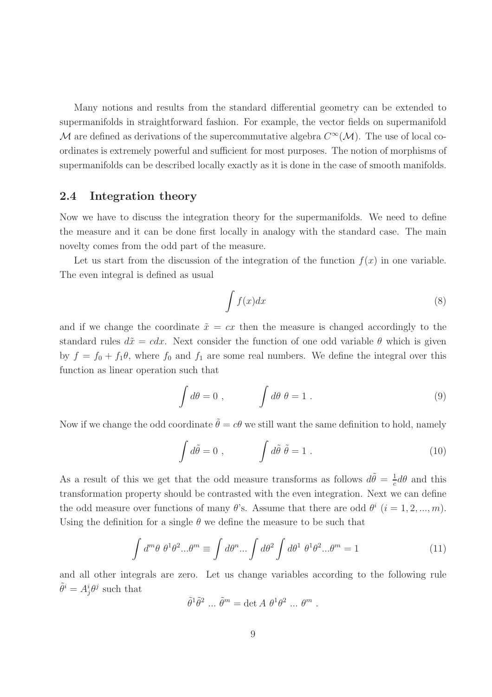Many notions and results from the standard differential geometry can be extended to supermanifolds in straightforward fashion. For example, the vector fields on supermanifold M are defined as derivations of the supercommutative algebra  $C^{\infty}(\mathcal{M})$ . The use of local coordinates is extremely powerful and sufficient for most purposes. The notion of morphisms of supermanifolds can be described locally exactly as it is done in the case of smooth manifolds.

### <span id="page-8-0"></span>2.4 Integration theory

Now we have to discuss the integration theory for the supermanifolds. We need to define the measure and it can be done first locally in analogy with the standard case. The main novelty comes from the odd part of the measure.

Let us start from the discussion of the integration of the function  $f(x)$  in one variable. The even integral is defined as usual

$$
\int f(x)dx\tag{8}
$$

and if we change the coordinate  $\tilde{x} = cx$  then the measure is changed accordingly to the standard rules  $d\tilde{x} = cdx$ . Next consider the function of one odd variable  $\theta$  which is given by  $f = f_0 + f_1 \theta$ , where  $f_0$  and  $f_1$  are some real numbers. We define the integral over this function as linear operation such that

$$
\int d\theta = 0 , \qquad \int d\theta \; \theta = 1 . \tag{9}
$$

Now if we change the odd coordinate  $\tilde{\theta} = c\theta$  we still want the same definition to hold, namely

$$
\int d\tilde{\theta} = 0 , \qquad \int d\tilde{\theta} \; \tilde{\theta} = 1 . \tag{10}
$$

As a result of this we get that the odd measure transforms as follows  $d\tilde{\theta} = \frac{1}{c}$  $\frac{1}{c}d\theta$  and this transformation property should be contrasted with the even integration. Next we can define the odd measure over functions of many  $\theta$ 's. Assume that there are odd  $\theta^{i}$   $(i = 1, 2, ..., m)$ . Using the definition for a single  $\theta$  we define the measure to be such that

$$
\int d^m \theta \; \theta^1 \theta^2 ... \theta^m \equiv \int d\theta^n ... \int d\theta^2 \int d\theta^1 \; \theta^1 \theta^2 ... \theta^m = 1 \tag{11}
$$

and all other integrals are zero. Let us change variables according to the following rule  $\tilde{\theta}^i = A^i_j \theta^j$  such that

$$
\tilde{\theta}^1 \tilde{\theta}^2 \dots \tilde{\theta}^m = \det A \theta^1 \theta^2 \dots \theta^m.
$$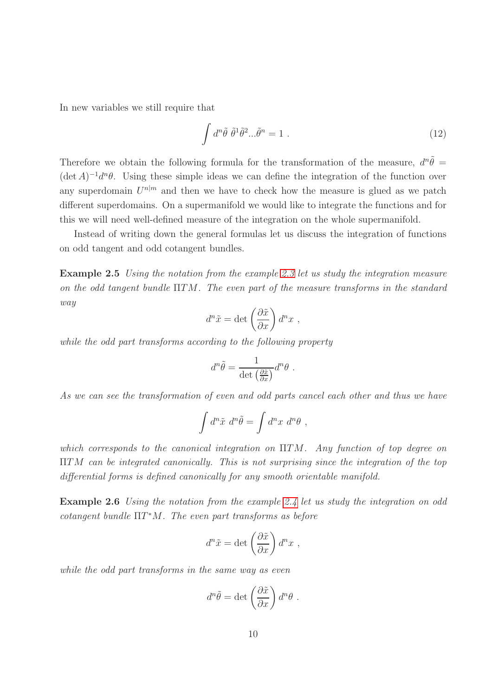In new variables we still require that

$$
\int d^n \tilde{\theta} \; \tilde{\theta}^1 \tilde{\theta}^2 \dots \tilde{\theta}^n = 1 \; . \tag{12}
$$

Therefore we obtain the following formula for the transformation of the measure,  $d^n\tilde{\theta}$  =  $(\det A)^{-1}d^{n}\theta$ . Using these simple ideas we can define the integration of the function over any superdomain  $U^{n|m}$  and then we have to check how the measure is glued as we patch different superdomains. On a supermanifold we would like to integrate the functions and for this we will need well-defined measure of the integration on the whole supermanifold.

<span id="page-9-0"></span>Instead of writing down the general formulas let us discuss the integration of functions on odd tangent and odd cotangent bundles.

Example 2.5 *Using the notation from the example [2.3](#page-7-0) let us study the integration measure on the odd tangent bundle* ΠTM*. The even part of the measure transforms in the standard way*

$$
d^n\tilde{x} = \det\left(\frac{\partial \tilde{x}}{\partial x}\right) d^n x ,
$$

*while the odd part transforms according to the following property*

$$
d^n\tilde{\theta} = \frac{1}{\det\left(\frac{\partial \tilde{x}}{\partial x}\right)}d^n\theta.
$$

*As we can see the transformation of even and odd parts cancel each other and thus we have*

$$
\int d^n \tilde{x} \ d^n \tilde{\theta} = \int d^n x \ d^n \theta \ ,
$$

*which corresponds to the canonical integration on* ΠTM*. Any function of top degree on* ΠTM *can be integrated canonically. This is not surprising since the integration of the top differential forms is defined canonically for any smooth orientable manifold.*

<span id="page-9-1"></span>Example 2.6 *Using the notation from the example [2.4](#page-7-1) let us study the integration on odd cotangent bundle* ΠT <sup>∗</sup>M*. The even part transforms as before*

$$
d^n\tilde{x} = \det\left(\frac{\partial \tilde{x}}{\partial x}\right) d^n x ,
$$

*while the odd part transforms in the same way as even*

$$
d^n\tilde{\theta} = \det\left(\frac{\partial \tilde{x}}{\partial x}\right)d^n\theta.
$$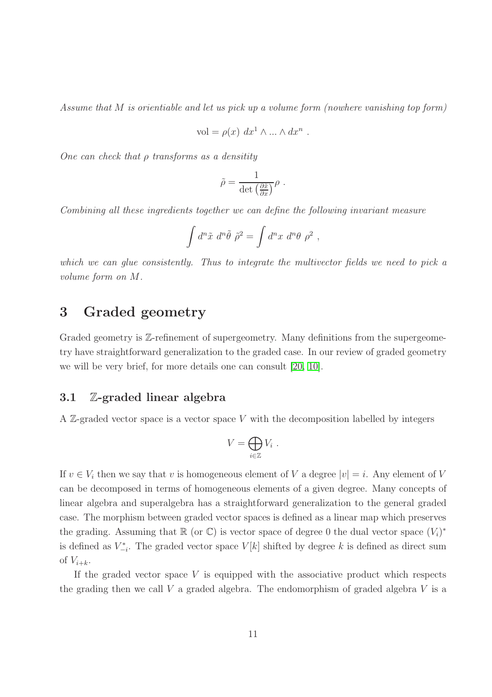*Assume that* M *is orientiable and let us pick up a volume form (nowhere vanishing top form)*

$$
\text{vol} = \rho(x) \, dx^1 \wedge \dots \wedge dx^n \ .
$$

*One can check that* ρ *transforms as a densitity*

$$
\tilde{\rho} = \frac{1}{\det\left(\frac{\partial \tilde{x}}{\partial x}\right)} \rho \ .
$$

*Combining all these ingredients together we can define the following invariant measure*

$$
\int d^n \tilde{x} d^n \tilde{\theta} \tilde{\rho}^2 = \int d^n x d^n \theta \rho^2 ,
$$

*which we can glue consistently. Thus to integrate the multivector fields we need to pick a volume form on* M*.*

# <span id="page-10-0"></span>3 Graded geometry

Graded geometry is Z-refinement of supergeometry. Many definitions from the supergeometry have straightforward generalization to the graded case. In our review of graded geometry we will be very brief, for more details one can consult [\[20,](#page-66-2) [10\]](#page-65-2).

### <span id="page-10-1"></span>3.1 Z-graded linear algebra

A  $\mathbb{Z}$ -graded vector space is a vector space V with the decomposition labelled by integers

$$
V=\bigoplus_{i\in\mathbb{Z}}V_i.
$$

If  $v \in V_i$  then we say that v is homogeneous element of V a degree  $|v|=i$ . Any element of V can be decomposed in terms of homogeneous elements of a given degree. Many concepts of linear algebra and superalgebra has a straightforward generalization to the general graded case. The morphism between graded vector spaces is defined as a linear map which preserves the grading. Assuming that  $\mathbb R$  (or  $\mathbb C$ ) is vector space of degree 0 the dual vector space  $(V_i)^*$ is defined as  $V_{-i}^*$ . The graded vector space  $V[k]$  shifted by degree k is defined as direct sum of  $V_{i+k}$ .

If the graded vector space  $V$  is equipped with the associative product which respects the grading then we call  $V$  a graded algebra. The endomorphism of graded algebra  $V$  is a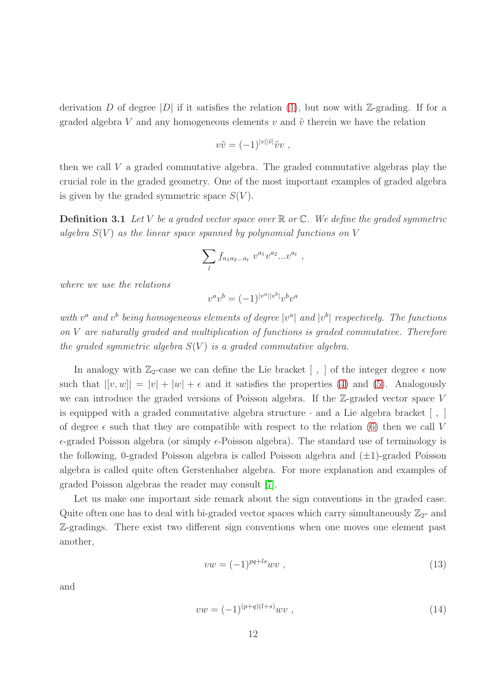derivation D of degree |D| if it satisfies the relation [\(1\)](#page-4-2), but now with  $\mathbb{Z}$ -grading. If for a graded algebra V and any homogeneous elements v and  $\tilde{v}$  therein we have the relation

$$
v\tilde{v} = (-1)^{|v||\tilde{v}|} \tilde{v}v ,
$$

<span id="page-11-0"></span>then we call V a graded commutative algebra. The graded commutative algebras play the crucial role in the graded geometry. One of the most important examples of graded algebra is given by the graded symmetric space  $S(V)$ .

Definition 3.1 *Let* V *be a graded vector space over* R *or* C*. We define the graded symmetric algebra*  $S(V)$  *as the linear space spanned by polynomial functions on* V

$$
\sum_{l} f_{a_1 a_2 \dots a_l} \ v^{a_1} v^{a_2} \dots v^{a_l} \ ,
$$

*where we use the relations*

$$
v^av^b=(-1)^{|v^a||v^b|}v^bv^a\\
$$

 $with v^a$  and  $v^b$  being homogeneous elements of degree  $|v^a|$  and  $|v^b|$  respectively. The functions *on* V *are naturally graded and multiplication of functions is graded commutative. Therefore the graded symmetric algebra*  $S(V)$  *is a graded commutative algebra.* 

In analogy with  $\mathbb{Z}_2$ -case we can define the Lie bracket  $\lceil \cdot, \cdot \rceil$  of the integer degree  $\epsilon$  now such that  $|[v, w]| = |v| + |w| + \epsilon$  and it satisfies the properties [\(4\)](#page-5-2) and [\(5\)](#page-5-3). Analogously we can introduce the graded versions of Poisson algebra. If the  $\mathbb{Z}$ -graded vector space V is equipped with a graded commutative algebra structure  $\cdot$  and a Lie algebra bracket  $\lceil \cdot, \cdot \rceil$ of degree  $\epsilon$  such that they are compatible with respect to the relation [\(6\)](#page-6-2) then we call V  $\epsilon$ -graded Poisson algebra (or simply  $\epsilon$ -Poisson algebra). The standard use of terminology is the following, 0-graded Poisson algebra is called Poisson algebra and  $(\pm 1)$ -graded Poisson algebra is called quite often Gerstenhaber algebra. For more explanation and examples of graded Poisson algebras the reader may consult [\[7\]](#page-65-3).

Let us make one important side remark about the sign conventions in the graded case. Quite often one has to deal with bi-graded vector spaces which carry simultaneously  $\mathbb{Z}_2$ - and Z-gradings. There exist two different sign conventions when one moves one element past another,

$$
vw = (-1)^{pq+ls} wv , \qquad (13)
$$

and

$$
vw = (-1)^{(p+q)(l+s)} wv , \t\t(14)
$$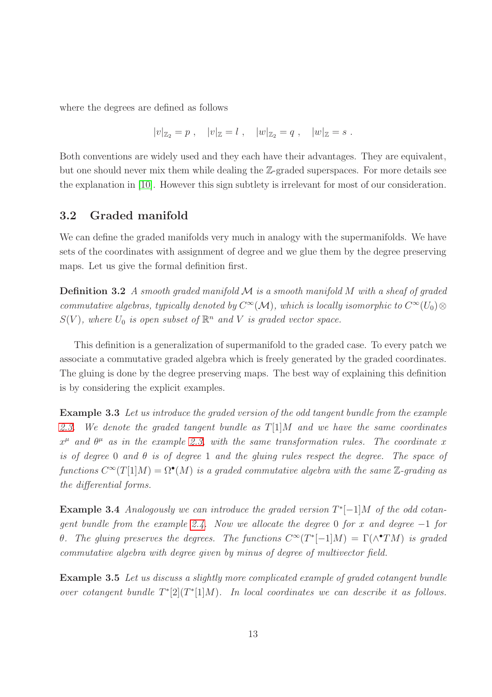where the degrees are defined as follows

$$
|v|_{\mathbb{Z}_2} = p
$$
,  $|v|_{\mathbb{Z}} = l$ ,  $|w|_{\mathbb{Z}_2} = q$ ,  $|w|_{\mathbb{Z}} = s$ .

Both conventions are widely used and they each have their advantages. They are equivalent, but one should never mix them while dealing the Z-graded superspaces. For more details see the explanation in [\[10\]](#page-65-2). However this sign subtlety is irrelevant for most of our consideration.

### <span id="page-12-0"></span>3.2 Graded manifold

We can define the graded manifolds very much in analogy with the supermanifolds. We have sets of the coordinates with assignment of degree and we glue them by the degree preserving maps. Let us give the formal definition first.

Definition 3.2 *A smooth graded manifold* M *is a smooth manifold* M *with a sheaf of graded commutative algebras, typically denoted by*  $C^{\infty}(\mathcal{M})$ *, which is locally isomorphic to*  $C^{\infty}(U_0) \otimes$  $S(V)$ , where  $U_0$  is open subset of  $\mathbb{R}^n$  and V is graded vector space.

This definition is a generalization of supermanifold to the graded case. To every patch we associate a commutative graded algebra which is freely generated by the graded coordinates. The gluing is done by the degree preserving maps. The best way of explaining this definition is by considering the explicit examples.

<span id="page-12-1"></span>Example 3.3 *Let us introduce the graded version of the odd tangent bundle from the example [2.3.](#page-7-0) We denote the graded tangent bundle as* T[1]M *and we have the same coordinates*  $x^{\mu}$  and  $\theta^{\mu}$  as in the example [2.3,](#page-7-0) with the same transformation rules. The coordinate x *is of degree* 0 *and* θ *is of degree* 1 *and the gluing rules respect the degree. The space of*  $functions C^{\infty}(T[1]M) = \Omega^{\bullet}(M)$  *is a graded commutative algebra with the same* Z-grading as *the differential forms.*

Example 3.4 *Analogously we can introduce the graded version* T ∗ [−1]M *of the odd cotangent bundle from the example [2.4.](#page-7-1) Now we allocate the degree* 0 *for* x *and degree* −1 *for θ.* The gluing preserves the degrees. The functions  $C^{\infty}(T^{*}[-1]M) = \Gamma(\wedge^{•}TM)$  is graded *commutative algebra with degree given by minus of degree of multivector field.*

Example 3.5 *Let us discuss a slightly more complicated example of graded cotangent bundle over cotangent bundle*  $T^*[2](T^*[1]M)$ *. In local coordinates we can describe it as follows.*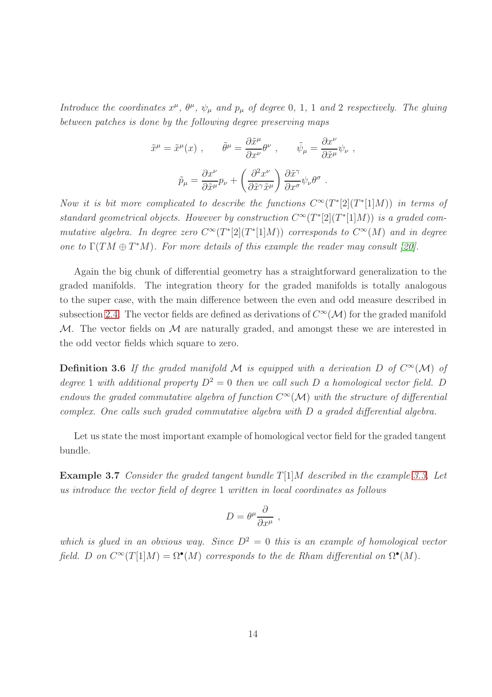*Introduce the coordinates*  $x^{\mu}$ ,  $\theta^{\mu}$ ,  $\psi_{\mu}$  *and*  $p_{\mu}$  *of degree* 0, 1, 1 *and* 2 *respectively. The gluing between patches is done by the following degree preserving maps*

$$
\tilde{x}^{\mu} = \tilde{x}^{\mu}(x) , \qquad \tilde{\theta}^{\mu} = \frac{\partial \tilde{x}^{\mu}}{\partial x^{\nu}} \theta^{\nu} , \qquad \tilde{\psi}_{\mu} = \frac{\partial x^{\nu}}{\partial \tilde{x}^{\mu}} \psi_{\nu} ,
$$

$$
\tilde{p}_{\mu} = \frac{\partial x^{\nu}}{\partial \tilde{x}^{\mu}} p_{\nu} + \left( \frac{\partial^{2} x^{\nu}}{\partial \tilde{x}^{\gamma} \tilde{x}^{\mu}} \right) \frac{\partial \tilde{x}^{\gamma}}{\partial x^{\sigma}} \psi_{\nu} \theta^{\sigma} .
$$

*Now it is bit more complicated to describe the functions*  $C^{\infty}(T^{*}[2](T^{*}[1]M))$  *in terms of standard geometrical objects. However by construction*  $C^{\infty}(T^{*}[2](T^{*}[1]M))$  *is a graded commutative algebra. In degree zero*  $C^{\infty}(T^{*}[2](T^{*}[1]M))$  *corresponds to*  $C^{\infty}(M)$  *and in degree one to*  $\Gamma(TM \oplus T^*M)$ *. For more details of this example the reader may consult* [\[20\]](#page-66-2)*.* 

Again the big chunk of differential geometry has a straightforward generalization to the graded manifolds. The integration theory for the graded manifolds is totally analogous to the super case, with the main difference between the even and odd measure described in subsection [2.4.](#page-8-0) The vector fields are defined as derivations of  $C^{\infty}(\mathcal{M})$  for the graded manifold  $M$ . The vector fields on  $M$  are naturally graded, and amongst these we are interested in the odd vector fields which square to zero.

**Definition 3.6** If the graded manifold M is equipped with a derivation D of  $C^{\infty}(\mathcal{M})$  of *degree* 1 *with additional property*  $D^2 = 0$  *then we call such* D *a homological vector field.* D *endows the graded commutative algebra of function*  $C^{\infty}(\mathcal{M})$  *with the structure of differential complex. One calls such graded commutative algebra with* D *a graded differential algebra.*

<span id="page-13-0"></span>Let us state the most important example of homological vector field for the graded tangent bundle.

Example 3.7 *Consider the graded tangent bundle* T[1]M *described in the example [3.3.](#page-12-1) Let us introduce the vector field of degree* 1 *written in local coordinates as follows*

$$
D = \theta^{\mu} \frac{\partial}{\partial x^{\mu}} ,
$$

*which is glued in an obvious way. Since*  $D^2 = 0$  *this is an example of homological vector* field. D on  $C^{\infty}(T[1]M) = \Omega^{\bullet}(M)$  corresponds to the de Rham differential on  $\Omega^{\bullet}(M)$ .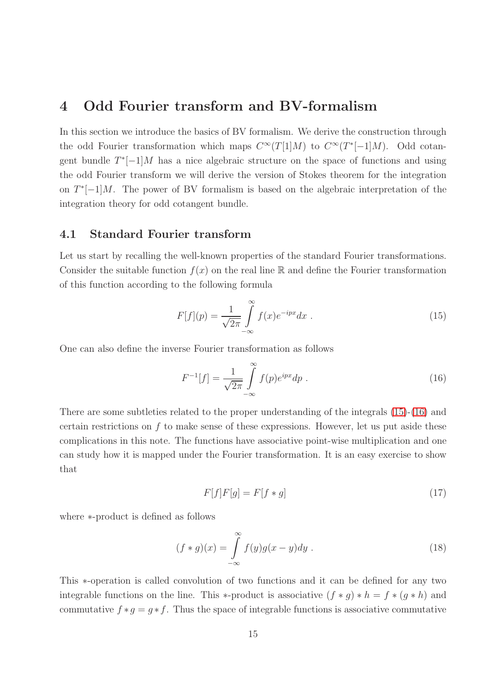# <span id="page-14-0"></span>4 Odd Fourier transform and BV-formalism

In this section we introduce the basics of BV formalism. We derive the construction through the odd Fourier transformation which maps  $C^{\infty}(T[1]M)$  to  $C^{\infty}(T^{*}[-1]M)$ . Odd cotangent bundle  $T^*[-1]M$  has a nice algebraic structure on the space of functions and using the odd Fourier transform we will derive the version of Stokes theorem for the integration on  $T^*[-1]M$ . The power of BV formalism is based on the algebraic interpretation of the integration theory for odd cotangent bundle.

### <span id="page-14-1"></span>4.1 Standard Fourier transform

Let us start by recalling the well-known properties of the standard Fourier transformations. Consider the suitable function  $f(x)$  on the real line R and define the Fourier transformation of this function according to the following formula

<span id="page-14-2"></span>
$$
F[f](p) = \frac{1}{\sqrt{2\pi}} \int_{-\infty}^{\infty} f(x)e^{-ipx}dx
$$
 (15)

One can also define the inverse Fourier transformation as follows

<span id="page-14-3"></span>
$$
F^{-1}[f] = \frac{1}{\sqrt{2\pi}} \int_{-\infty}^{\infty} f(p)e^{ipx} dp . \qquad (16)
$$

There are some subtleties related to the proper understanding of the integrals [\(15\)](#page-14-2)-[\(16\)](#page-14-3) and certain restrictions on f to make sense of these expressions. However, let us put aside these complications in this note. The functions have associative point-wise multiplication and one can study how it is mapped under the Fourier transformation. It is an easy exercise to show that

$$
F[f]F[g] = F[f * g] \tag{17}
$$

where ∗-product is defined as follows

$$
(f * g)(x) = \int_{-\infty}^{\infty} f(y)g(x - y)dy.
$$
 (18)

This ∗-operation is called convolution of two functions and it can be defined for any two integrable functions on the line. This \*-product is associative  $(f * g) * h = f * (g * h)$  and commutative  $f * g = g * f$ . Thus the space of integrable functions is associative commutative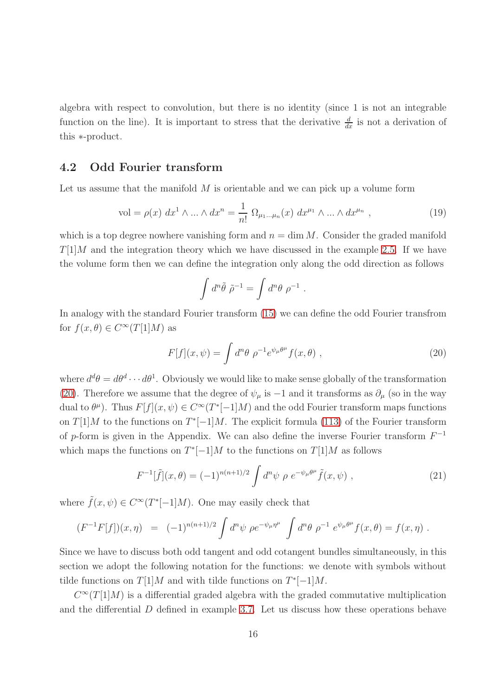algebra with respect to convolution, but there is no identity (since 1 is not an integrable function on the line). It is important to stress that the derivative  $\frac{d}{dx}$  is not a derivation of this ∗-product.

### <span id="page-15-0"></span>4.2 Odd Fourier transform

Let us assume that the manifold  $M$  is orientable and we can pick up a volume form

<span id="page-15-2"></span>vol = 
$$
\rho(x) dx^1 \wedge ... \wedge dx^n = \frac{1}{n!} \Omega_{\mu_1 ... \mu_n}(x) dx^{\mu_1} \wedge ... \wedge dx^{\mu_n}
$$
, (19)

which is a top degree nowhere vanishing form and  $n = \dim M$ . Consider the graded manifold  $T[1]M$  and the integration theory which we have discussed in the example [2.5.](#page-9-0) If we have the volume form then we can define the integration only along the odd direction as follows

$$
\int d^n \tilde{\theta} \; \tilde{\rho}^{-1} = \int d^n \theta \; \rho^{-1}
$$

In analogy with the standard Fourier transform [\(15\)](#page-14-2) we can define the odd Fourier transfrom for  $f(x, \theta) \in C^{\infty}(T[1]M)$  as

<span id="page-15-1"></span>
$$
F[f](x,\psi) = \int d^n\theta \ \rho^{-1} e^{\psi_\mu \theta^\mu} f(x,\theta) \ , \tag{20}
$$

.

where  $d^d\theta = d\theta^d \cdots d\theta^1$ . Obviously we would like to make sense globally of the transformation [\(20\)](#page-15-1). Therefore we assume that the degree of  $\psi_{\mu}$  is  $-1$  and it transforms as  $\partial_{\mu}$  (so in the way dual to  $\theta^{\mu}$ ). Thus  $F[f](x,\psi) \in C^{\infty}(T^{*}[-1]M)$  and the odd Fourier transform maps functions on  $T[1]M$  to the functions on  $T^*[-1]M$ . The explicit formula [\(113\)](#page-56-0) of the Fourier transform of p-form is given in the Appendix. We can also define the inverse Fourier transform  $F^{-1}$ which maps the functions on  $T^*[-1]M$  to the functions on  $T[1]M$  as follows

<span id="page-15-3"></span>
$$
F^{-1}[\tilde{f}](x,\theta) = (-1)^{n(n+1)/2} \int d^n \psi \, \rho \, e^{-\psi_\mu \theta^\mu} \tilde{f}(x,\psi) \;, \tag{21}
$$

where  $\tilde{f}(x,\psi) \in C^{\infty}(T^{*}[-1]M)$ . One may easily check that

$$
(F^{-1}F[f])(x,\eta) = (-1)^{n(n+1)/2} \int d^n \psi \, \rho e^{-\psi_\mu \eta^\mu} \int d^n \theta \, \rho^{-1} \, e^{\psi_\mu \theta^\mu} f(x,\theta) = f(x,\eta) \; .
$$

Since we have to discuss both odd tangent and odd cotangent bundles simultaneously, in this section we adopt the following notation for the functions: we denote with symbols without tilde functions on  $T[1]M$  and with tilde functions on  $T^*[-1]M$ .

 $C^{\infty}(T[1]M)$  is a differential graded algebra with the graded commutative multiplication and the differential D defined in example [3.7.](#page-13-0) Let us discuss how these operations behave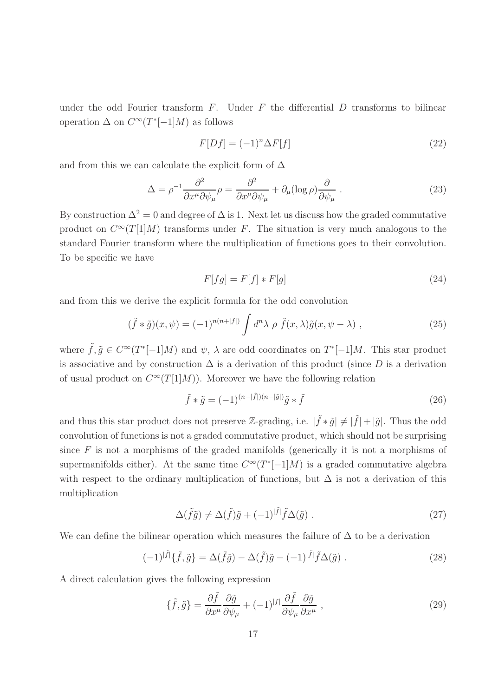under the odd Fourier transform  $F$ . Under  $F$  the differential  $D$  transforms to bilinear operation  $\Delta$  on  $C^{\infty}(T^{*}[-1]M)$  as follows

<span id="page-16-3"></span>
$$
F[Df] = (-1)^n \Delta F[f] \tag{22}
$$

and from this we can calculate the explicit form of  $\Delta$ 

<span id="page-16-2"></span>
$$
\Delta = \rho^{-1} \frac{\partial^2}{\partial x^\mu \partial \psi_\mu} \rho = \frac{\partial^2}{\partial x^\mu \partial \psi_\mu} + \partial_\mu (\log \rho) \frac{\partial}{\partial \psi_\mu} . \tag{23}
$$

By construction  $\Delta^2 = 0$  and degree of  $\Delta$  is 1. Next let us discuss how the graded commutative product on  $C^{\infty}(T[1]M)$  transforms under F. The situation is very much analogous to the standard Fourier transform where the multiplication of functions goes to their convolution. To be specific we have

$$
F[fg] = F[f] * F[g]
$$
\n(24)

and from this we derive the explicit formula for the odd convolution

$$
(\tilde{f} * \tilde{g})(x, \psi) = (-1)^{n(n+|f|)} \int d^n \lambda \, \rho \, \tilde{f}(x, \lambda) \tilde{g}(x, \psi - \lambda) , \qquad (25)
$$

where  $\tilde{f}, \tilde{g} \in C^{\infty}(T^*[-1]M)$  and  $\psi$ ,  $\lambda$  are odd coordinates on  $T^*[-1]M$ . This star product is associative and by construction  $\Delta$  is a derivation of this product (since D is a derivation of usual product on  $C^{\infty}(T[1]M)$ . Moreover we have the following relation

$$
\tilde{f} * \tilde{g} = (-1)^{(n-|\tilde{f}|)(n-|\tilde{g}|)} \tilde{g} * \tilde{f}
$$
\n(26)

and thus this star product does not preserve Z-grading, i.e.  $|\tilde{f} * \tilde{g}| \neq |\tilde{f}| + |\tilde{g}|$ . Thus the odd convolution of functions is not a graded commutative product, which should not be surprising since  $F$  is not a morphisms of the graded manifolds (generically it is not a morphisms of supermanifolds either). At the same time  $C^{\infty}(T^*[-1]M)$  is a graded commutative algebra with respect to the ordinary multiplication of functions, but  $\Delta$  is not a derivation of this multiplication

$$
\Delta(\tilde{f}\tilde{g}) \neq \Delta(\tilde{f})\tilde{g} + (-1)^{|\tilde{f}|} \tilde{f}\Delta(\tilde{g}) . \tag{27}
$$

We can define the bilinear operation which measures the failure of  $\Delta$  to be a derivation

<span id="page-16-1"></span>
$$
(-1)^{|\tilde{f}|}\{\tilde{f},\tilde{g}\} = \Delta(\tilde{f}\tilde{g}) - \Delta(\tilde{f})\tilde{g} - (-1)^{|\tilde{f}|}\tilde{f}\Delta(\tilde{g}) . \qquad (28)
$$

A direct calculation gives the following expression

<span id="page-16-0"></span>
$$
\{\tilde{f},\tilde{g}\} = \frac{\partial \tilde{f}}{\partial x^{\mu}} \frac{\partial \tilde{g}}{\partial \psi_{\mu}} + (-1)^{|f|} \frac{\partial \tilde{f}}{\partial \psi_{\mu}} \frac{\partial \tilde{g}}{\partial x^{\mu}} ,
$$
\n(29)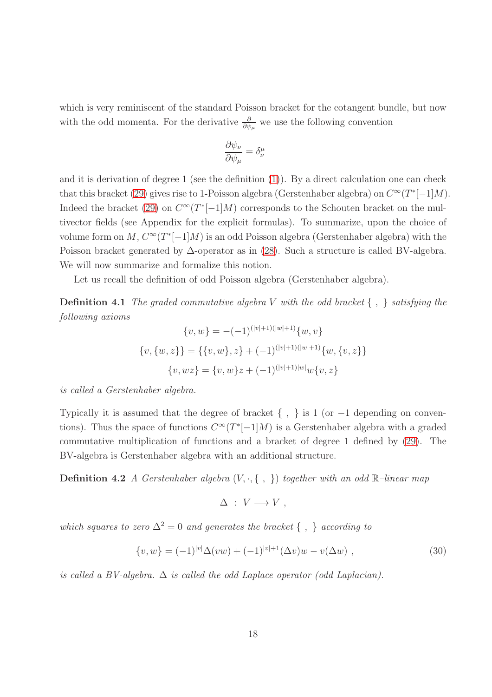which is very reminiscent of the standard Poisson bracket for the cotangent bundle, but now with the odd momenta. For the derivative  $\frac{\partial}{\partial \psi_{\mu}}$  we use the following convention

<span id="page-17-1"></span>
$$
\frac{\partial \psi_{\nu}}{\partial \psi_{\mu}} = \delta^{\mu}_{\nu}
$$

and it is derivation of degree 1 (see the definition [\(1\)](#page-4-2)). By a direct calculation one can check that this bracket [\(29\)](#page-16-0) gives rise to 1-Poisson algebra (Gerstenhaber algebra) on  $C^{\infty}(T^*[-1]M)$ . Indeed the bracket [\(29\)](#page-16-0) on  $C^{\infty}(T^*[-1]M)$  corresponds to the Schouten bracket on the multivector fields (see Appendix for the explicit formulas). To summarize, upon the choice of volume form on  $M, C^{\infty}(T^{*}[-1]M)$  is an odd Poisson algebra (Gerstenhaber algebra) with the Poisson bracket generated by ∆-operator as in [\(28\)](#page-16-1). Such a structure is called BV-algebra. We will now summarize and formalize this notion.

Let us recall the definition of odd Poisson algebra (Gerstenhaber algebra).

Definition 4.1 *The graded commutative algebra* V *with the odd bracket* { , } *satisfying the following axioms*

$$
\{v, w\} = -(-1)^{(|v|+1)(|w|+1)} \{w, v\}
$$

$$
\{v, \{w, z\}\} = \{\{v, w\}, z\} + (-1)^{(|v|+1)(|w|+1)} \{w, \{v, z\}\}
$$

$$
\{v, wz\} = \{v, w\}z + (-1)^{(|v|+1)|w|}w\{v, z\}
$$

*is called a Gerstenhaber algebra.*

Typically it is assumed that the degree of bracket  $\{ , \}$  is 1 (or -1 depending on conventions). Thus the space of functions  $C^{\infty}(T^*[-1]M)$  is a Gerstenhaber algebra with a graded commutative multiplication of functions and a bracket of degree 1 defined by [\(29\)](#page-16-0). The BV-algebra is Gerstenhaber algebra with an additional structure.

Definition 4.2 *A Gerstenhaber algebra* (V, ·, { , }) *together with an odd* <sup>R</sup>*–linear map*

<span id="page-17-2"></span> $\Delta : V \longrightarrow V$ ,

*which squares to zero*  $\Delta^2 = 0$  *and generates the bracket* {, } *according to* 

<span id="page-17-0"></span>
$$
\{v, w\} = (-1)^{|v|} \Delta(vw) + (-1)^{|v|+1} (\Delta v)w - v(\Delta w) , \qquad (30)
$$

*is called a BV-algebra.* ∆ *is called the odd Laplace operator (odd Laplacian).*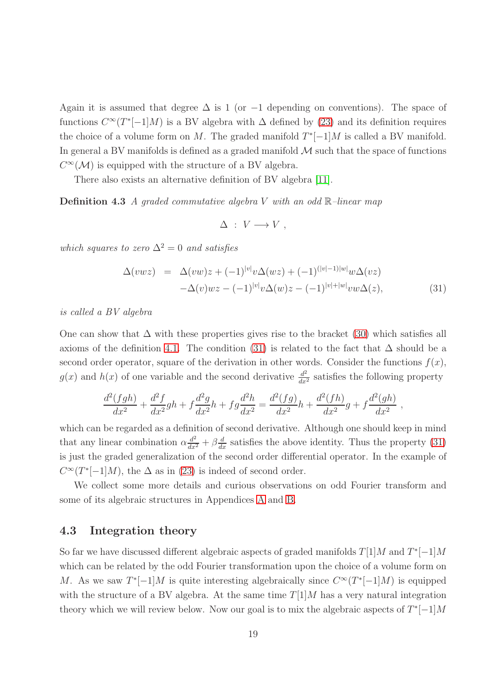Again it is assumed that degree  $\Delta$  is 1 (or -1 depending on conventions). The space of functions  $C^{\infty}(T^*[-1]M)$  is a BV algebra with  $\Delta$  defined by [\(23\)](#page-16-2) and its definition requires the choice of a volume form on M. The graded manifold  $T^*[-1]M$  is called a BV manifold. In general a BV manifolds is defined as a graded manifold  $\mathcal M$  such that the space of functions  $C^{\infty}(\mathcal{M})$  is equipped with the structure of a BV algebra.

There also exists an alternative definition of BV algebra [\[11\]](#page-65-4).

Definition 4.3 *A graded commutative algebra* V *with an odd* R*–linear map*

<span id="page-18-2"></span>
$$
\Delta \; : \; V \longrightarrow V \ ,
$$

*which squares to zero*  $\Delta^2 = 0$  *and satisfies* 

<span id="page-18-1"></span>
$$
\Delta(vwz) = \Delta(vw)z + (-1)^{|v|}v\Delta(wz) + (-1)^{(|v|-1)|w|}w\Delta(vz) \n-\Delta(v)wz - (-1)^{|v|}v\Delta(w)z - (-1)^{|v|+|w|}vw\Delta(z),
$$
\n(31)

,

*is called a BV algebra*

One can show that  $\Delta$  with these properties gives rise to the bracket [\(30\)](#page-17-0) which satisfies all axioms of the definition [4.1.](#page-17-1) The condition [\(31\)](#page-18-1) is related to the fact that  $\Delta$  should be a second order operator, square of the derivation in other words. Consider the functions  $f(x)$ ,  $g(x)$  and  $h(x)$  of one variable and the second derivative  $\frac{d^2}{dx^2}$  satisfies the following property

$$
\frac{d^2(fgh)}{dx^2} + \frac{d^2f}{dx^2}gh + f\frac{d^2g}{dx^2}h + fg\frac{d^2h}{dx^2} = \frac{d^2(fg)}{dx^2}h + \frac{d^2(fh)}{dx^2}g + f\frac{d^2(gh)}{dx^2}
$$

which can be regarded as a definition of second derivative. Although one should keep in mind that any linear combination  $\alpha \frac{d^2}{dx^2} + \beta \frac{d}{dx}$  satisfies the above identity. Thus the property [\(31\)](#page-18-1) is just the graded generalization of the second order differential operator. In the example of  $C^{\infty}(T^*[-1]M)$ , the  $\Delta$  as in [\(23\)](#page-16-2) is indeed of second order.

We collect some more details and curious observations on odd Fourier transform and some of its algebraic structures in Appendices [A](#page-55-0) and [B.](#page-57-0)

### <span id="page-18-0"></span>4.3 Integration theory

So far we have discussed different algebraic aspects of graded manifolds  $T[1]M$  and  $T^*[-1]M$ which can be related by the odd Fourier transformation upon the choice of a volume form on M. As we saw  $T^*[-1]M$  is quite interesting algebraically since  $C^{\infty}(T^*[-1]M)$  is equipped with the structure of a BV algebra. At the same time  $T[1]M$  has a very natural integration theory which we will review below. Now our goal is to mix the algebraic aspects of  $T^*[-1]M$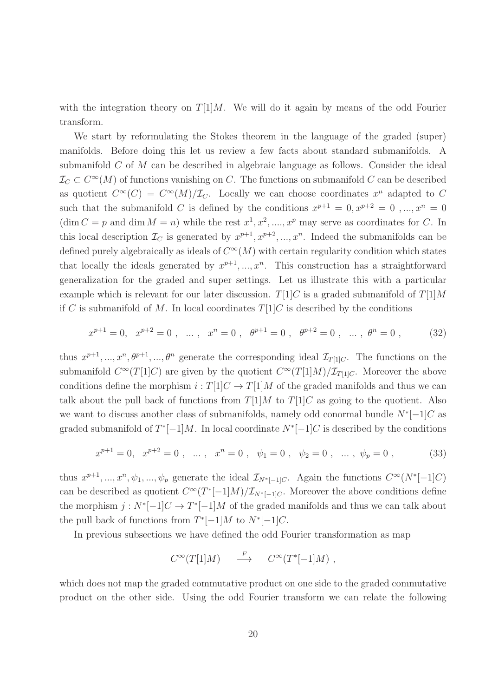with the integration theory on  $T[1]M$ . We will do it again by means of the odd Fourier transform.

We start by reformulating the Stokes theorem in the language of the graded (super) manifolds. Before doing this let us review a few facts about standard submanifolds. A submanifold C of M can be described in algebraic language as follows. Consider the ideal  $\mathcal{I}_{C}\subset C^{\infty}(M)$  of functions vanishing on C. The functions on submanifold C can be described as quotient  $C^{\infty}(C) = C^{\infty}(M)/\mathcal{I}_C$ . Locally we can choose coordinates  $x^{\mu}$  adapted to C such that the submanifold C is defined by the conditions  $x^{p+1} = 0, x^{p+2} = 0, ..., x^n = 0$  $(\dim C = p \text{ and } \dim M = n)$  while the rest  $x^1, x^2, \dots, x^p$  may serve as coordinates for C. In this local description  $\mathcal{I}_C$  is generated by  $x^{p+1}, x^{p+2}, ..., x^n$ . Indeed the submanifolds can be defined purely algebraically as ideals of  $C^{\infty}(M)$  with certain regularity condition which states that locally the ideals generated by  $x^{p+1},...,x^n$ . This construction has a straightforward generalization for the graded and super settings. Let us illustrate this with a particular example which is relevant for our later discussion.  $T[1]C$  is a graded submanifold of  $T[1]M$ if C is submanifold of M. In local coordinates  $T[1]C$  is described by the conditions

<span id="page-19-0"></span>
$$
x^{p+1} = 0, \quad x^{p+2} = 0 \ , \quad \dots \ , \quad x^n = 0 \ , \quad \theta^{p+1} = 0 \ , \quad \theta^{p+2} = 0 \ , \quad \dots \ , \ \theta^n = 0 \ , \tag{32}
$$

thus  $x^{p+1},...,x^n,\theta^{p+1},...,\theta^n$  generate the corresponding ideal  $\mathcal{I}_{T[1]C}$ . The functions on the submanifold  $C^{\infty}(T[1]C)$  are given by the quotient  $C^{\infty}(T[1]M)/\mathcal{I}_{T[1]C}$ . Moreover the above conditions define the morphism  $i : T[1]C \rightarrow T[1]M$  of the graded manifolds and thus we can talk about the pull back of functions from  $T[1]M$  to  $T[1]C$  as going to the quotient. Also we want to discuss another class of submanifolds, namely odd conormal bundle  $N^*[-1]C$  as graded submanifold of  $T^*[-1]M$ . In local coordinate  $N^*[-1]C$  is described by the conditions

<span id="page-19-1"></span>
$$
x^{p+1} = 0, \quad x^{p+2} = 0 \ , \quad \dots \ , \quad x^n = 0 \ , \quad \psi_1 = 0 \ , \quad \psi_2 = 0 \ , \quad \dots \ , \quad \psi_p = 0 \ , \tag{33}
$$

thus  $x^{p+1},...,x^n, \psi_1,..., \psi_p$  generate the ideal  $\mathcal{I}_{N^*[-1]C}$ . Again the functions  $C^{\infty}(N^*[-1]C)$ can be described as quotient  $C^{\infty}(T^*[-1]M)/\mathcal{I}_{N^*[-1]C}$ . Moreover the above conditions define the morphism  $j: N^*[-1]C \to T^*[-1]M$  of the graded manifolds and thus we can talk about the pull back of functions from  $T^*[-1]M$  to  $N^*[-1]C$ .

In previous subsections we have defined the odd Fourier transformation as map

$$
C^{\infty}(T[1]M) \quad \stackrel{F}{\longrightarrow} \quad C^{\infty}(T^{*}[-1]M) ,
$$

which does not map the graded commutative product on one side to the graded commutative product on the other side. Using the odd Fourier transform we can relate the following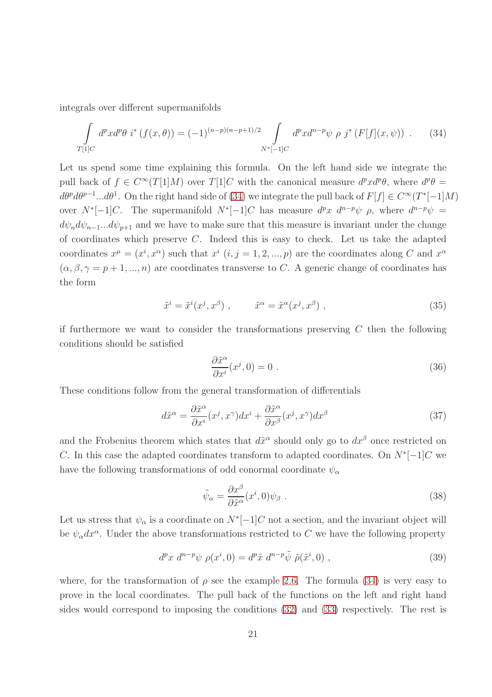integrals over different supermanifolds

<span id="page-20-0"></span>
$$
\int_{T[1]C} d^p x d^p \theta \ i^* \left(f(x,\theta)\right) = (-1)^{(n-p)(n-p+1)/2} \int_{N^*[-1]C} d^p x d^{n-p} \psi \ \rho \ j^* \left(F[f](x,\psi)\right) \ . \tag{34}
$$

Let us spend some time explaining this formula. On the left hand side we integrate the pull back of  $f \in C^{\infty}(T[1]M)$  over  $T[1]C$  with the canonical measure  $d^p x d^p \theta$ , where  $d^p \theta =$  $d\theta^p d\theta^{p-1}...d\theta^1$ . On the right hand side of [\(34\)](#page-20-0) we integrate the pull back of  $F[f] \in C^{\infty}(T^*[-1]M)$ over  $N^*[-1]C$ . The supermanifold  $N^*[-1]C$  has measure  $d^p x d^{n-p} \psi \rho$ , where  $d^{n-p} \psi =$  $d\psi_n d\psi_{n-1}... d\psi_{p+1}$  and we have to make sure that this measure is invariant under the change of coordinates which preserve C. Indeed this is easy to check. Let us take the adapted coordinates  $x^{\mu} = (x^{i}, x^{\alpha})$  such that  $x^{i}$   $(i, j = 1, 2, ..., p)$  are the coordinates along C and  $x^{\alpha}$  $(\alpha, \beta, \gamma = p + 1, ..., n)$  are coordinates transverse to C. A generic change of coordinates has the form

$$
\tilde{x}^i = \tilde{x}^i(x^j, x^\beta) , \qquad \tilde{x}^\alpha = \tilde{x}^\alpha(x^j, x^\beta) , \qquad (35)
$$

if furthermore we want to consider the transformations preserving  $C$  then the following conditions should be satisfied

$$
\frac{\partial \tilde{x}^{\alpha}}{\partial x^{i}}(x^{j},0) = 0.
$$
 (36)

These conditions follow from the general transformation of differentials

$$
d\tilde{x}^{\alpha} = \frac{\partial \tilde{x}^{\alpha}}{\partial x^{i}}(x^{j}, x^{\gamma})dx^{i} + \frac{\partial \tilde{x}^{\alpha}}{\partial x^{\beta}}(x^{j}, x^{\gamma})dx^{\beta}
$$
(37)

and the Frobenius theorem which states that  $d\tilde{x}^{\alpha}$  should only go to  $dx^{\beta}$  once restricted on C. In this case the adapted coordinates transform to adapted coordinates. On  $N^*[-1]C$  we have the following transformations of odd conormal coordinate  $\psi_{\alpha}$ 

$$
\tilde{\psi}_{\alpha} = \frac{\partial x^{\beta}}{\partial \tilde{x}^{\alpha}}(x^{i}, 0)\psi_{\beta} . \tag{38}
$$

Let us stress that  $\psi_{\alpha}$  is a coordinate on  $N^*[-1]C$  not a section, and the invariant object will be  $\psi_{\alpha}dx^{\alpha}$ . Under the above transformations restricted to C we have the following property

$$
d^p x \, d^{n-p} \psi \, \rho(x^i, 0) = d^p \tilde{x} \, d^{n-p} \tilde{\psi} \, \tilde{\rho}(\tilde{x}^i, 0) \;, \tag{39}
$$

where, for the transformation of  $\rho$  see the example [2.6.](#page-9-1) The formula [\(34\)](#page-20-0) is very easy to prove in the local coordinates. The pull back of the functions on the left and right hand sides would correspond to imposing the conditions [\(32\)](#page-19-0) and [\(33\)](#page-19-1) respectively. The rest is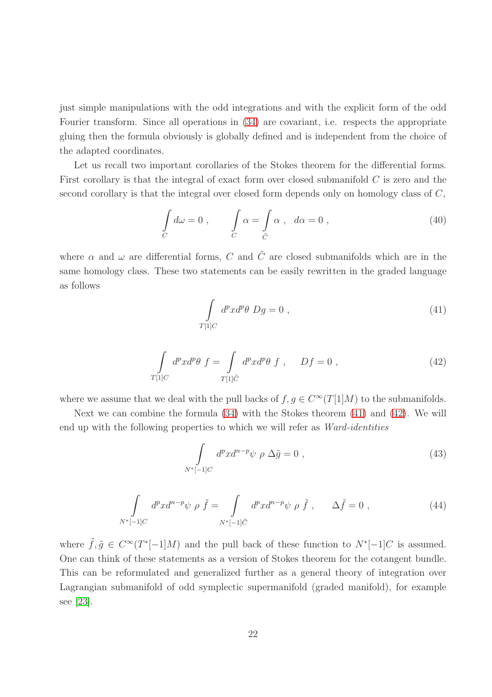just simple manipulations with the odd integrations and with the explicit form of the odd Fourier transform. Since all operations in  $(34)$  are covariant, i.e. respects the appropriate gluing then the formula obviously is globally defined and is independent from the choice of the adapted coordinates.

Let us recall two important corollaries of the Stokes theorem for the differential forms. First corollary is that the integral of exact form over closed submanifold C is zero and the second corollary is that the integral over closed form depends only on homology class of C,

$$
\int_{C} d\omega = 0 , \qquad \int_{C} \alpha = \int_{\tilde{C}} \alpha , \quad d\alpha = 0 , \qquad (40)
$$

where  $\alpha$  and  $\omega$  are differential forms, C and  $\tilde{C}$  are closed submanifolds which are in the same homology class. These two statements can be easily rewritten in the graded language as follows

<span id="page-21-0"></span>
$$
\int_{T[1]C} d^p x d^p \theta \ Dg = 0 \ , \tag{41}
$$

<span id="page-21-1"></span>
$$
\int_{T[1]C} d^p x d^p \theta \ f = \int_{T[1]\tilde{C}} d^p x d^p \theta \ f \ , \quad Df = 0 \ , \tag{42}
$$

where we assume that we deal with the pull backs of  $f, g \in C^{\infty}(T[1]M)$  to the submanifolds.

Next we can combine the formula [\(34\)](#page-20-0) with the Stokes theorem [\(41\)](#page-21-0) and [\(42\)](#page-21-1). We will end up with the following properties to which we will refer as *Ward-identities*

<span id="page-21-2"></span>
$$
\int_{N^*[-1]C} d^p x d^{n-p} \psi \, \rho \, \Delta \tilde{g} = 0 \;, \tag{43}
$$

<span id="page-21-3"></span>
$$
\int_{N^*[-1]C} d^p x d^{n-p} \psi \rho \tilde{f} = \int_{N^*[-1]\tilde{C}} d^p x d^{n-p} \psi \rho \tilde{f}, \qquad \Delta \tilde{f} = 0 , \qquad (44)
$$

where  $\tilde{f}, \tilde{g} \in C^{\infty}(T^*[-1]M)$  and the pull back of these function to  $N^*[-1]C$  is assumed. One can think of these statements as a version of Stokes theorem for the cotangent bundle. This can be reformulated and generalized further as a general theory of integration over Lagrangian submanifold of odd symplectic supermanifold (graded manifold), for example see [\[23\]](#page-66-0).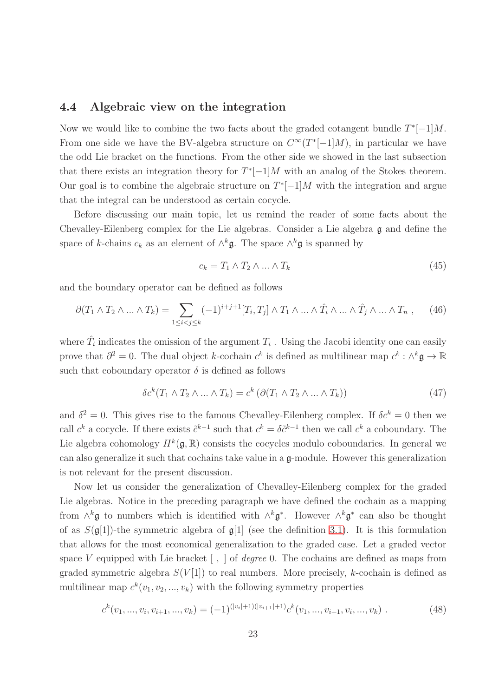### <span id="page-22-0"></span>4.4 Algebraic view on the integration

Now we would like to combine the two facts about the graded cotangent bundle  $T^*[-1]M$ . From one side we have the BV-algebra structure on  $C^{\infty}(T^*[-1]M)$ , in particular we have the odd Lie bracket on the functions. From the other side we showed in the last subsection that there exists an integration theory for  $T^*[-1]M$  with an analog of the Stokes theorem. Our goal is to combine the algebraic structure on  $T^*[-1]M$  with the integration and argue that the integral can be understood as certain cocycle.

Before discussing our main topic, let us remind the reader of some facts about the Chevalley-Eilenberg complex for the Lie algebras. Consider a Lie algebra g and define the space of k-chains  $c_k$  as an element of  $\wedge^k \mathfrak{g}$ . The space  $\wedge^k \mathfrak{g}$  is spanned by

$$
c_k = T_1 \wedge T_2 \wedge \dots \wedge T_k \tag{45}
$$

and the boundary operator can be defined as follows

$$
\partial (T_1 \wedge T_2 \wedge \ldots \wedge T_k) = \sum_{1 \leq i < j \leq k} (-1)^{i+j+1} [T_i, T_j] \wedge T_1 \wedge \ldots \wedge \hat{T}_i \wedge \ldots \wedge \hat{T}_j \wedge \ldots \wedge T_n , \qquad (46)
$$

where  $\hat{T}_i$  indicates the omission of the argument  $T_i$  . Using the Jacobi identity one can easily prove that  $\partial^2 = 0$ . The dual object k-cochain  $c^k$  is defined as multilinear map  $c^k : \wedge^k \mathfrak{g} \to \mathbb{R}$ such that coboundary operator  $\delta$  is defined as follows

$$
\delta c^k (T_1 \wedge T_2 \wedge \dots \wedge T_k) = c^k \left( \partial (T_1 \wedge T_2 \wedge \dots \wedge T_k) \right) \tag{47}
$$

and  $\delta^2 = 0$ . This gives rise to the famous Chevalley-Eilenberg complex. If  $\delta c^k = 0$  then we call  $c^k$  a cocycle. If there exists  $\tilde{c}^{k-1}$  such that  $c^k = \delta \tilde{c}^{k-1}$  then we call  $c^k$  a coboundary. The Lie algebra cohomology  $H^k(\mathfrak{g}, \mathbb{R})$  consists the cocycles modulo coboundaries. In general we can also generalize it such that cochains take value in a  $\mathfrak{a}$ -module. However this generalization is not relevant for the present discussion.

Now let us consider the generalization of Chevalley-Eilenberg complex for the graded Lie algebras. Notice in the preceding paragraph we have defined the cochain as a mapping from  $\wedge^k$ **g** to numbers which is identified with  $\wedge^k$ **g**<sup>\*</sup>. However  $\wedge^k$ **g**<sup>\*</sup> can also be thought of as  $S(\mathfrak{g}[1])$ -the symmetric algebra of  $\mathfrak{g}[1]$  (see the definition [3.1\)](#page-11-0). It is this formulation that allows for the most economical generalization to the graded case. Let a graded vector space V equipped with Lie bracket [ , ] of *degree* 0. The cochains are defined as maps from graded symmetric algebra  $S(V[1])$  to real numbers. More precisely, k-cochain is defined as multilinear map  $c^k(v_1, v_2, ..., v_k)$  with the following symmetry properties

<span id="page-22-1"></span>
$$
c^{k}(v_{1},...,v_{i},v_{i+1},...,v_{k}) = (-1)^{(|v_{i}|+1)(|v_{i+1}|+1)}c^{k}(v_{1},...,v_{i+1},v_{i},...,v_{k}). \qquad (48)
$$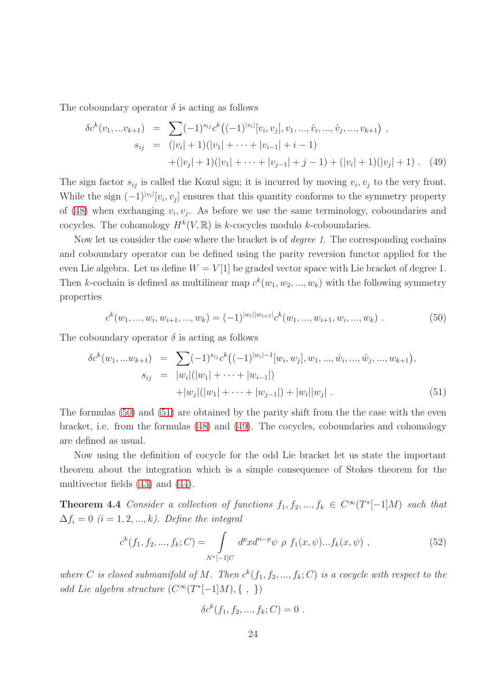The coboundary operator  $\delta$  is acting as follows

<span id="page-23-2"></span>
$$
\delta c^{k}(v_{1},...v_{k+1}) = \sum (-1)^{s_{ij}} c^{k} ((-1)^{|v_{i}|}[v_{i},v_{j}],v_{1},..., \hat{v}_{i},..., \hat{v}_{j},...,v_{k+1}),
$$
  
\n
$$
s_{ij} = (|v_{i}| + 1)(|v_{1}| + \cdots + |v_{i-1}| + i - 1)
$$
  
\n
$$
+ (|v_{j}| + 1)(|v_{1}| + \cdots + |v_{j-1}| + j - 1) + (|v_{i}| + 1)(|v_{j}| + 1).
$$
 (49)

The sign factor  $s_{ij}$  is called the Kozul sign; it is incurred by moving  $v_i, v_j$  to the very front. While the sign  $(-1)^{|v_i|}[v_i, v_j]$  ensures that this quantity conforms to the symmetry property of [\(48\)](#page-22-1) when exchanging  $v_i, v_j$ . As before we use the same terminology, coboundaries and cocycles. The cohomology  $H^k(V,\mathbb{R})$  is k-cocycles modulo k-coboundaries.

Now let us consider the case where the bracket is of *degree 1*. The corresponding cochains and coboundary operator can be defined using the parity reversion functor applied for the even Lie algebra. Let us define  $W = V[1]$  be graded vector space with Lie bracket of degree 1. Then k-cochain is defined as multilinear map  $c^k(w_1, w_2, ..., w_k)$  with the following symmetry properties

<span id="page-23-0"></span>
$$
c^{k}(w_{1},...,w_{i},w_{i+1},...,w_{k}) = (-1)^{|w_{i}||w_{i+1}|}c^{k}(w_{1},...,w_{i+1},w_{i},...,w_{k}).
$$
\n(50)

The coboundary operator  $\delta$  is acting as follows

<span id="page-23-1"></span>
$$
\delta c^{k}(w_{1},...w_{k+1}) = \sum (-1)^{s_{ij}} c^{k} ((-1)^{|w_{i}|-1}[w_{i},w_{j}],w_{1},..., \hat{w}_{i},..., \hat{w}_{j},...,w_{k+1}),
$$
  
\n
$$
s_{ij} = |w_{i}|(|w_{1}| + \cdots + |w_{i-1}|)
$$
  
\n
$$
+ |w_{j}|(|w_{1}| + \cdots + |w_{j-1}|) + |w_{i}||w_{j}|.
$$
\n(51)

The formulas [\(50\)](#page-23-0) and [\(51\)](#page-23-1) are obtained by the parity shift from the the case with the even bracket, i.e. from the formulas [\(48\)](#page-22-1) and [\(49\)](#page-23-2). The cocycles, coboundaries and cohomology are defined as usual.

Now using the definition of cocycle for the odd Lie bracket let us state the important theorem about the integration which is a simple consequence of Stokes theorem for the multivector fields [\(43\)](#page-21-2) and [\(44\)](#page-21-3).

<span id="page-23-4"></span>**Theorem 4.4** *Consider a collection of functions*  $f_1, f_2, ..., f_k \in C^\infty(T^*[-1]M)$  *such that*  $\Delta f_i = 0$  (*i* = 1, 2, ..., *k*). Define the integral

<span id="page-23-3"></span>
$$
c^{k}(f_{1}, f_{2}, ..., f_{k}; C) = \int_{N^{*}[-1]C} d^{p}x d^{n-p} \psi \rho f_{1}(x, \psi)...f_{k}(x, \psi) ,
$$
 (52)

where C is closed submanifold of M. Then  $c^k(f_1, f_2, ..., f_k; C)$  is a cocycle with respect to the *odd Lie algebra structure*  $(C^{\infty}(T^*[-1]M), \{ , \} )$ 

$$
\delta c^{k}(f_{1}, f_{2}, ..., f_{k}; C) = 0.
$$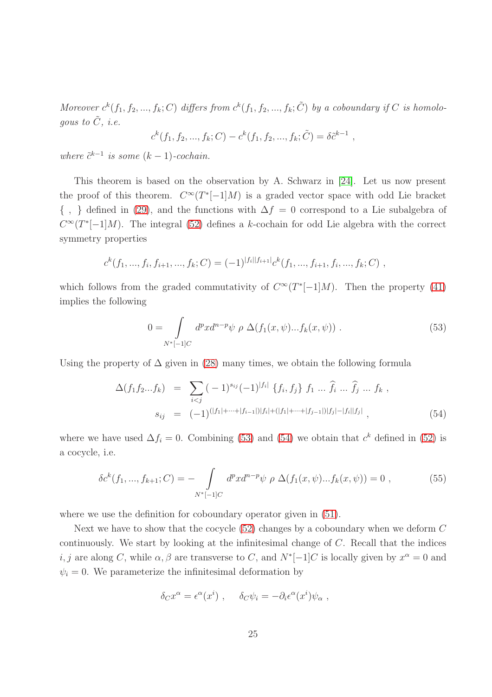Moreover  $c^k(f_1, f_2, ..., f_k; C)$  differs from  $c^k(f_1, f_2, ..., f_k; \tilde{C})$  by a coboundary if C is homolo*gous to*  $\tilde{C}$ *, i.e.* 

$$
c^k(f_1, f_2, ..., f_k; C) - c^k(f_1, f_2, ..., f_k; \tilde{C}) = \delta \tilde{c}^{k-1}
$$
,

*where*  $\tilde{c}^{k-1}$  *is some*  $(k-1)$ *-cochain.* 

This theorem is based on the observation by A. Schwarz in [\[24\]](#page-66-3). Let us now present the proof of this theorem.  $C^{\infty}(T^*[-1]M)$  is a graded vector space with odd Lie bracket  $\{ , \}$  defined in [\(29\)](#page-16-0), and the functions with  $\Delta f = 0$  correspond to a Lie subalgebra of  $C^{\infty}(T^{*}[-1]M)$ . The integral [\(52\)](#page-23-3) defines a k-cochain for odd Lie algebra with the correct symmetry properties

$$
c^{k}(f_1, ..., f_i, f_{i+1}, ..., f_k; C) = (-1)^{|f_i||f_{i+1}|} c^{k}(f_1, ..., f_{i+1}, f_i, ..., f_k; C) ,
$$

which follows from the graded commutativity of  $C^{\infty}(T^{*}[-1]M)$ . Then the property [\(41\)](#page-21-0) implies the following

<span id="page-24-0"></span>
$$
0 = \int_{N^*[1]} d^p x d^{n-p} \psi \, \rho \, \Delta(f_1(x, \psi) ... f_k(x, \psi)) \,. \tag{53}
$$

Using the property of  $\Delta$  given in [\(28\)](#page-16-1) many times, we obtain the following formula

<span id="page-24-1"></span>
$$
\Delta(f_1 f_2 \dots f_k) = \sum_{i < j} (-1)^{s_{ij}} (-1)^{|f_i|} \{f_i, f_j\} f_1 \dots \widehat{f}_i \dots \widehat{f}_j \dots f_k,
$$
\n
$$
s_{ij} = (-1)^{(|f_1| + \dots + |f_{i-1}|)|f_i| + (|f_1| + \dots + |f_{j-1}|)|f_j| - |f_i||f_j|}, \tag{54}
$$

where we have used  $\Delta f_i = 0$ . Combining [\(53\)](#page-24-0) and [\(54\)](#page-24-1) we obtain that  $c^k$  defined in [\(52\)](#page-23-3) is a cocycle, i.e.

$$
\delta c^{k}(f_{1},...,f_{k+1};C) = -\int_{N^{*}[-1]C} d^{p}x d^{n-p}\psi \,\,\rho \,\,\Delta(f_{1}(x,\psi)...f_{k}(x,\psi)) = 0 \,\,,\tag{55}
$$

where we use the definition for coboundary operator given in [\(51\)](#page-23-1).

Next we have to show that the cocycle  $(52)$  changes by a coboundary when we deform  $C$ continuously. We start by looking at the infinitesimal change of C. Recall that the indices *i*, *j* are along *C*, while  $\alpha$ ,  $\beta$  are transverse to *C*, and  $N^*[-1]C$  is locally given by  $x^{\alpha} = 0$  and  $\psi_i = 0$ . We parameterize the infinitesimal deformation by

$$
\delta_C x^{\alpha} = \epsilon^{\alpha}(x^i) , \quad \delta_C \psi_i = -\partial_i \epsilon^{\alpha}(x^i) \psi_{\alpha} ,
$$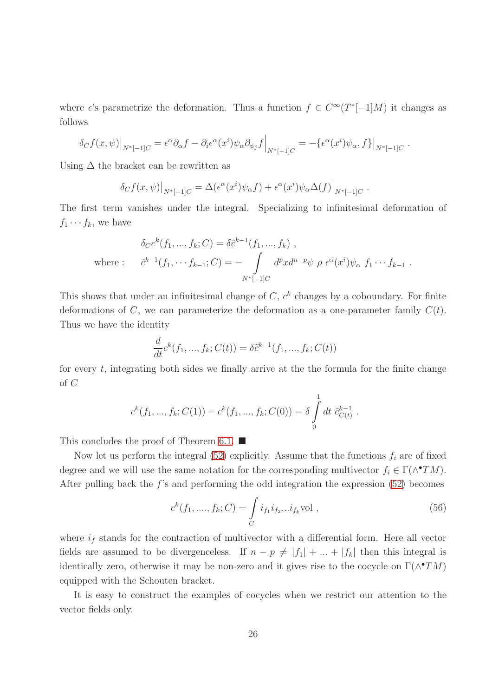where  $\epsilon$ 's parametrize the deformation. Thus a function  $f \in C^{\infty}(T^{*}[-1]M)$  it changes as follows

$$
\delta_C f(x,\psi)|_{N^*[-1]C} = \epsilon^{\alpha} \partial_{\alpha} f - \partial_i \epsilon^{\alpha} (x^i) \psi_{\alpha} \partial_{\psi_j} f \Big|_{N^*[-1]C} = -\{\epsilon^{\alpha} (x^i) \psi_{\alpha}, f\} \Big|_{N^*[-1]C}.
$$

Using  $\Delta$  the bracket can be rewritten as

$$
\delta_C f(x,\psi)|_{N^*[-1]C} = \Delta(\epsilon^{\alpha}(x^i)\psi_{\alpha}f) + \epsilon^{\alpha}(x^i)\psi_{\alpha}\Delta(f)|_{N^*[-1]C}
$$

The first term vanishes under the integral. Specializing to infinitesimal deformation of  $f_1 \cdots f_k$ , we have

.

.

$$
\delta_C c^k(f_1, ..., f_k; C) = \delta \tilde{c}^{k-1}(f_1, ..., f_k) ,
$$
  
where : 
$$
\tilde{c}^{k-1}(f_1, ..., f_{k-1}; C) = - \int_{N^*[-1]C} d^p x d^{n-p} \psi \rho \epsilon^{\alpha}(x^i) \psi_{\alpha} f_1 \cdots f_{k-1} .
$$

This shows that under an infinitesimal change of  $C, c<sup>k</sup>$  changes by a coboundary. For finite deformations of C, we can parameterize the deformation as a one-parameter family  $C(t)$ . Thus we have the identity

$$
\frac{d}{dt}c^k(f_1, ..., f_k; C(t)) = \delta \tilde{c}^{k-1}(f_1, ..., f_k; C(t))
$$

for every  $t$ , integrating both sides we finally arrive at the the formula for the finite change of C

$$
c^{k}(f_{1},...,f_{k};C(1)) - c^{k}(f_{1},...,f_{k};C(0)) = \delta \int_{0}^{1} dt \ \tilde{c}^{k-1}_{C(t)}
$$

This concludes the proof of Theorem [6.1.](#page-43-0)  $\blacksquare$ 

Now let us perform the integral [\(52\)](#page-23-3) explicitly. Assume that the functions  $f_i$  are of fixed degree and we will use the same notation for the corresponding multivector  $f_i \in \Gamma(\wedge^{\bullet} TM)$ . After pulling back the  $f$ 's and performing the odd integration the expression  $(52)$  becomes

<span id="page-25-0"></span>
$$
c^{k}(f_1, ..., f_k; C) = \int_{C} i_{f_1} i_{f_2} ... i_{f_k} \text{vol} ,
$$
\n(56)

where  $i_f$  stands for the contraction of multivector with a differential form. Here all vector fields are assumed to be divergenceless. If  $n - p \neq |f_1| + ... + |f_k|$  then this integral is identically zero, otherwise it may be non-zero and it gives rise to the cocycle on  $\Gamma(\wedge^{\bullet}TM)$ equipped with the Schouten bracket.

It is easy to construct the examples of cocycles when we restrict our attention to the vector fields only.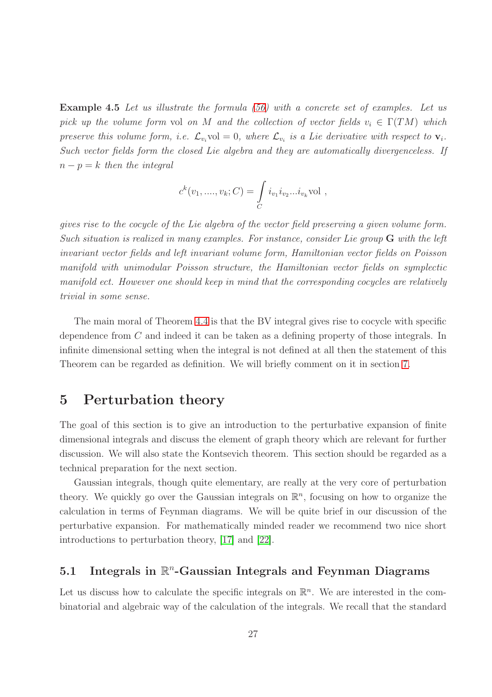Example 4.5 *Let us illustrate the formula [\(56\)](#page-25-0) with a concrete set of examples. Let us pick up the volume form* vol *on* M *and the collection of vector fields*  $v_i \in \Gamma(TM)$  *which preserve this volume form, i.e.*  $\mathcal{L}_{v_i}$  vol = 0, where  $\mathcal{L}_{v_i}$  is a Lie derivative with respect to  $\mathbf{v}_i$ . *Such vector fields form the closed Lie algebra and they are automatically divergenceless. If*  $n - p = k$  *then the integral* 

$$
c^{k}(v_{1},...,v_{k};C) = \int_{C} i_{v_{1}}i_{v_{2}}...i_{v_{k}} \text{vol} ,
$$

*gives rise to the cocycle of the Lie algebra of the vector field preserving a given volume form. Such situation is realized in many examples. For instance, consider Lie group* G *with the left invariant vector fields and left invariant volume form, Hamiltonian vector fields on Poisson manifold with unimodular Poisson structure, the Hamiltonian vector fields on symplectic manifold ect. However one should keep in mind that the corresponding cocycles are relatively trivial in some sense.*

The main moral of Theorem [4.4](#page-23-4) is that the BV integral gives rise to cocycle with specific dependence from C and indeed it can be taken as a defining property of those integrals. In infinite dimensional setting when the integral is not defined at all then the statement of this Theorem can be regarded as definition. We will briefly comment on it in section [7.](#page-52-0)

### <span id="page-26-0"></span>5 Perturbation theory

The goal of this section is to give an introduction to the perturbative expansion of finite dimensional integrals and discuss the element of graph theory which are relevant for further discussion. We will also state the Kontsevich theorem. This section should be regarded as a technical preparation for the next section.

Gaussian integrals, though quite elementary, are really at the very core of perturbation theory. We quickly go over the Gaussian integrals on  $\mathbb{R}^n$ , focusing on how to organize the calculation in terms of Feynman diagrams. We will be quite brief in our discussion of the perturbative expansion. For mathematically minded reader we recommend two nice short introductions to perturbation theory, [\[17\]](#page-66-4) and [\[22\]](#page-66-5).

# <span id="page-26-1"></span>5.1 Integrals in  $\mathbb{R}^n$ -Gaussian Integrals and Feynman Diagrams

Let us discuss how to calculate the specific integrals on  $\mathbb{R}^n$ . We are interested in the combinatorial and algebraic way of the calculation of the integrals. We recall that the standard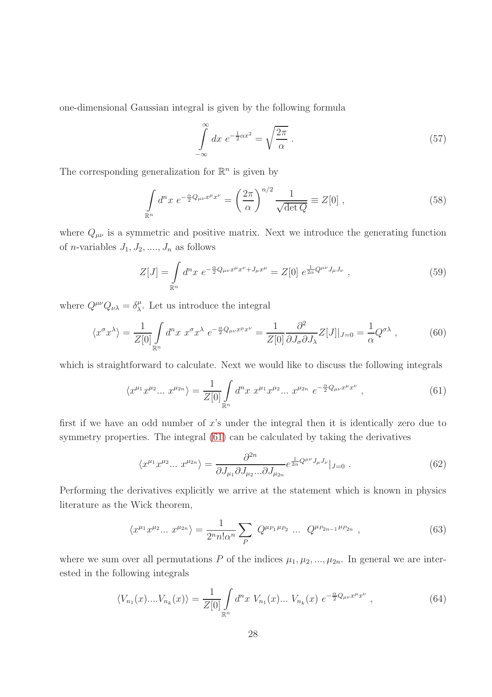one-dimensional Gaussian integral is given by the following formula

$$
\int_{-\infty}^{\infty} dx \ e^{-\frac{1}{2}\alpha x^2} = \sqrt{\frac{2\pi}{\alpha}} \ . \tag{57}
$$

The corresponding generalization for  $\mathbb{R}^n$  is given by

<span id="page-27-3"></span>
$$
\int_{\mathbb{R}^n} d^n x \ e^{-\frac{\alpha}{2}Q_{\mu\nu}x^{\mu}x^{\nu}} = \left(\frac{2\pi}{\alpha}\right)^{n/2} \frac{1}{\sqrt{\det Q}} \equiv Z[0] \ , \tag{58}
$$

where  $Q_{\mu\nu}$  is a symmetric and positive matrix. Next we introduce the generating function of *n*-variables  $J_1, J_2, \ldots, J_n$  as follows

$$
Z[J] = \int_{\mathbb{R}^n} d^n x \ e^{-\frac{\alpha}{2}Q_{\mu\nu}x^{\mu}x^{\nu} + J_{\mu}x^{\mu}} = Z[0] \ e^{\frac{1}{2\alpha}Q^{\mu\nu}J_{\mu}J_{\nu}} \ , \tag{59}
$$

where  $Q^{\mu\nu}Q_{\nu\lambda} = \delta^{\mu}_{\lambda}$  $\frac{\mu}{\lambda}$ . Let us introduce the integral

$$
\langle x^{\sigma} x^{\lambda} \rangle = \frac{1}{Z[0]} \int_{\mathbb{R}^n} d^n x \ x^{\sigma} x^{\lambda} \ e^{-\frac{\alpha}{2} Q_{\mu\nu} x^{\mu} x^{\nu}} = \frac{1}{Z[0]} \frac{\partial^2}{\partial J_{\sigma} \partial J_{\lambda}} Z[J]|_{J=0} = \frac{1}{\alpha} Q^{\sigma \lambda} \ , \tag{60}
$$

which is straightforward to calculate. Next we would like to discuss the following integrals

<span id="page-27-0"></span>
$$
\langle x^{\mu_1} x^{\mu_2} \dots x^{\mu_{2n}} \rangle = \frac{1}{Z[0]} \int_{\mathbb{R}^n} d^n x \ x^{\mu_1} x^{\mu_2} \dots x^{\mu_{2n}} \ e^{-\frac{\alpha}{2} Q_{\mu\nu} x^{\mu} x^{\nu}} \,, \tag{61}
$$

first if we have an odd number of  $x$ 's under the integral then it is identically zero due to symmetry properties. The integral [\(61\)](#page-27-0) can be calculated by taking the derivatives

$$
\langle x^{\mu_1} x^{\mu_2} \dots x^{\mu_{2n}} \rangle = \frac{\partial^{2n}}{\partial J_{\mu_1} \partial J_{\mu_2} \dots \partial J_{\mu_{2n}}} e^{\frac{1}{2\alpha} Q^{\mu\nu} J_{\mu} J_{\nu}} |_{J=0} . \tag{62}
$$

Performing the derivatives explicitly we arrive at the statement which is known in physics literature as the Wick theorem,

<span id="page-27-1"></span>
$$
\langle x^{\mu_1} x^{\mu_2} \dots x^{\mu_{2n}} \rangle = \frac{1}{2^n n! \alpha^n} \sum_P Q^{\mu_{P_1} \mu_{P_2}} \dots Q^{\mu_{P_{2n-1}} \mu_{P_{2n}}}, \qquad (63)
$$

where we sum over all permutations P of the indices  $\mu_1, \mu_2, ..., \mu_{2n}$ . In general we are interested in the following integrals

<span id="page-27-2"></span>
$$
\langle V_{n_1}(x) \dots V_{n_k}(x) \rangle = \frac{1}{Z[0]} \int_{\mathbb{R}^n} d^n x \ V_{n_1}(x) \dots V_{n_k}(x) \ e^{-\frac{\alpha}{2} Q_{\mu\nu} x^{\mu} x^{\nu}} \ , \tag{64}
$$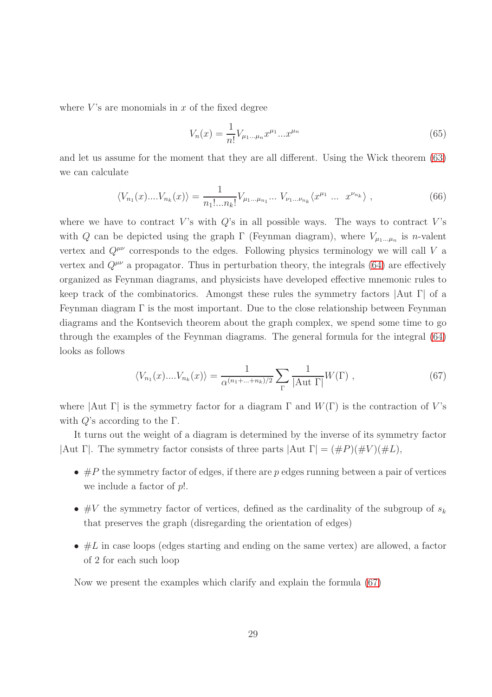where  $V$ 's are monomials in  $x$  of the fixed degree

$$
V_n(x) = \frac{1}{n!} V_{\mu_1 \dots \mu_n} x^{\mu_1} \dots x^{\mu_n}
$$
\n(65)

and let us assume for the moment that they are all different. Using the Wick theorem [\(63\)](#page-27-1) we can calculate

$$
\langle V_{n_1}(x) \dots V_{n_k}(x) \rangle = \frac{1}{n_1! \dots n_k!} V_{\mu_1 \dots \mu_{n_1}} \dots V_{\nu_1 \dots \nu_{n_k}} \langle x^{\mu_1} \dots x^{\nu_{n_k}} \rangle , \qquad (66)
$$

where we have to contract V's with  $Q$ 's in all possible ways. The ways to contract V's with Q can be depicted using the graph  $\Gamma$  (Feynman diagram), where  $V_{\mu_1...\mu_n}$  is *n*-valent vertex and  $Q^{\mu\nu}$  corresponds to the edges. Following physics terminology we will call V a vertex and  $Q^{\mu\nu}$  a propagator. Thus in perturbation theory, the integrals [\(64\)](#page-27-2) are effectively organized as Feynman diagrams, and physicists have developed effective mnemonic rules to keep track of the combinatorics. Amongst these rules the symmetry factors  $\vert \text{Aut } \Gamma \vert$  of a Feynman diagram  $\Gamma$  is the most important. Due to the close relationship between Feynman diagrams and the Kontsevich theorem about the graph complex, we spend some time to go through the examples of the Feynman diagrams. The general formula for the integral [\(64\)](#page-27-2) looks as follows

<span id="page-28-0"></span>
$$
\langle V_{n_1}(x)....V_{n_k}(x) \rangle = \frac{1}{\alpha^{(n_1+...+n_k)/2}} \sum_{\Gamma} \frac{1}{|\text{Aut } \Gamma|} W(\Gamma) , \qquad (67)
$$

where  $|\text{Aut } \Gamma|$  is the symmetry factor for a diagram  $\Gamma$  and  $W(\Gamma)$  is the contraction of V's with  $Q$ 's according to the  $\Gamma$ .

It turns out the weight of a diagram is determined by the inverse of its symmetry factor |Aut Γ|. The symmetry factor consists of three parts  $|Aut \Gamma| = (\#P)(\#V)(\#L)$ ,

- $\#P$  the symmetry factor of edges, if there are p edges running between a pair of vertices we include a factor of  $p!$ .
- #V the symmetry factor of vertices, defined as the cardinality of the subgroup of  $s_k$ that preserves the graph (disregarding the orientation of edges)
- $#L$  in case loops (edges starting and ending on the same vertex) are allowed, a factor of 2 for each such loop

Now we present the examples which clarify and explain the formula [\(67\)](#page-28-0)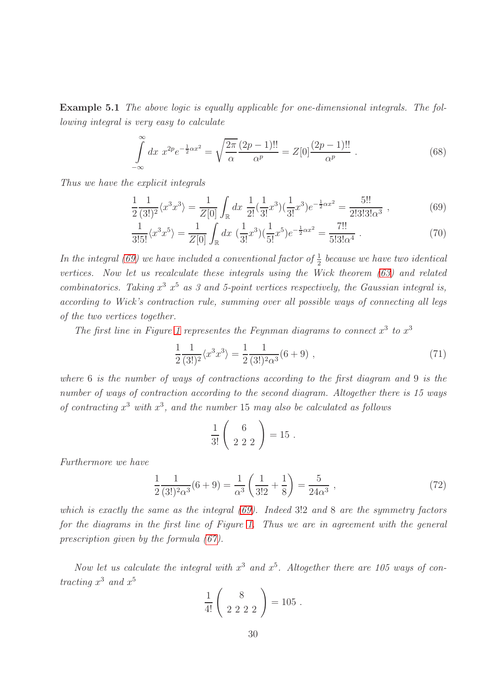Example 5.1 *The above logic is equally applicable for one-dimensional integrals. The following integral is very easy to calculate*

$$
\int_{-\infty}^{\infty} dx \ x^{2p} e^{-\frac{1}{2}\alpha x^2} = \sqrt{\frac{2\pi}{\alpha}} \frac{(2p-1)!!}{\alpha^p} = Z[0] \frac{(2p-1)!!}{\alpha^p} . \tag{68}
$$

*Thus we have the explicit integrals*

<span id="page-29-0"></span>
$$
\frac{1}{2} \frac{1}{(3!)^2} \langle x^3 x^3 \rangle = \frac{1}{Z[0]} \int_{\mathbb{R}} dx \; \frac{1}{2!} (\frac{1}{3!} x^3) (\frac{1}{3!} x^3) e^{-\frac{1}{2} \alpha x^2} = \frac{5!!}{2! \cdot 3! \cdot 3! \alpha^3} \; , \tag{69}
$$

$$
\frac{1}{3!5!} \langle x^3 x^5 \rangle = \frac{1}{Z[0]} \int_{\mathbb{R}} dx \, \left( \frac{1}{3!} x^3 \right) \left( \frac{1}{5!} x^5 \right) e^{-\frac{1}{2} \alpha x^2} = \frac{7!!}{5!3! \alpha^4} \,. \tag{70}
$$

In the integral [\(69\)](#page-29-0) we have included a conventional factor of  $\frac{1}{2}$  $\frac{1}{2}$  because we have two identical *vertices. Now let us recalculate these integrals using the Wick theorem [\(63\)](#page-27-1) and related combinatorics.* Taking  $x^3$   $x^5$  as 3 and 5-point vertices respectively, the Gaussian integral is, *according to Wick's contraction rule, summing over all possible ways of connecting all legs of the two vertices together.*

The first line in Figure [1](#page-30-0) representes the Feynman diagrams to connect  $x^3$  to  $x^3$ 

$$
\frac{1}{2} \frac{1}{(3!)^2} \langle x^3 x^3 \rangle = \frac{1}{2} \frac{1}{(3!)^2 \alpha^3} (6+9) , \qquad (71)
$$

*where* 6 *is the number of ways of contractions according to the first diagram and* 9 *is the number of ways of contraction according to the second diagram. Altogether there is 15 ways of contracting* x <sup>3</sup> *with* x 3 *, and the number* 15 *may also be calculated as follows*

$$
\frac{1}{3!} \left( \begin{array}{c} 6 \\ 2 \ 2 \ 2 \end{array} \right) = 15 \ .
$$

*Furthermore we have*

$$
\frac{1}{2} \frac{1}{(3!)^2 \alpha^3} (6+9) = \frac{1}{\alpha^3} \left( \frac{1}{3!2} + \frac{1}{8} \right) = \frac{5}{24\alpha^3} ,\qquad (72)
$$

*which is exactly the same as the integral [\(69\)](#page-29-0). Indeed* 3!2 *and* 8 *are the symmetry factors for the diagrams in the first line of Figure [1.](#page-30-0) Thus we are in agreement with the general prescription given by the formula [\(67\)](#page-28-0).*

Now let us calculate the integral with  $x^3$  and  $x^5$ . Altogether there are 105 ways of con*tracting*  $x^3$  *and*  $x^5$ 

$$
\frac{1}{4!} \left( \begin{array}{c} 8 \\ 2 \ 2 \ 2 \ 2 \end{array} \right) = 105 \ .
$$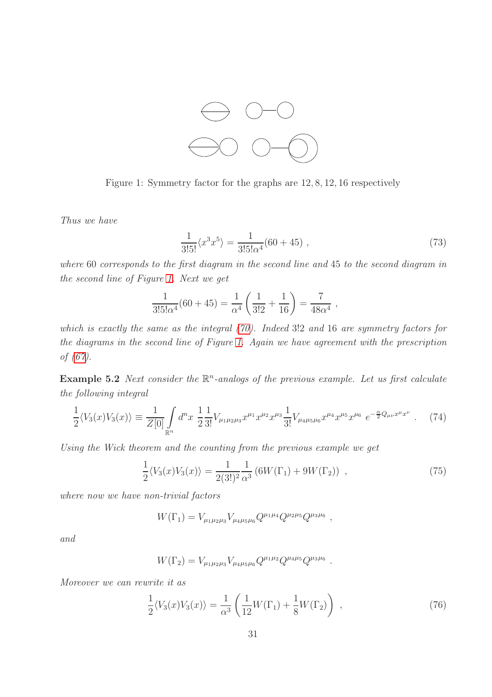

<span id="page-30-0"></span>Figure 1: Symmetry factor for the graphs are 12, 8, 12, 16 respectively

*Thus we have*

$$
\frac{1}{3!5!} \langle x^3 x^5 \rangle = \frac{1}{3!5! \alpha^4} (60 + 45) , \qquad (73)
$$

*where* 60 *corresponds to the first diagram in the second line and* 45 *to the second diagram in the second line of Figure [1.](#page-30-0) Next we get*

$$
\frac{1}{3!5!\alpha^4}(60+45) = \frac{1}{\alpha^4}\left(\frac{1}{3!2} + \frac{1}{16}\right) = \frac{7}{48\alpha^4},
$$

*which is exactly the same as the integral [\(70\)](#page-29-0). Indeed* 3!2 *and* 16 *are symmetry factors for the diagrams in the second line of Figure [1.](#page-30-0) Again we have agreement with the prescription of [\(67\)](#page-28-0).*

Example 5.2 Next consider the  $\mathbb{R}^n$ -analogs of the previous example. Let us first calculate *the following integral*

$$
\frac{1}{2}\langle V_3(x)V_3(x)\rangle \equiv \frac{1}{Z[0]} \int_{\mathbb{R}^n} d^n x \; \frac{1}{2} \frac{1}{3!} V_{\mu_1 \mu_2 \mu_3} x^{\mu_1} x^{\mu_2} x^{\mu_3} \frac{1}{3!} V_{\mu_4 \mu_5 \mu_6} x^{\mu_4} x^{\mu_5} x^{\mu_6} \; e^{-\frac{\alpha}{2} Q_{\mu\nu} x^{\mu} x^{\nu}} \; . \tag{74}
$$

*Using the Wick theorem and the counting from the previous example we get*

$$
\frac{1}{2}\langle V_3(x)V_3(x)\rangle = \frac{1}{2(3!)^2} \frac{1}{\alpha^3} \left(6W(\Gamma_1) + 9W(\Gamma_2)\right) ,\qquad (75)
$$

*where now we have non-trivial factors*

$$
W(\Gamma_1) = V_{\mu_1 \mu_2 \mu_3} V_{\mu_4 \mu_5 \mu_6} Q^{\mu_1 \mu_4} Q^{\mu_2 \mu_5} Q^{\mu_3 \mu_6} ,
$$

*and*

$$
W(\Gamma_2) = V_{\mu_1 \mu_2 \mu_3} V_{\mu_4 \mu_5 \mu_6} Q^{\mu_1 \mu_2} Q^{\mu_4 \mu_5} Q^{\mu_3 \mu_6}.
$$

*Moreover we can rewrite it as*

$$
\frac{1}{2}\langle V_3(x)V_3(x)\rangle = \frac{1}{\alpha^3} \left(\frac{1}{12}W(\Gamma_1) + \frac{1}{8}W(\Gamma_2)\right) ,\qquad (76)
$$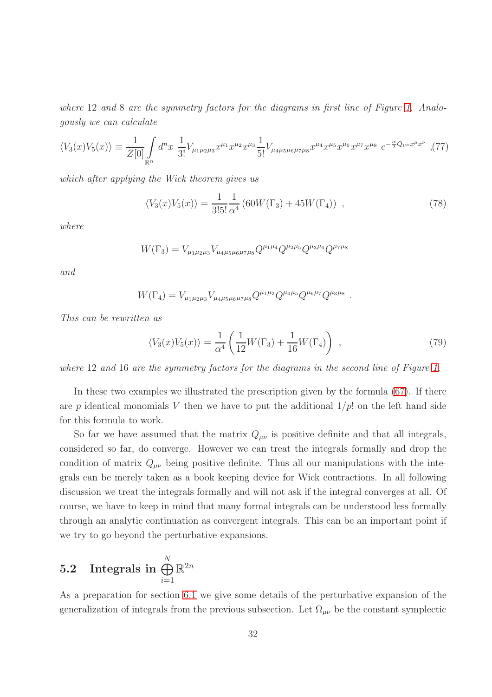*where* 12 *and* 8 *are the symmetry factors for the diagrams in first line of Figure [1.](#page-30-0) Analogously we can calculate*

$$
\langle V_3(x)V_5(x)\rangle \equiv \frac{1}{Z[0]} \int_{\mathbb{R}^n} d^n x \; \frac{1}{3!} V_{\mu_1 \mu_2 \mu_3} x^{\mu_1} x^{\mu_2} x^{\mu_3} \frac{1}{5!} V_{\mu_4 \mu_5 \mu_6 \mu_7 \mu_8} x^{\mu_4} x^{\mu_5} x^{\mu_6} x^{\mu_7} x^{\mu_8} \; e^{-\frac{\alpha}{2} Q_{\mu\nu} x^{\mu} x^{\nu}} \; , \tag{77}
$$

*which after applying the Wick theorem gives us*

$$
\langle V_3(x)V_5(x)\rangle = \frac{1}{3!5!} \frac{1}{\alpha^4} \left(60W(\Gamma_3) + 45W(\Gamma_4)\right) ,\qquad (78)
$$

*where*

$$
W(\Gamma_3) = V_{\mu_1 \mu_2 \mu_3} V_{\mu_4 \mu_5 \mu_6 \mu_7 \mu_8} Q^{\mu_1 \mu_4} Q^{\mu_2 \mu_5} Q^{\mu_3 \mu_6} Q^{\mu_7 \mu_8}
$$

*and*

$$
W(\Gamma_4) = V_{\mu_1 \mu_2 \mu_3} V_{\mu_4 \mu_5 \mu_6 \mu_7 \mu_8} Q^{\mu_1 \mu_2} Q^{\mu_4 \mu_5} Q^{\mu_6 \mu_7} Q^{\mu_3 \mu_8}
$$

*This can be rewritten as*

$$
\langle V_3(x)V_5(x)\rangle = \frac{1}{\alpha^4} \left(\frac{1}{12}W(\Gamma_3) + \frac{1}{16}W(\Gamma_4)\right) ,\qquad (79)
$$

.

*where* 12 *and* 16 *are the symmetry factors for the diagrams in the second line of Figure [1.](#page-30-0)*

In these two examples we illustrated the prescription given by the formula [\(67\)](#page-28-0). If there are p identical monomials V then we have to put the additional  $1/p!$  on the left hand side for this formula to work.

So far we have assumed that the matrix  $Q_{\mu\nu}$  is positive definite and that all integrals, considered so far, do converge. However we can treat the integrals formally and drop the condition of matrix  $Q_{\mu\nu}$  being positive definite. Thus all our manipulations with the integrals can be merely taken as a book keeping device for Wick contractions. In all following discussion we treat the integrals formally and will not ask if the integral converges at all. Of course, we have to keep in mind that many formal integrals can be understood less formally through an analytic continuation as convergent integrals. This can be an important point if we try to go beyond the perturbative expansions.

<span id="page-31-0"></span>
$$
\textbf{5.2} \quad \textbf{Integrals in } \bigoplus_{i=1}^N \mathbb{R}^{2n}
$$

As a preparation for section [6.1](#page-41-1) we give some details of the perturbative expansion of the generalization of integrals from the previous subsection. Let  $\Omega_{\mu\nu}$  be the constant symplectic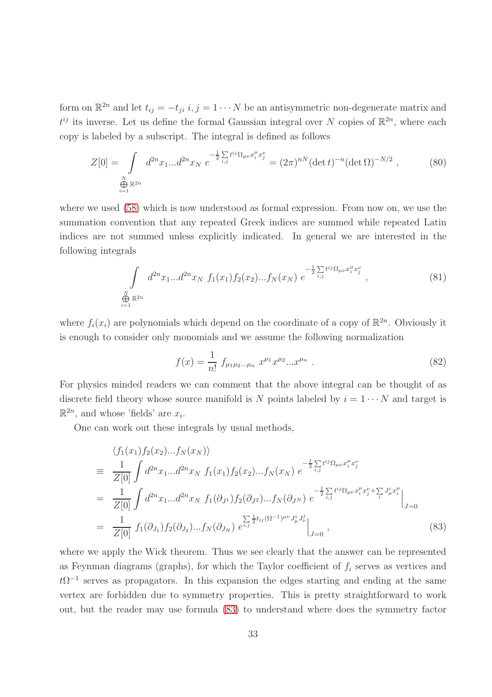form on  $\mathbb{R}^{2n}$  and let  $t_{ij} = -t_{ji}$   $i, j = 1 \cdots N$  be an antisymmetric non-degenerate matrix and  $t^{ij}$  its inverse. Let us define the formal Gaussian integral over N copies of  $\mathbb{R}^{2n}$ , where each copy is labeled by a subscript. The integral is defined as follows

$$
Z[0] = \int_{\substack{N \\ \bigoplus_{i=1}^{N} \mathbb{R}^{2n}}} d^{2n} x_1 ... d^{2n} x_N \ e^{-\frac{1}{2} \sum_{i,j} t^{ij} \Omega_{\mu\nu} x_i^{\mu} x_j^{\nu}} = (2\pi)^{n} (\det t)^{-n} (\det \Omega)^{-N/2} , \qquad (80)
$$

where we used [\(58\)](#page-27-3) which is now understood as formal expression. From now on, we use the summation convention that any repeated Greek indices are summed while repeated Latin indices are not summed unless explicitly indicated. In general we are interested in the following integrals

<span id="page-32-2"></span>
$$
\int_{\substack{N \\ \bigoplus_{i=1}^N \mathbb{R}^{2n}}} d^{2n} x_1 ... d^{2n} x_N f_1(x_1) f_2(x_2) ... f_N(x_N) e^{-\frac{1}{2} \sum_{i,j} t^{ij} \Omega_{\mu\nu} x_i^{\mu} x_j^{\nu}} , \qquad (81)
$$

where  $f_i(x_i)$  are polynomials which depend on the coordinate of a copy of  $\mathbb{R}^{2n}$ . Obviously it is enough to consider only monomials and we assume the following normalization

<span id="page-32-1"></span>
$$
f(x) = \frac{1}{n!} f_{\mu_1 \mu_2 \dots \mu_n} x^{\mu_1} x^{\mu_2} \dots x^{\mu_n} . \tag{82}
$$

For physics minded readers we can comment that the above integral can be thought of as discrete field theory whose source manifold is N points labeled by  $i = 1 \cdots N$  and target is  $\mathbb{R}^{2n}$ , and whose 'fields' are  $x_i$ .

One can work out these integrals by usual methods,

<span id="page-32-0"></span>
$$
\langle f_1(x_1) f_2(x_2) \dots f_N(x_N) \rangle
$$
  
\n
$$
\equiv \frac{1}{Z[0]} \int d^{2n}x_1 \dots d^{2n}x_N f_1(x_1) f_2(x_2) \dots f_N(x_N) e^{-\frac{1}{2} \sum_{i,j} t^{ij} \Omega_{\mu\nu} x_i^{\mu} x_j^{\nu}}
$$
  
\n
$$
= \frac{1}{Z[0]} \int d^{2n}x_1 \dots d^{2n}x_N f_1(\partial_{J_1}) f_2(\partial_{J_2}) \dots f_N(\partial_{J_N}) e^{-\frac{1}{2} \sum_{i,j} t^{ij} \Omega_{\mu\nu} x_i^{\mu} x_j^{\nu} + \sum_{i} J_{\mu}^{i} x_i^{\mu}}
$$
  
\n
$$
= \frac{1}{Z[0]} f_1(\partial_{J_1}) f_2(\partial_{J_2}) \dots f_N(\partial_{J_N}) e^{\sum_{i,j} \frac{1}{2} t_{ij} (\Omega^{-1})^{\mu\nu} J_{\mu}^{i} J_{\nu}^{j}} \Big|_{J=0},
$$
\n(83)

where we apply the Wick theorem. Thus we see clearly that the answer can be represented as Feynman diagrams (graphs), for which the Taylor coefficient of  $f_i$  serves as vertices and  $t\Omega^{-1}$  serves as propagators. In this expansion the edges starting and ending at the same vertex are forbidden due to symmetry properties. This is pretty straightforward to work out, but the reader may use formula [\(83\)](#page-32-0) to understand where does the symmetry factor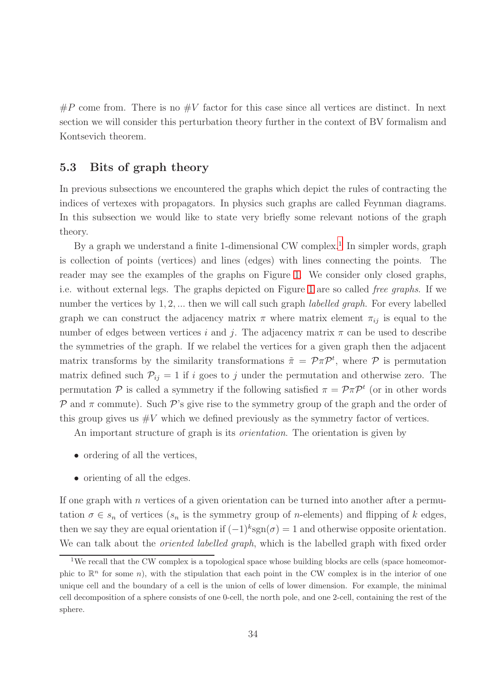$\#P$  come from. There is no  $\#V$  factor for this case since all vertices are distinct. In next section we will consider this perturbation theory further in the context of BV formalism and Kontsevich theorem.

### <span id="page-33-0"></span>5.3 Bits of graph theory

In previous subsections we encountered the graphs which depict the rules of contracting the indices of vertexes with propagators. In physics such graphs are called Feynman diagrams. In this subsection we would like to state very briefly some relevant notions of the graph theory.

By a graph we understand a finite [1](#page-33-1)-dimensional CW complex.<sup>1</sup> In simpler words, graph is collection of points (vertices) and lines (edges) with lines connecting the points. The reader may see the examples of the graphs on Figure [1.](#page-30-0) We consider only closed graphs, i.e. without external legs. The graphs depicted on Figure [1](#page-30-0) are so called *free graphs*. If we number the vertices by 1, 2, ... then we will call such graph *labelled graph*. For every labelled graph we can construct the adjacency matrix  $\pi$  where matrix element  $\pi_{ij}$  is equal to the number of edges between vertices i and j. The adjacency matrix  $\pi$  can be used to describe the symmetries of the graph. If we relabel the vertices for a given graph then the adjacent matrix transforms by the similarity transformations  $\tilde{\pi} = \mathcal{P}\pi\mathcal{P}^t$ , where  $\mathcal P$  is permutation matrix defined such  $P_{ij} = 1$  if i goes to j under the permutation and otherwise zero. The permutation  $P$  is called a symmetry if the following satisfied  $\pi = P \pi P^t$  (or in other words P and  $\pi$  commute). Such P's give rise to the symmetry group of the graph and the order of this group gives us  $\#V$  which we defined previously as the symmetry factor of vertices.

An important structure of graph is its *orientation*. The orientation is given by

- ordering of all the vertices,
- orienting of all the edges.

If one graph with  $n$  vertices of a given orientation can be turned into another after a permutation  $\sigma \in s_n$  of vertices  $(s_n$  is the symmetry group of *n*-elements) and flipping of k edges, then we say they are equal orientation if  $(-1)^k$ sgn $(\sigma) = 1$  and otherwise opposite orientation. We can talk about the *oriented labelled graph*, which is the labelled graph with fixed order

<span id="page-33-1"></span><sup>&</sup>lt;sup>1</sup>We recall that the CW complex is a topological space whose building blocks are cells (space homeomorphic to  $\mathbb{R}^n$  for some n), with the stipulation that each point in the CW complex is in the interior of one unique cell and the boundary of a cell is the union of cells of lower dimension. For example, the minimal cell decomposition of a sphere consists of one 0-cell, the north pole, and one 2-cell, containing the rest of the sphere.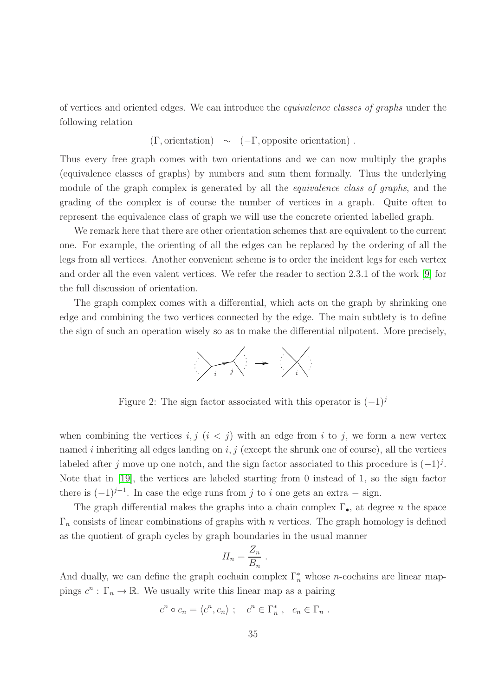of vertices and oriented edges. We can introduce the *equivalence classes of graphs* under the following relation

 $(\Gamma,$  orientation) ~  $(-\Gamma,$  opposite orientation).

Thus every free graph comes with two orientations and we can now multiply the graphs (equivalence classes of graphs) by numbers and sum them formally. Thus the underlying module of the graph complex is generated by all the *equivalence class of graphs*, and the grading of the complex is of course the number of vertices in a graph. Quite often to represent the equivalence class of graph we will use the concrete oriented labelled graph.

We remark here that there are other orientation schemes that are equivalent to the current one. For example, the orienting of all the edges can be replaced by the ordering of all the legs from all vertices. Another convenient scheme is to order the incident legs for each vertex and order all the even valent vertices. We refer the reader to section 2.3.1 of the work [\[9\]](#page-65-5) for the full discussion of orientation.

The graph complex comes with a differential, which acts on the graph by shrinking one edge and combining the two vertices connected by the edge. The main subtlety is to define the sign of such an operation wisely so as to make the differential nilpotent. More precisely,



Figure 2: The sign factor associated with this operator is  $(-1)^j$ 

when combining the vertices  $i, j \ (i \leq j)$  with an edge from i to j, we form a new vertex named i inheriting all edges landing on  $i, j$  (except the shrunk one of course), all the vertices labeled after j move up one notch, and the sign factor associated to this procedure is  $(-1)^j$ . Note that in [\[19\]](#page-66-6), the vertices are labeled starting from 0 instead of 1, so the sign factor there is  $(-1)^{j+1}$ . In case the edge runs from j to i one gets an extra – sign.

The graph differential makes the graphs into a chain complex  $\Gamma_{\bullet}$ , at degree n the space  $\Gamma_n$  consists of linear combinations of graphs with *n* vertices. The graph homology is defined as the quotient of graph cycles by graph boundaries in the usual manner

$$
H_n = \frac{Z_n}{B_n} .
$$

And dually, we can define the graph cochain complex  $\Gamma_n^*$  whose *n*-cochains are linear mappings  $c^n : \Gamma_n \to \mathbb{R}$ . We usually write this linear map as a pairing

$$
c^n \circ c_n = \langle c^n, c_n \rangle ; \quad c^n \in \Gamma_n^* , \quad c_n \in \Gamma_n .
$$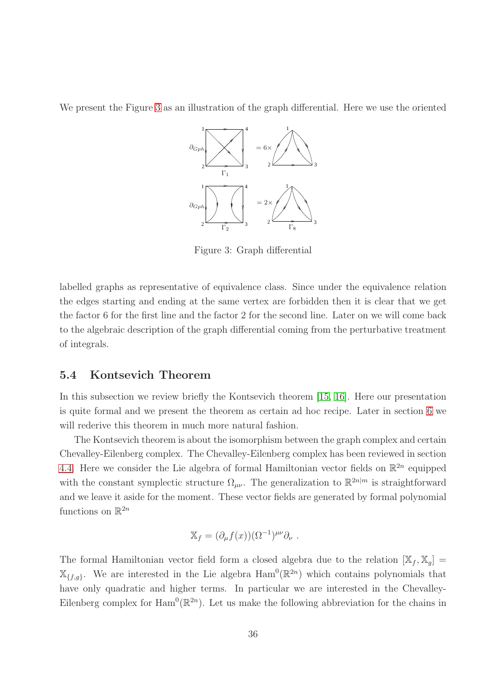We present the Figure [3](#page-35-1) as an illustration of the graph differential. Here we use the oriented



<span id="page-35-1"></span>Figure 3: Graph differential

labelled graphs as representative of equivalence class. Since under the equivalence relation the edges starting and ending at the same vertex are forbidden then it is clear that we get the factor 6 for the first line and the factor 2 for the second line. Later on we will come back to the algebraic description of the graph differential coming from the perturbative treatment of integrals.

### <span id="page-35-0"></span>5.4 Kontsevich Theorem

In this subsection we review briefly the Kontsevich theorem [\[15,](#page-65-6) [16\]](#page-65-0). Here our presentation is quite formal and we present the theorem as certain ad hoc recipe. Later in section [6](#page-41-0) we will rederive this theorem in much more natural fashion.

The Kontsevich theorem is about the isomorphism between the graph complex and certain Chevalley-Eilenberg complex. The Chevalley-Eilenberg complex has been reviewed in section [4.4.](#page-22-0) Here we consider the Lie algebra of formal Hamiltonian vector fields on  $\mathbb{R}^{2n}$  equipped with the constant symplectic structure  $\Omega_{\mu\nu}$ . The generalization to  $\mathbb{R}^{2n|m}$  is straightforward and we leave it aside for the moment. These vector fields are generated by formal polynomial functions on  $\mathbb{R}^{2n}$ 

$$
\mathbb{X}_f = (\partial_\mu f(x))(\Omega^{-1})^{\mu\nu}\partial_\nu.
$$

The formal Hamiltonian vector field form a closed algebra due to the relation  $[\mathbb{X}_f, \mathbb{X}_g] =$  $\mathbb{X}_{\{f,g\}}$ . We are interested in the Lie algebra  $\text{Ham}^0(\mathbb{R}^{2n})$  which contains polynomials that have only quadratic and higher terms. In particular we are interested in the Chevalley-Eilenberg complex for  $\text{Ham}^0(\mathbb{R}^{2n})$ . Let us make the following abbreviation for the chains in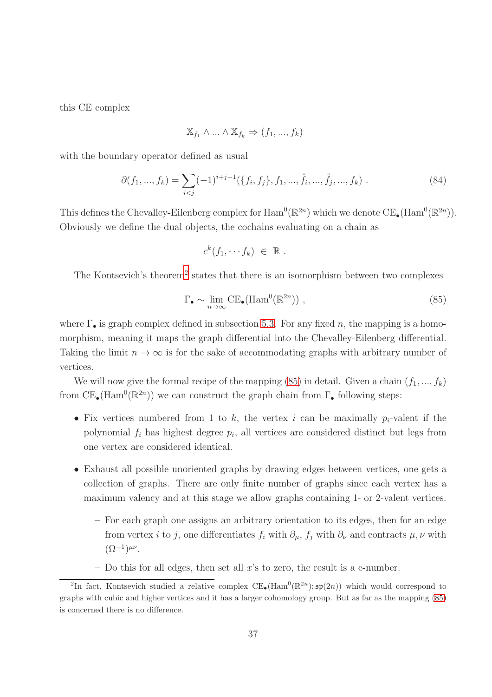this CE complex

$$
\mathbb{X}_{f_1} \wedge \ldots \wedge \mathbb{X}_{f_k} \Rightarrow (f_1, ..., f_k)
$$

with the boundary operator defined as usual

<span id="page-36-2"></span>
$$
\partial(f_1, ..., f_k) = \sum_{i < j} (-1)^{i+j+1} (\{f_i, f_j\}, f_1, ..., \hat{f}_i, ..., \hat{f}_j, ..., f_k) \tag{84}
$$

This defines the Chevalley-Eilenberg complex for  $\text{Ham}^0(\mathbb{R}^{2n})$  which we denote  $\text{CE}_{\bullet}(\text{Ham}^0(\mathbb{R}^{2n}))$ . Obviously we define the dual objects, the cochains evaluating on a chain as

$$
c^k(f_1,\cdots f_k) \in \mathbb{R} .
$$

The Kontsevich's theorem<sup>[2](#page-36-0)</sup> states that there is an isomorphism between two complexes

<span id="page-36-1"></span>
$$
\Gamma_{\bullet} \sim \lim_{n \to \infty} \mathrm{CE}_{\bullet}(\mathrm{Ham}^{0}(\mathbb{R}^{2n})) \;, \tag{85}
$$

where  $\Gamma_{\bullet}$  is graph complex defined in subsection [5.3.](#page-33-0) For any fixed n, the mapping is a homomorphism, meaning it maps the graph differential into the Chevalley-Eilenberg differential. Taking the limit  $n \to \infty$  is for the sake of accommodating graphs with arbitrary number of vertices.

We will now give the formal recipe of the mapping [\(85\)](#page-36-1) in detail. Given a chain  $(f_1, ..., f_k)$ from  $CE_{\bullet}(\text{Ham}^0(\mathbb{R}^{2n}))$  we can construct the graph chain from  $\Gamma_{\bullet}$  following steps:

- Fix vertices numbered from 1 to k, the vertex i can be maximally  $p_i$ -valent if the polynomial  $f_i$  has highest degree  $p_i$ , all vertices are considered distinct but legs from one vertex are considered identical.
- Exhaust all possible unoriented graphs by drawing edges between vertices, one gets a collection of graphs. There are only finite number of graphs since each vertex has a maximum valency and at this stage we allow graphs containing 1- or 2-valent vertices.
	- For each graph one assigns an arbitrary orientation to its edges, then for an edge from vertex i to j, one differentiates  $f_i$  with  $\partial_\mu$ ,  $f_j$  with  $\partial_\nu$  and contracts  $\mu$ ,  $\nu$  with  $(\Omega^{-1})^{\mu\nu}$ .
	- $-$  Do this for all edges, then set all x's to zero, the result is a c-number.

<span id="page-36-0"></span><sup>&</sup>lt;sup>2</sup>In fact, Kontsevich studied a relative complex  $CE_{\bullet}(\text{Ham}^0(\mathbb{R}^{2n}); \mathfrak{sp}(2n))$  which would correspond to graphs with cubic and higher vertices and it has a larger cohomology group. But as far as the mapping [\(85\)](#page-36-1) is concerned there is no difference.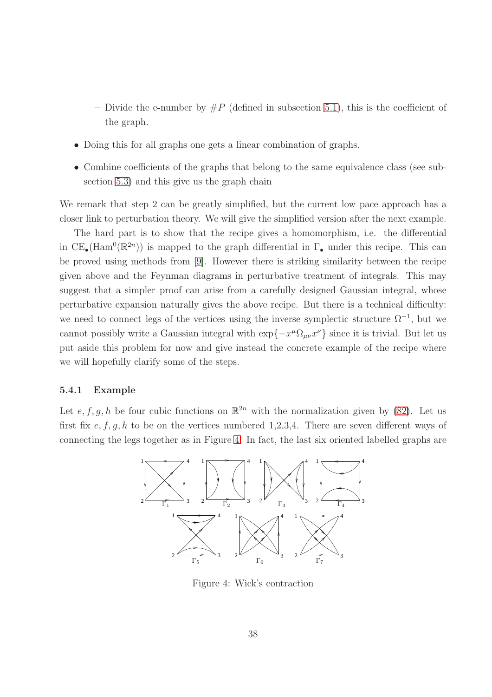- Divide the c-number by  $\#P$  (defined in subsection [5.1\)](#page-26-1), this is the coefficient of the graph.
- Doing this for all graphs one gets a linear combination of graphs.
- Combine coefficients of the graphs that belong to the same equivalence class (see subsection [5.3\)](#page-33-0) and this give us the graph chain

We remark that step 2 can be greatly simplified, but the current low pace approach has a closer link to perturbation theory. We will give the simplified version after the next example.

The hard part is to show that the recipe gives a homomorphism, i.e. the differential in  $CE_{\bullet}(\text{Ham}^{0}(\mathbb{R}^{2n}))$  is mapped to the graph differential in  $\Gamma_{\bullet}$  under this recipe. This can be proved using methods from [\[9\]](#page-65-5). However there is striking similarity between the recipe given above and the Feynman diagrams in perturbative treatment of integrals. This may suggest that a simpler proof can arise from a carefully designed Gaussian integral, whose perturbative expansion naturally gives the above recipe. But there is a technical difficulty: we need to connect legs of the vertices using the inverse symplectic structure  $\Omega^{-1}$ , but we cannot possibly write a Gaussian integral with  $\exp\{-x^{\mu}\Omega_{\mu\nu}x^{\nu}\}\$  since it is trivial. But let us put aside this problem for now and give instead the concrete example of the recipe where we will hopefully clarify some of the steps.

#### <span id="page-37-0"></span>5.4.1 Example

Let e, f, g, h be four cubic functions on  $\mathbb{R}^{2n}$  with the normalization given by [\(82\)](#page-32-1). Let us first fix  $e, f, g, h$  to be on the vertices numbered 1,2,3,4. There are seven different ways of connecting the legs together as in Figure [4.](#page-37-1) In fact, the last six oriented labelled graphs are



<span id="page-37-1"></span>Figure 4: Wick's contraction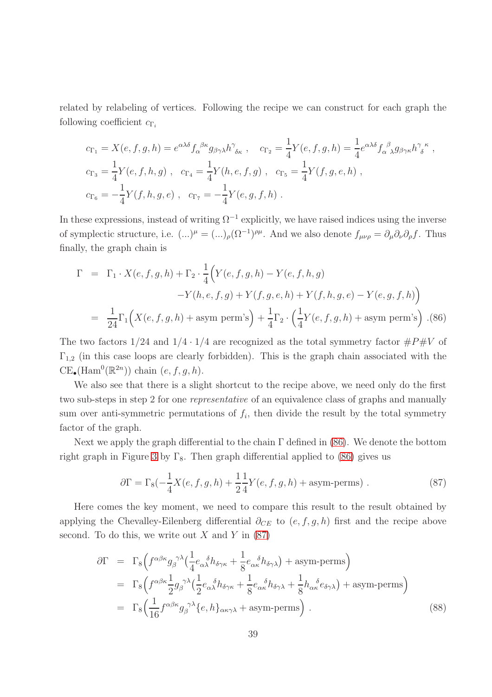related by relabeling of vertices. Following the recipe we can construct for each graph the following coefficient  $c_{\Gamma_i}$ 

$$
c_{\Gamma_1} = X(e, f, g, h) = e^{\alpha \lambda \delta} f_{\alpha}^{\ \beta \kappa} g_{\beta \gamma \lambda} h^{\gamma}_{\ \delta \kappa} , \quad c_{\Gamma_2} = \frac{1}{4} Y(e, f, g, h) = \frac{1}{4} e^{\alpha \lambda \delta} f_{\alpha}^{\ \beta} g_{\beta \gamma \kappa} h^{\gamma}_{\ \delta}^{\ \kappa} ,
$$
  
\n
$$
c_{\Gamma_3} = \frac{1}{4} Y(e, f, h, g) , \quad c_{\Gamma_4} = \frac{1}{4} Y(h, e, f, g) , \quad c_{\Gamma_5} = \frac{1}{4} Y(f, g, e, h) ,
$$
  
\n
$$
c_{\Gamma_6} = -\frac{1}{4} Y(f, h, g, e) , \quad c_{\Gamma_7} = -\frac{1}{4} Y(e, g, f, h) .
$$

In these expressions, instead of writing  $\Omega^{-1}$  explicitly, we have raised indices using the inverse of symplectic structure, i.e.  $(...)^{\mu} = (...)_{\rho}(\Omega^{-1})^{\rho\mu}$ . And we also denote  $f_{\mu\nu\rho} = \partial_{\mu}\partial_{\nu}\partial_{\rho}f$ . Thus finally, the graph chain is

<span id="page-38-0"></span>
$$
\Gamma = \Gamma_1 \cdot X(e, f, g, h) + \Gamma_2 \cdot \frac{1}{4} \Big( Y(e, f, g, h) - Y(e, f, h, g) \n- Y(h, e, f, g) + Y(f, g, e, h) + Y(f, h, g, e) - Y(e, g, f, h) \Big) \n= \frac{1}{24} \Gamma_1 \Big( X(e, f, g, h) + \text{asym perm's} \Big) + \frac{1}{4} \Gamma_2 \cdot \Big( \frac{1}{4} Y(e, f, g, h) + \text{asym perm's} \Big) . (86)
$$

The two factors  $1/24$  and  $1/4 \cdot 1/4$  are recognized as the total symmetry factor  $\#P\#V$  of  $\Gamma_{1,2}$  (in this case loops are clearly forbidden). This is the graph chain associated with the  $CE_{\bullet}(\text{Ham}^{0}(\mathbb{R}^{2n}))$  chain  $(e, f, g, h)$ .

We also see that there is a slight shortcut to the recipe above, we need only do the first two sub-steps in step 2 for one *representative* of an equivalence class of graphs and manually sum over anti-symmetric permutations of  $f_i$ , then divide the result by the total symmetry factor of the graph.

Next we apply the graph differential to the chain Γ defined in [\(86\)](#page-38-0). We denote the bottom right graph in Figure [3](#page-35-1) by  $\Gamma_8$ . Then graph differential applied to [\(86\)](#page-38-0) gives us

<span id="page-38-1"></span>
$$
\partial \Gamma = \Gamma_8(-\frac{1}{4}X(e, f, g, h) + \frac{1}{2}\frac{1}{4}Y(e, f, g, h) + \text{asym-perms}).
$$
\n(87)

Here comes the key moment, we need to compare this result to the result obtained by applying the Chevalley-Eilenberg differential  $\partial_{CE}$  to  $(e, f, g, h)$  first and the recipe above second. To do this, we write out  $X$  and  $Y$  in [\(87\)](#page-38-1)

<span id="page-38-2"></span>
$$
\partial \Gamma = \Gamma_8 \Big( f^{\alpha \beta \kappa} g_{\beta}^{\ \gamma \lambda} \Big( \frac{1}{4} e_{\alpha \lambda}^{\ \delta} h_{\delta \gamma \kappa} + \frac{1}{8} e_{\alpha \kappa}^{\ \delta} h_{\delta \gamma \lambda} \Big) + \text{asym-perms} \Big)
$$
  
\n
$$
= \Gamma_8 \Big( f^{\alpha \beta \kappa} \frac{1}{2} g_{\beta}^{\ \gamma \lambda} \Big( \frac{1}{2} e_{\alpha \lambda}^{\ \delta} h_{\delta \gamma \kappa} + \frac{1}{8} e_{\alpha \kappa}^{\ \delta} h_{\delta \gamma \lambda} + \frac{1}{8} h_{\alpha \kappa}^{\ \delta} e_{\delta \gamma \lambda} \Big) + \text{asym-perms} \Big)
$$
  
\n
$$
= \Gamma_8 \Big( \frac{1}{16} f^{\alpha \beta \kappa} g_{\beta}^{\ \gamma \lambda} \{e, h\}_{\alpha \kappa \gamma \lambda} + \text{asym-perms} \Big) . \tag{88}
$$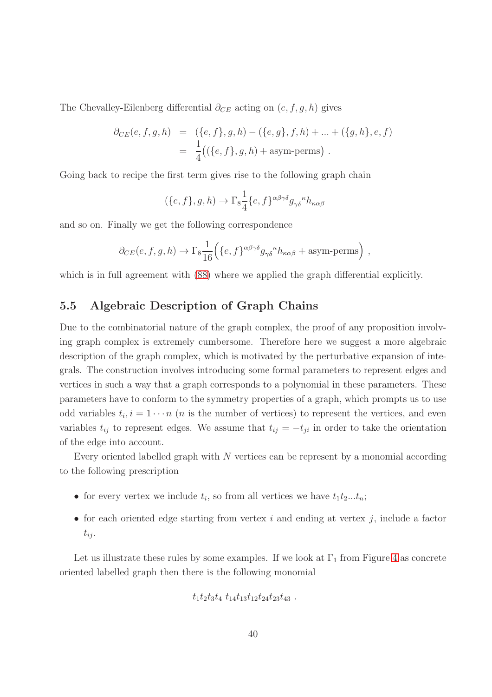The Chevalley-Eilenberg differential  $\partial_{CE}$  acting on  $(e, f, g, h)$  gives

$$
\partial_{CE}(e, f, g, h) = (\{e, f\}, g, h) - (\{e, g\}, f, h) + \dots + (\{g, h\}, e, f)
$$
  
=  $\frac{1}{4}((\{e, f\}, g, h) + \text{asym-perms})$ .

Going back to recipe the first term gives rise to the following graph chain

$$
(\{e,f\},g,h)\to \Gamma_8\frac{1}{4}\{e,f\}^{\alpha\beta\gamma\delta}g_{\gamma\delta}^{\ \ k}h_{\kappa\alpha\beta}
$$

and so on. Finally we get the following correspondence

$$
\partial_{CE}(e, f, g, h) \to \Gamma_8 \frac{1}{16} \Big( \{e, f\}^{\alpha \beta \gamma \delta} g_{\gamma \delta}^{\ \ k} h_{\kappa \alpha \beta} + \text{asym-perms} \Big) ,
$$

<span id="page-39-0"></span>which is in full agreement with  $(88)$  where we applied the graph differential explicitly.

### 5.5 Algebraic Description of Graph Chains

Due to the combinatorial nature of the graph complex, the proof of any proposition involving graph complex is extremely cumbersome. Therefore here we suggest a more algebraic description of the graph complex, which is motivated by the perturbative expansion of integrals. The construction involves introducing some formal parameters to represent edges and vertices in such a way that a graph corresponds to a polynomial in these parameters. These parameters have to conform to the symmetry properties of a graph, which prompts us to use odd variables  $t_i, i = 1 \cdots n$  (*n* is the number of vertices) to represent the vertices, and even variables  $t_{ij}$  to represent edges. We assume that  $t_{ij} = -t_{ji}$  in order to take the orientation of the edge into account.

Every oriented labelled graph with  $N$  vertices can be represent by a monomial according to the following prescription

- for every vertex we include  $t_i$ , so from all vertices we have  $t_1t_2...t_n$ ;
- for each oriented edge starting from vertex  $i$  and ending at vertex  $j$ , include a factor  $t_{ij}$ .

Let us illustrate these rules by some examples. If we look at  $\Gamma_1$  from Figure [4](#page-37-1) as concrete oriented labelled graph then there is the following monomial

$$
t_1t_2t_3t_4\ t_{14}t_{13}t_{12}t_{24}t_{23}t_{43}\ .
$$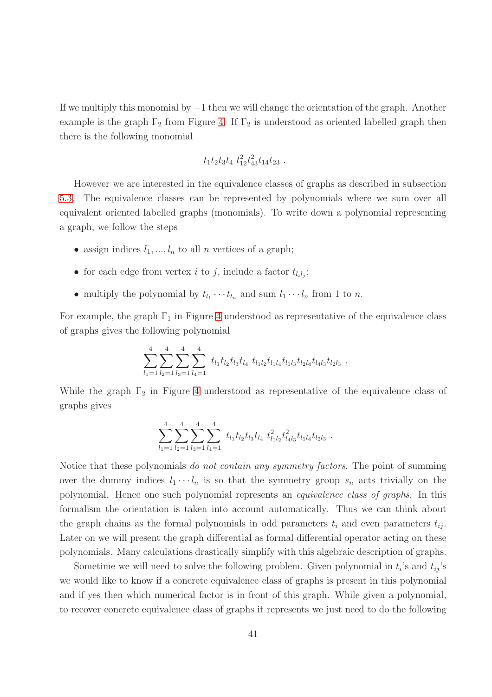If we multiply this monomial by −1 then we will change the orientation of the graph. Another example is the graph  $\Gamma_2$  from Figure [4.](#page-37-1) If  $\Gamma_2$  is understood as oriented labelled graph then there is the following monomial

$$
t_1t_2t_3t_4\ t_{12}^2t_{43}^2t_{14}t_{23}.
$$

However we are interested in the equivalence classes of graphs as described in subsection [5.3.](#page-33-0) The equivalence classes can be represented by polynomials where we sum over all equivalent oriented labelled graphs (monomials). To write down a polynomial representing a graph, we follow the steps

- assign indices  $l_1, ..., l_n$  to all n vertices of a graph;
- for each edge from vertex *i* to *j*, include a factor  $t_{l_i l_j}$ ;
- multiply the polynomial by  $t_{l_1} \cdots t_{l_n}$  and sum  $l_1 \cdots l_n$  from 1 to *n*.

For example, the graph  $\Gamma_1$  in Figure [4](#page-37-1) understood as representative of the equivalence class of graphs gives the following polynomial

$$
\sum_{l_1=1}^4 \sum_{l_2=1}^4 \sum_{l_3=1}^4 \sum_{l_4=1}^4 t_{l_1} t_{l_2} t_{l_3} t_{l_4} t_{l_1l_2} t_{l_1l_4} t_{l_1l_3} t_{l_2l_4} t_{l_4l_3} t_{l_2l_3}.
$$

While the graph  $\Gamma_2$  in Figure [4](#page-37-1) understood as representative of the equivalence class of graphs gives

$$
\sum_{l_1=1}^4 \sum_{l_2=1}^4 \sum_{l_3=1}^4 \sum_{l_4=1}^4 t_{l_1} t_{l_2} t_{l_3} t_{l_4} t_{l_1l_2}^2 t_{l_4l_3}^2 t_{l_1l_4} t_{l_2l_3}.
$$

Notice that these polynomials *do not contain any symmetry factors*. The point of summing over the dummy indices  $l_1 \cdots l_n$  is so that the symmetry group  $s_n$  acts trivially on the polynomial. Hence one such polynomial represents an *equivalence class of graphs*. In this formalism the orientation is taken into account automatically. Thus we can think about the graph chains as the formal polynomials in odd parameters  $t_i$  and even parameters  $t_{ij}$ . Later on we will present the graph differential as formal differential operator acting on these polynomials. Many calculations drastically simplify with this algebraic description of graphs.

Sometime we will need to solve the following problem. Given polynomial in  $t_i$ 's and  $t_{ij}$ 's we would like to know if a concrete equivalence class of graphs is present in this polynomial and if yes then which numerical factor is in front of this graph. While given a polynomial, to recover concrete equivalence class of graphs it represents we just need to do the following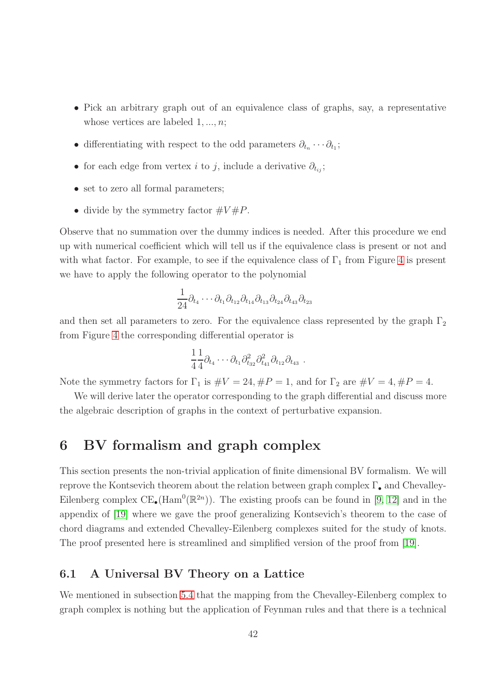- Pick an arbitrary graph out of an equivalence class of graphs, say, a representative whose vertices are labeled  $1, ..., n$ ;
- differentiating with respect to the odd parameters  $\partial_{t_n} \cdots \partial_{t_1}$ ;
- for each edge from vertex i to j, include a derivative  $\partial_{t_{ij}}$ ;
- set to zero all formal parameters;
- divide by the symmetry factor  $\#V\#P$ .

Observe that no summation over the dummy indices is needed. After this procedure we end up with numerical coefficient which will tell us if the equivalence class is present or not and with what factor. For example, to see if the equivalence class of  $\Gamma_1$  from Figure [4](#page-37-1) is present we have to apply the following operator to the polynomial

$$
\frac{1}{24}\partial_{t_4}\cdots\partial_{t_1}\partial_{t_{12}}\partial_{t_{14}}\partial_{t_{13}}\partial_{t_{24}}\partial_{t_{43}}\partial_{t_{23}}
$$

and then set all parameters to zero. For the equivalence class represented by the graph  $\Gamma_2$ from Figure [4](#page-37-1) the corresponding differential operator is

$$
\frac{1}{4}\frac{1}{4}\partial_{t_4}\cdots\partial_{t_1}\partial_{t_{32}}^2\partial_{t_{41}}^2\partial_{t_{12}}\partial_{t_{43}}.
$$

Note the symmetry factors for  $\Gamma_1$  is  $\#V = 24, \#P = 1$ , and for  $\Gamma_2$  are  $\#V = 4, \#P = 4$ .

We will derive later the operator corresponding to the graph differential and discuss more the algebraic description of graphs in the context of perturbative expansion.

# <span id="page-41-0"></span>6 BV formalism and graph complex

This section presents the non-trivial application of finite dimensional BV formalism. We will reprove the Kontsevich theorem about the relation between graph complex  $\Gamma_{\bullet}$  and Chevalley-Eilenberg complex  $CE_{\bullet}(\text{Ham}^{0}(\mathbb{R}^{2n}))$ . The existing proofs can be found in [\[9,](#page-65-5) [12\]](#page-65-7) and in the appendix of [\[19\]](#page-66-6) where we gave the proof generalizing Kontsevich's theorem to the case of chord diagrams and extended Chevalley-Eilenberg complexes suited for the study of knots. The proof presented here is streamlined and simplified version of the proof from [\[19\]](#page-66-6).

### <span id="page-41-1"></span>6.1 A Universal BV Theory on a Lattice

We mentioned in subsection [5.4](#page-35-0) that the mapping from the Chevalley-Eilenberg complex to graph complex is nothing but the application of Feynman rules and that there is a technical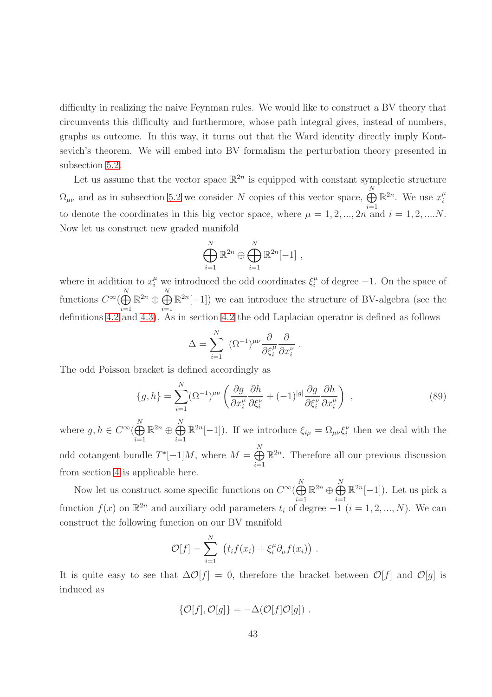difficulty in realizing the naive Feynman rules. We would like to construct a BV theory that circumvents this difficulty and furthermore, whose path integral gives, instead of numbers, graphs as outcome. In this way, it turns out that the Ward identity directly imply Kontsevich's theorem. We will embed into BV formalism the perturbation theory presented in subsection [5.2.](#page-31-0)

Let us assume that the vector space  $\mathbb{R}^{2n}$  is equipped with constant symplectic structure  $\Omega_{\mu\nu}$  and as in subsection [5.2](#page-31-0) we consider N copies of this vector space,  $\bigoplus^{N}$  $i=1$  $\mathbb{R}^{2n}$ . We use  $x_i^{\mu}$ i to denote the coordinates in this big vector space, where  $\mu = 1, 2, ..., 2n$  and  $i = 1, 2, ...$ Now let us construct new graded manifold

$$
\bigoplus_{i=1}^N \mathbb{R}^{2n} \oplus \bigoplus_{i=1}^N \mathbb{R}^{2n}[-1],
$$

where in addition to  $x_i^{\mu}$  we introduced the odd coordinates  $\xi_i^{\mu}$  $\mu$ <sup> $\mu$ </sup> of degree -1. On the space of functions  $C^{\infty}(\bigoplus^N)$  $i=1$  $\mathbb{R}^{2n}\oplus\bigoplus\limits_{i=1}^N$  $i=1$  $\mathbb{R}^{2n}[-1]$ ) we can introduce the structure of BV-algebra (see the definitions [4.2](#page-17-2) and [4.3\)](#page-18-2). As in section [4.2](#page-15-0) the odd Laplacian operator is defined as follows

$$
\Delta = \sum_{i=1}^{N} \left( \Omega^{-1} \right)^{\mu \nu} \frac{\partial}{\partial \xi_i^{\mu}} \frac{\partial}{\partial x_i^{\nu}}.
$$

The odd Poisson bracket is defined accordingly as

$$
\{g,h\} = \sum_{i=1}^{N} (\Omega^{-1})^{\mu\nu} \left( \frac{\partial g}{\partial x_i^{\mu}} \frac{\partial h}{\partial \xi_i^{\nu}} + (-1)^{|g|} \frac{\partial g}{\partial \xi_i^{\nu}} \frac{\partial h}{\partial x_i^{\mu}} \right) ,
$$
\n(89)

where  $g, h \in C^{\infty}(\bigoplus_{i=1}^{N} A_i)$  $i=1$  $\mathbb{R}^{2n}\oplus\bigoplus_{n=1}^N$  $i=1$  $\mathbb{R}^{2n}[-1]$ ). If we introduce  $\xi_{i\mu} = \Omega_{\mu\nu}\xi_i^{\nu}$  then we deal with the odd cotangent bundle  $T^*[-1]M$ , where  $M = \bigoplus_{i=1}^N$  $i=1$  $\mathbb{R}^{2n}$ . Therefore all our previous discussion from section [4](#page-14-0) is applicable here.

Now let us construct some specific functions on  $C^{\infty}(\bigoplus^N)$  $i=1$  $\mathbb{R}^{2n}\oplus\bigoplus_1^N$  $i=1$  $\mathbb{R}^{2n}[-1]$ ). Let us pick a function  $f(x)$  on  $\mathbb{R}^{2n}$  and auxiliary odd parameters  $t_i$  of degree  $-1$   $(i = 1, 2, ..., N)$ . We can construct the following function on our BV manifold

$$
\mathcal{O}[f] = \sum_{i=1}^N \left( t_i f(x_i) + \xi_i^{\mu} \partial_{\mu} f(x_i) \right) .
$$

It is quite easy to see that  $\Delta\mathcal{O}[f] = 0$ , therefore the bracket between  $\mathcal{O}[f]$  and  $\mathcal{O}[g]$  is induced as

$$
\{\mathcal{O}[f], \mathcal{O}[g]\} = -\Delta(\mathcal{O}[f]\mathcal{O}[g]) \ .
$$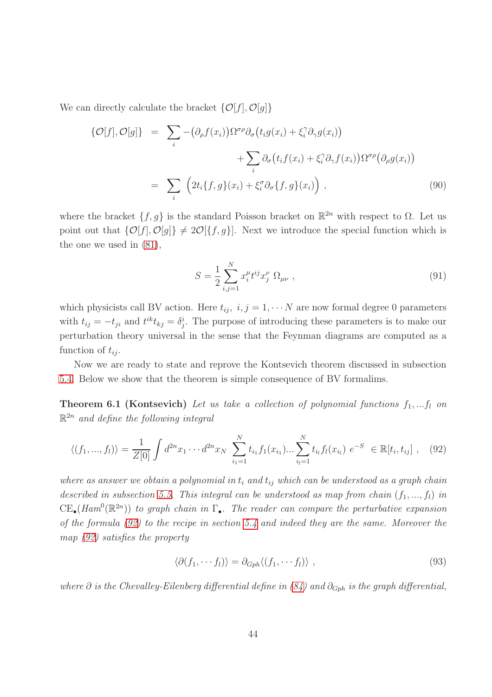We can directly calculate the bracket  $\{\mathcal{O}[f], \mathcal{O}[g]\}$ 

<span id="page-43-3"></span>
$$
\{\mathcal{O}[f], \mathcal{O}[g]\} = \sum_{i} -(\partial_{\rho}f(x_{i}))\Omega^{\sigma\rho}\partial_{\sigma}\left(t_{i}g(x_{i}) + \xi_{i}^{\gamma}\partial_{\gamma}g(x_{i})\right) + \sum_{i}\partial_{\sigma}\left(t_{i}f(x_{i}) + \xi_{i}^{\gamma}\partial_{\gamma}f(x_{i})\right)\Omega^{\sigma\rho}\left(\partial_{\rho}g(x_{i})\right) = \sum_{i}\left(2t_{i}\{f,g\}(x_{i}) + \xi_{i}^{\sigma}\partial_{\sigma}\{f,g\}(x_{i})\right),
$$
(90)

where the bracket  $\{f, g\}$  is the standard Poisson bracket on  $\mathbb{R}^{2n}$  with respect to  $\Omega$ . Let us point out that  $\{\mathcal{O}[f], \mathcal{O}[g]\} \neq 2\mathcal{O}[\{f, g\}]$ . Next we introduce the special function which is the one we used in [\(81\)](#page-32-2),

$$
S = \frac{1}{2} \sum_{i,j=1}^{N} x_i^{\mu} t^{ij} x_j^{\nu} \Omega_{\mu\nu} , \qquad (91)
$$

which physicists call BV action. Here  $t_{ij}$ ,  $i, j = 1, \cdots N$  are now formal degree 0 parameters with  $t_{ij} = -t_{ji}$  and  $t^{ik}t_{kj} = \delta^i_j$ . The purpose of introducing these parameters is to make our perturbation theory universal in the sense that the Feynman diagrams are computed as a function of  $t_{ij}$ .

<span id="page-43-0"></span>Now we are ready to state and reprove the Kontsevich theorem discussed in subsection [5.4.](#page-35-0) Below we show that the theorem is simple consequence of BV formalims.

**Theorem 6.1 (Kontsevich)** Let us take a collection of polynomial functions  $f_1, \ldots, f_l$  on R <sup>2</sup><sup>n</sup> *and define the following integral*

<span id="page-43-1"></span>
$$
\langle (f_1, ..., f_l) \rangle = \frac{1}{Z[0]} \int d^{2n} x_1 \cdots d^{2n} x_N \sum_{i_1=1}^N t_{i_1} f_1(x_{i_1}) \cdots \sum_{i_l=1}^N t_{i_l} f_l(x_{i_l}) e^{-S} \in \mathbb{R}[t_i, t_{ij}] , \quad (92)
$$

*where as answer we obtain a polynomial in*  $t_i$  *and*  $t_{ij}$  *which can be understood as a graph chain described in subsection* [5.5.](#page-39-0) This integral can be understood as map from chain  $(f_1, ..., f_l)$  *in*  $CE_{\bullet}(Ham^0(\mathbb{R}^{2n}))$  *to graph chain in*  $\Gamma_{\bullet}$ *. The reader can compare the perturbative expansion of the formula [\(92\)](#page-43-1) to the recipe in section [5.4](#page-35-0) and indeed they are the same. Moreover the map [\(92\)](#page-43-1) satisfies the property*

<span id="page-43-2"></span>
$$
\langle \partial (f_1, \cdots f_l) \rangle = \partial_{Gph} \langle (f_1, \cdots f_l) \rangle , \qquad (93)
$$

*where* ∂ *is the Chevalley-Eilenberg differential define in* [\(84\)](#page-36-2) and ∂<sub>Gph</sub> *is the graph differential*,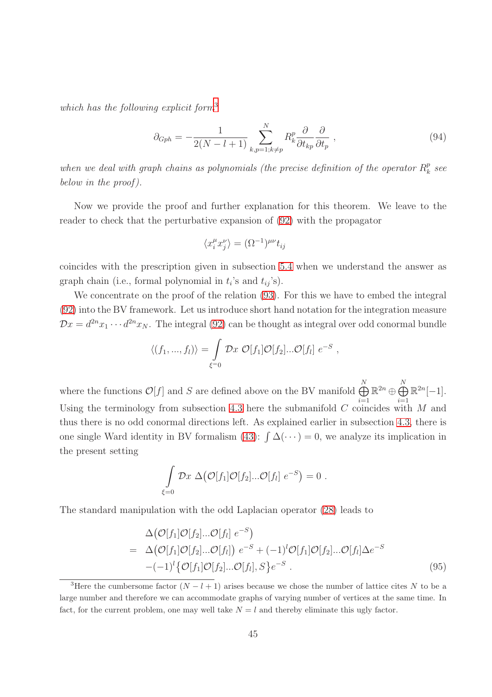*which has the following explicit form*[3](#page-44-0)

<span id="page-44-2"></span>
$$
\partial_{Gph} = -\frac{1}{2(N-l+1)} \sum_{k,p=1;k\neq p}^{N} R_k^p \frac{\partial}{\partial t_{kp}} \frac{\partial}{\partial t_p} , \qquad (94)
$$

when we deal with graph chains as polynomials (the precise definition of the operator  $R_k^p$ ) k *see below in the proof ).*

Now we provide the proof and further explanation for this theorem. We leave to the reader to check that the perturbative expansion of [\(92\)](#page-43-1) with the propagator

$$
\langle x_i^{\mu} x_j^{\nu} \rangle = (\Omega^{-1})^{\mu \nu} t_{ij}
$$

coincides with the prescription given in subsection [5.4](#page-35-0) when we understand the answer as graph chain (i.e., formal polynomial in  $t_i$ 's and  $t_{ij}$ 's).

We concentrate on the proof of the relation [\(93\)](#page-43-2). For this we have to embed the integral [\(92\)](#page-43-1) into the BV framework. Let us introduce short hand notation for the integration measure  $\mathcal{D}x = d^{2n}x_1 \cdots d^{2n}x_N$ . The integral [\(92\)](#page-43-1) can be thought as integral over odd conormal bundle

$$
\langle (f_1, ..., f_l) \rangle = \int_{\xi=0} \mathcal{D}x \ \mathcal{O}[f_1] \mathcal{O}[f_2] ... \mathcal{O}[f_l] \ e^{-S} ,
$$

where the functions  $\mathcal{O}[f]$  and S are defined above on the BV manifold  $\bigoplus_{i=1}^{N}$  $i=1$  $\mathbb{R}^{2n}\oplus \bigoplus_1^N$  $i=1$  $\mathbb{R}^{2n}[-1].$ Using the terminology from subsection [4.3](#page-18-0) here the submanifold  $C$  coincides with  $M$  and thus there is no odd conormal directions left. As explained earlier in subsection [4.3,](#page-18-0) there is one single Ward identity in BV formalism [\(43\)](#page-21-2):  $\int \Delta(\cdots) = 0$ , we analyze its implication in the present setting

$$
\int_{\xi=0} \mathcal{D}x \; \Delta\big(\mathcal{O}[f_1]\mathcal{O}[f_2]...\mathcal{O}[f_l] \; e^{-S}\big) = 0 \; .
$$

The standard manipulation with the odd Laplacian operator [\(28\)](#page-16-1) leads to

<span id="page-44-1"></span>
$$
\Delta\big(\mathcal{O}[f_1]\mathcal{O}[f_2]\dots\mathcal{O}[f_l] \; e^{-S}\big) \n= \; \Delta\big(\mathcal{O}[f_1]\mathcal{O}[f_2]\dots\mathcal{O}[f_l]\big) \; e^{-S} + (-1)^l \mathcal{O}[f_1]\mathcal{O}[f_2]\dots\mathcal{O}[f_l]\Delta e^{-S} \n-(-1)^l \big\{\mathcal{O}[f_1]\mathcal{O}[f_2]\dots\mathcal{O}[f_l], S\big\} e^{-S} .
$$
\n(95)

<span id="page-44-0"></span><sup>&</sup>lt;sup>3</sup>Here the cumbersome factor  $(N - l + 1)$  arises because we chose the number of lattice cites N to be a large number and therefore we can accommodate graphs of varying number of vertices at the same time. In fact, for the current problem, one may well take  $N = l$  and thereby eliminate this ugly factor.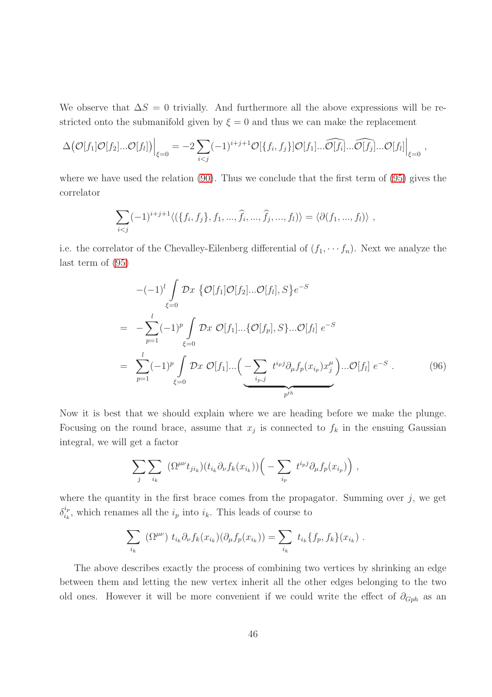We observe that  $\Delta S = 0$  trivially. And furthermore all the above expressions will be restricted onto the submanifold given by  $\xi = 0$  and thus we can make the replacement

$$
\Delta\big(\mathcal{O}[f_1]\mathcal{O}[f_2]...\mathcal{O}[f_l]\big)\Big|_{\xi=0} = -2\sum_{i
$$

where we have used the relation [\(90\)](#page-43-3). Thus we conclude that the first term of [\(95\)](#page-44-1) gives the correlator

$$
\sum_{i < j} (-1)^{i+j+1} \langle (\{f_i, f_j\}, f_1, \dots, \hat{f}_i, \dots, \hat{f}_j, \dots, f_l) \rangle = \langle \partial(f_1, \dots, f_l) \rangle \;,
$$

i.e. the correlator of the Chevalley-Eilenberg differential of  $(f_1, \dots, f_n)$ . Next we analyze the last term of [\(95\)](#page-44-1)

<span id="page-45-0"></span>
$$
-(-1)^{l} \int_{\xi=0} \mathcal{D}x \{ \mathcal{O}[f_{1}] \mathcal{O}[f_{2}]...\mathcal{O}[f_{l}], S \} e^{-S}
$$
  
= 
$$
-\sum_{p=1}^{l} (-1)^{p} \int_{\xi=0} \mathcal{D}x \mathcal{O}[f_{1}]...\{\mathcal{O}[f_{p}], S \}...\mathcal{O}[f_{l}] e^{-S}
$$
  
= 
$$
\sum_{p=1}^{l} (-1)^{p} \int_{\xi=0} \mathcal{D}x \mathcal{O}[f_{1}]...\left(-\sum_{i_{p},j} t^{i_{p}j} \partial_{\mu}f_{p}(x_{i_{p}})x_{j}^{\mu}\right)...\mathcal{O}[f_{l}] e^{-S}.
$$
 (96)

Now it is best that we should explain where we are heading before we make the plunge. Focusing on the round brace, assume that  $x_j$  is connected to  $f_k$  in the ensuing Gaussian integral, we will get a factor

$$
\sum_{j} \sum_{i_k} (\Omega^{\mu\nu} t_{ji_k}) (t_{i_k} \partial_{\nu} f_k(x_{i_k})) \Big( - \sum_{i_p} t^{i_p j} \partial_{\mu} f_p(x_{i_p}) \Big) ,
$$

where the quantity in the first brace comes from the propagator. Summing over  $j$ , we get  $\delta_{i_k}^{i_p}$  $i_k^{i_p}$ , which renames all the  $i_p$  into  $i_k$ . This leads of course to

$$
\sum_{i_k} (\Omega^{\mu\nu}) t_{i_k} \partial_{\nu} f_k(x_{i_k}) (\partial_{\mu} f_p(x_{i_k})) = \sum_{i_k} t_{i_k} \{f_p, f_k\}(x_{i_k}).
$$

The above describes exactly the process of combining two vertices by shrinking an edge between them and letting the new vertex inherit all the other edges belonging to the two old ones. However it will be more convenient if we could write the effect of  $\partial_{Gph}$  as an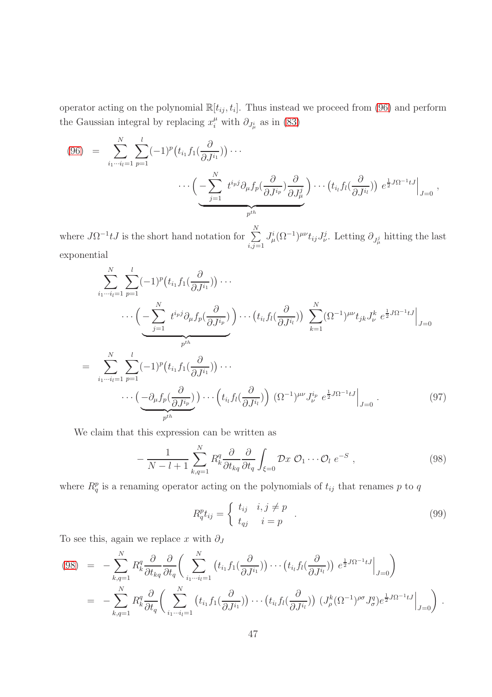operator acting on the polynomial  $\mathbb{R}[t_{ij}, t_i]$ . Thus instead we proceed from [\(96\)](#page-45-0) and perform the Gaussian integral by replacing  $x_i^{\mu}$  with  $\partial_{J^i_{\mu}}$  as in [\(83\)](#page-32-0)

(96) = 
$$
\sum_{i_1 \cdots i_l=1}^N \sum_{p=1}^l (-1)^p \left( t_{i_1} f_1(\frac{\partial}{\partial J^{i_1}}) \right) \cdots
$$

$$
\cdots \left( -\sum_{j=1}^N t^{i_p j} \partial_\mu f_p(\frac{\partial}{\partial J^{i_p}}) \frac{\partial}{\partial J^j_\mu} \right) \cdots \left( t_{i_l} f_l(\frac{\partial}{\partial J^{i_l}}) \right) e^{\frac{1}{2} J \Omega^{-1} t J} \Big|_{J=0},
$$

where  $J\Omega^{-1}tJ$  is the short hand notation for  $\sum_{i=1}^{N}$  $_{i,j=1}$  $J^i_\mu(\Omega^{-1})^{\mu\nu}t_{ij}J^j_\nu$ . Letting  $\partial_{J^j_\mu}$  hitting the last exponential

<span id="page-46-1"></span>
$$
\sum_{i_1\cdots i_l=1}^N \sum_{p=1}^l (-1)^p \left( t_{i_1} f_1(\frac{\partial}{\partial J^{i_1}}) \right) \cdots
$$
\n
$$
\cdots \left( -\sum_{j=1}^N t^{i_p j} \partial_\mu f_p(\frac{\partial}{\partial J^{i_p}}) \right) \cdots \left( t_{i_l} f_l(\frac{\partial}{\partial J^{i_l}}) \right) \sum_{k=1}^N (\Omega^{-1})^{\mu\nu} t_{jk} J_\nu^k e^{\frac{1}{2} J \Omega^{-1} t J} \Big|_{J=0}
$$
\n
$$
= \sum_{i_1\cdots i_l=1}^N \sum_{p=1}^l (-1)^p \left( t_{i_1} f_1(\frac{\partial}{\partial J^{i_1}}) \right) \cdots
$$
\n
$$
\cdots \left( -\partial_\mu f_p(\frac{\partial}{\partial J^{i_p}}) \right) \cdots \left( t_{i_l} f_l(\frac{\partial}{\partial J^{i_l}}) \right) (\Omega^{-1})^{\mu\nu} J_\nu^{i_p} e^{\frac{1}{2} J \Omega^{-1} t J} \Big|_{J=0} .
$$
\n
$$
(97)
$$

We claim that this expression can be written as

<span id="page-46-0"></span>
$$
-\frac{1}{N-l+1}\sum_{k,q=1}^{N} R_k^q \frac{\partial}{\partial t_{kq}} \frac{\partial}{\partial t_q} \int_{\xi=0} \mathcal{D}x \ \mathcal{O}_1 \cdots \mathcal{O}_l \ e^{-S} \ , \tag{98}
$$

where  $R_q^p$  is a renaming operator acting on the polynomials of  $t_{ij}$  that renames p to q

$$
R_q^{p}t_{ij} = \begin{cases} t_{ij} & i, j \neq p \\ t_{qj} & i = p \end{cases} \tag{99}
$$

To see this, again we replace x with  $\partial_J$ 

$$
(98) = -\sum_{k,q=1}^{N} R_k^q \frac{\partial}{\partial t_{kq}} \frac{\partial}{\partial t_q} \bigg( \sum_{i_1 \cdots i_l=1}^{N} \left( t_{i_1} f_1(\frac{\partial}{\partial J^{i_1}}) \right) \cdots \left( t_{i_l} f_l(\frac{\partial}{\partial J^{i_l}}) \right) e^{\frac{1}{2} J \Omega^{-1} t J} \bigg|_{J=0} \bigg)
$$
  

$$
= -\sum_{k,q=1}^{N} R_k^q \frac{\partial}{\partial t_q} \bigg( \sum_{i_1 \cdots i_l=1}^{N} \left( t_{i_1} f_1(\frac{\partial}{\partial J^{i_1}}) \right) \cdots \left( t_{i_l} f_l(\frac{\partial}{\partial J^{i_l}}) \right) \left( J_{\rho}^k (\Omega^{-1})^{\rho \sigma} J_q^q \right) e^{\frac{1}{2} J \Omega^{-1} t J} \bigg|_{J=0} \bigg) .
$$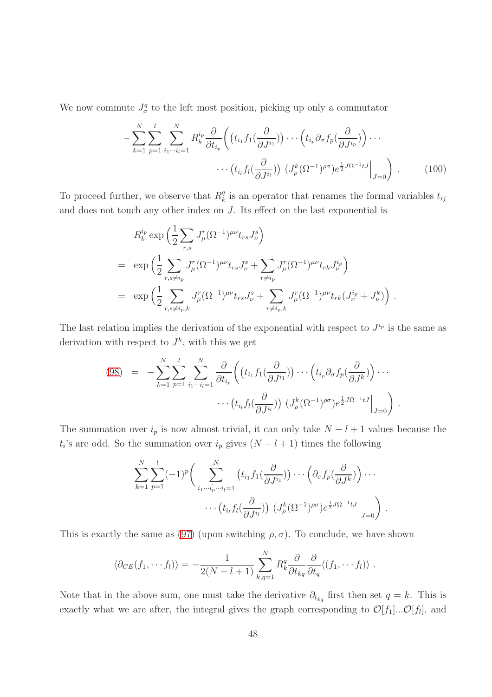We now commute  $J^q_\sigma$  to the left most position, picking up only a commutator

$$
-\sum_{k=1}^{N} \sum_{p=1}^{l} \sum_{i_1 \cdots i_l=1}^{N} R_k^{i_p} \frac{\partial}{\partial t_{i_p}} \left( \left( t_{i_1} f_1(\frac{\partial}{\partial J^{i_1}}) \right) \cdots \left( t_{i_p} \partial_{\sigma} f_p(\frac{\partial}{\partial J^{i_p}}) \right) \cdots \right. \\
\cdots \left. \left( t_{i_l} f_l(\frac{\partial}{\partial J^{i_l}}) \right) \left( J^k_\rho (\Omega^{-1})^{\rho \sigma} \right) e^{\frac{1}{2} J \Omega^{-1} t J} \right|_{J=0} \right) \,. \tag{100}
$$

To proceed further, we observe that  $R_k^q$  $\frac{q}{k}$  is an operator that renames the formal variables  $t_{ij}$ and does not touch any other index on J. Its effect on the last exponential is

$$
R_k^{i_p} \exp\left(\frac{1}{2} \sum_{r,s} J^r_{\mu} (\Omega^{-1})^{\mu\nu} t_{rs} J^s_{\nu}\right)
$$
  
= 
$$
\exp\left(\frac{1}{2} \sum_{r,s \neq i_p} J^r_{\mu} (\Omega^{-1})^{\mu\nu} t_{rs} J^s_{\nu} + \sum_{r \neq i_p} J^r_{\mu} (\Omega^{-1})^{\mu\nu} t_{rk} J^i_{\nu}\right)
$$
  
= 
$$
\exp\left(\frac{1}{2} \sum_{r,s \neq i_p,k} J^r_{\mu} (\Omega^{-1})^{\mu\nu} t_{rs} J^s_{\nu} + \sum_{r \neq i_p,k} J^r_{\mu} (\Omega^{-1})^{\mu\nu} t_{rk} (J^i_{\nu} + J^k_{\nu})\right).
$$

The last relation implies the derivation of the exponential with respect to  $J^{i_p}$  is the same as derivation with respect to  $J^k$ , with this we get

$$
(98) = -\sum_{k=1}^{N} \sum_{p=1}^{l} \sum_{i_1 \cdots i_l=1}^{N} \frac{\partial}{\partial t_{i_p}} \left( \left( t_{i_1} f_1(\frac{\partial}{\partial J^{i_1}}) \right) \cdots \left( t_{i_p} \partial_{\sigma} f_p(\frac{\partial}{\partial J^k}) \right) \cdots \right. \\
 \cdots \left. \left( t_{i_l} f_l(\frac{\partial}{\partial J^{i_l}}) \right) \left( J^k_\rho (\Omega^{-1})^{\rho \sigma} \right) e^{\frac{1}{2} J \Omega^{-1} t J} \right|_{J=0} \right)
$$

.

The summation over  $i_p$  is now almost trivial, it can only take  $N - l + 1$  values because the  $t_i$ 's are odd. So the summation over  $i_p$  gives  $(N - l + 1)$  times the following

$$
\sum_{k=1}^N \sum_{p=1}^l (-1)^p \bigg( \sum_{i_1 \cdots \hat{i_p} \cdots i_l=1}^N \big( t_{i_1} f_1(\frac{\partial}{\partial J^{i_1}}) \big) \cdots \big( \partial_{\sigma} f_p(\frac{\partial}{\partial J^k}) \big) \cdots \cdots \big( t_{i_l} f_l(\frac{\partial}{\partial J^{i_l}}) \big) \big( J^k_\rho (\Omega^{-1})^{\rho \sigma} \big) e^{\frac{1}{2} J \Omega^{-1} t J} \big|_{J=0} \bigg) .
$$

This is exactly the same as [\(97\)](#page-46-1) (upon switching  $\rho, \sigma$ ). To conclude, we have shown

$$
\langle \partial_{CE}(f_1,\cdots f_l)\rangle = -\frac{1}{2(N-l+1)}\sum_{k,q=1}^N R_k^q \frac{\partial}{\partial t_{kq}} \frac{\partial}{\partial t_q} \langle (f_1,\cdots f_l)\rangle.
$$

Note that in the above sum, one must take the derivative  $\partial_{t_{kq}}$  first then set  $q = k$ . This is exactly what we are after, the integral gives the graph corresponding to  $\mathcal{O}[f_1]...\mathcal{O}[f_l]$ , and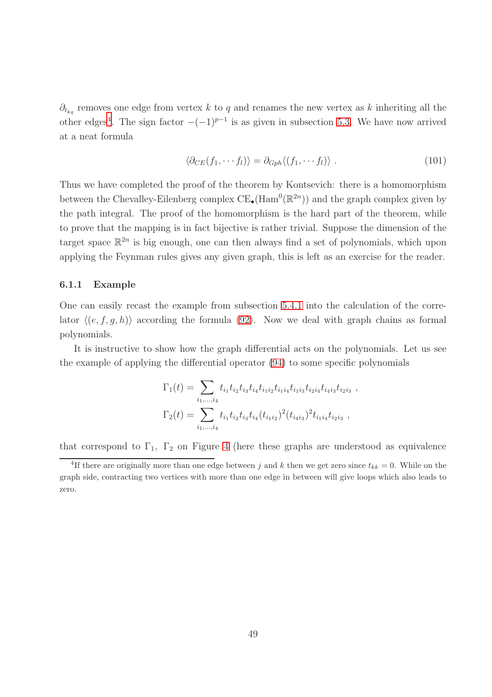$\partial_{t_{kq}}$  removes one edge from vertex k to q and renames the new vertex as k inheriting all the other edges<sup>[4](#page-48-1)</sup>. The sign factor  $-(-1)^{p-1}$  is as given in subsection [5.3.](#page-33-0) We have now arrived at a neat formula

$$
\langle \partial_{CE}(f_1, \cdots f_l) \rangle = \partial_{Gph} \langle (f_1, \cdots f_l) \rangle . \tag{101}
$$

Thus we have completed the proof of the theorem by Kontsevich: there is a homomorphism between the Chevalley-Eilenberg complex  $CE_{\bullet}(\text{Ham}^0(\mathbb{R}^{2n}))$  and the graph complex given by the path integral. The proof of the homomorphism is the hard part of the theorem, while to prove that the mapping is in fact bijective is rather trivial. Suppose the dimension of the target space  $\mathbb{R}^{2n}$  is big enough, one can then always find a set of polynomials, which upon applying the Feynman rules gives any given graph, this is left as an exercise for the reader.

#### <span id="page-48-0"></span>6.1.1 Example

One can easily recast the example from subsection [5.4.1](#page-37-0) into the calculation of the correlator  $\langle (e, f, g, h) \rangle$  according the formula [\(92\)](#page-43-1). Now we deal with graph chains as formal polynomials.

It is instructive to show how the graph differential acts on the polynomials. Let us see the example of applying the differential operator [\(94\)](#page-44-2) to some specific polynomials

$$
\Gamma_1(t) = \sum_{i_1,\dots,i_4} t_{i_1} t_{i_2} t_{i_3} t_{i_4} t_{i_1 i_2} t_{i_1 i_4} t_{i_1 i_3} t_{i_2 i_4} t_{i_4 i_3} t_{i_2 i_3} ,
$$
  

$$
\Gamma_2(t) = \sum_{i_1,\dots,i_4} t_{i_1} t_{i_2} t_{i_3} t_{i_4} (t_{i_1 i_2})^2 (t_{i_4 i_3})^2 t_{i_1 i_4} t_{i_2 i_3} ,
$$

that correspond to  $\Gamma_1$ ,  $\Gamma_2$  on Figure [4](#page-37-1) (here these graphs are understood as equivalence

<span id="page-48-1"></span><sup>&</sup>lt;sup>4</sup>If there are originally more than one edge between j and k then we get zero since  $t_{kk} = 0$ . While on the graph side, contracting two vertices with more than one edge in between will give loops which also leads to zero.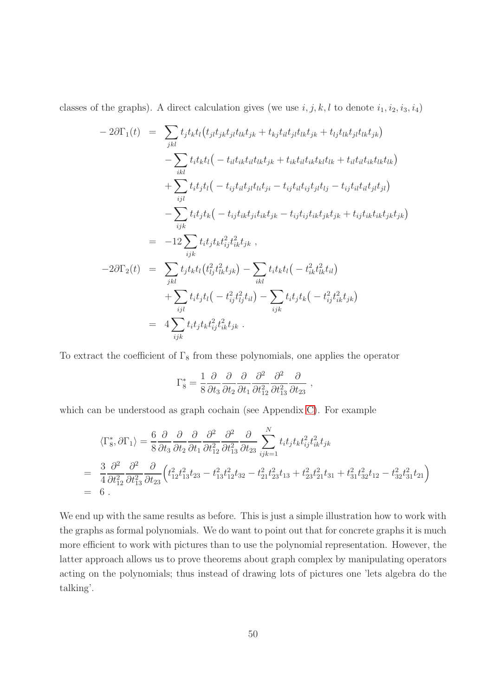classes of the graphs). A direct calculation gives (we use  $i, j, k, l$  to denote  $i_1, i_2, i_3, i_4$ )

$$
-2\partial\Gamma_{1}(t) = \sum_{jkl} t_{j}t_{k}t_{l}(t_{j}t_{j}t_{j}t_{l}t_{k}+t_{kj}t_{il}t_{j}t_{l}t_{k}+t_{lj}t_{lk}t_{j}t_{l}t_{k}+t_{lj}t_{lk}t_{jk})
$$

$$
- \sum_{ikl} t_{i}t_{k}t_{l}(-t_{il}t_{ik}t_{il}t_{k}+t_{ik}t_{il}t_{k}t_{k}+t_{il}t_{il}t_{k}t_{k})
$$

$$
+ \sum_{ijl} t_{i}t_{j}t_{l}(-t_{ij}t_{il}t_{j}t_{l}t_{j}-t_{ij}t_{il}t_{ij}t_{j}t_{l}+t_{ij}t_{il}t_{jl}t_{jl})
$$

$$
- \sum_{ijk} t_{i}t_{j}t_{k}(-t_{ij}t_{ik}t_{j}t_{k}+t_{ij}t_{ij}t_{j}t_{k}+t_{ij}t_{ik}t_{j}t_{jk})
$$

$$
= -12\sum_{ijk} t_{i}t_{j}t_{k}t_{ij}^{2}t_{ik}^{2}t_{jk},
$$

$$
-2\partial\Gamma_{2}(t) = \sum_{jkl} t_{j}t_{k}t_{l}(t_{lj}^{2}t_{l}^{2}t_{k}+t_{j})
$$

$$
+ \sum_{ijl} t_{j}t_{k}t_{l}(-t_{ij}^{2}t_{lj}^{2}t_{il}) - \sum_{ijk} t_{i}t_{j}t_{k}(-t_{ij}^{2}t_{ik}^{2}t_{jk})
$$

$$
= 4\sum_{ijk} t_{i}t_{j}t_{k}t_{ij}^{2}t_{ik}^{2}t_{jk}.
$$

To extract the coefficient of  $\Gamma_8$  from these polynomials, one applies the operator

$$
\Gamma_8^* = \frac{1}{8} \frac{\partial}{\partial t_3} \frac{\partial}{\partial t_2} \frac{\partial}{\partial t_1} \frac{\partial^2}{\partial t_{12}^2} \frac{\partial^2}{\partial t_{13}^2} \frac{\partial}{\partial t_{23}} \,,
$$

which can be understood as graph cochain (see Appendix [C\)](#page-58-0). For example

$$
\langle \Gamma_8^*, \partial \Gamma_1 \rangle = \frac{6}{8} \frac{\partial}{\partial t_3} \frac{\partial}{\partial t_2} \frac{\partial^2}{\partial t_1} \frac{\partial^2}{\partial t_{12}^2} \frac{\partial^2}{\partial t_{23}^2} \frac{\partial}{\partial t_{23}} \sum_{ijk=1}^N t_i t_j t_k t_{ij}^2 t_{ik}^2 t_{jk}
$$
  
\n
$$
= \frac{3}{4} \frac{\partial^2}{\partial t_{12}^2} \frac{\partial^2}{\partial t_{13}^2} \frac{\partial}{\partial t_{23}} \left( t_{12}^2 t_{13}^2 t_{23} - t_{13}^2 t_{12}^2 t_{32} - t_{21}^2 t_{23}^2 t_{13} + t_{23}^2 t_{21}^2 t_{31} + t_{31}^2 t_{32}^2 t_{12} - t_{32}^2 t_{31}^2 t_{21} \right)
$$
  
\n
$$
= 6.
$$

We end up with the same results as before. This is just a simple illustration how to work with the graphs as formal polynomials. We do want to point out that for concrete graphs it is much more efficient to work with pictures than to use the polynomial representation. However, the latter approach allows us to prove theorems about graph complex by manipulating operators acting on the polynomials; thus instead of drawing lots of pictures one 'lets algebra do the talking'.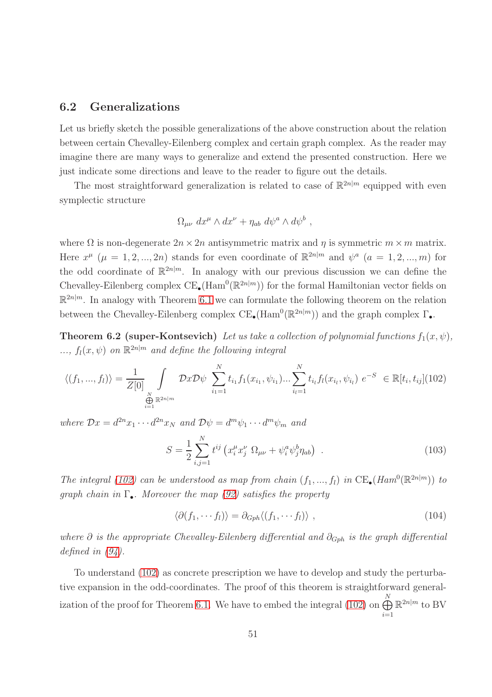### <span id="page-50-0"></span>6.2 Generalizations

Let us briefly sketch the possible generalizations of the above construction about the relation between certain Chevalley-Eilenberg complex and certain graph complex. As the reader may imagine there are many ways to generalize and extend the presented construction. Here we just indicate some directions and leave to the reader to figure out the details.

The most straightforward generalization is related to case of  $\mathbb{R}^{2n|m}$  equipped with even symplectic structure

$$
\Omega_{\mu\nu} dx^{\mu} \wedge dx^{\nu} + \eta_{ab} d\psi^{a} \wedge d\psi^{b} ,
$$

where  $\Omega$  is non-degenerate  $2n \times 2n$  antisymmetric matrix and  $\eta$  is symmetric  $m \times m$  matrix. Here  $x^{\mu}$  ( $\mu = 1, 2, ..., 2n$ ) stands for even coordinate of  $\mathbb{R}^{2n|m}$  and  $\psi^a$  ( $a = 1, 2, ..., m$ ) for the odd coordinate of  $\mathbb{R}^{2n|m}$ . In analogy with our previous discussion we can define the Chevalley-Eilenberg complex  $CE_{\bullet}(\text{Ham}^0(\mathbb{R}^{2n|m}))$  for the formal Hamiltonian vector fields on  $\mathbb{R}^{2n|m}$ . In analogy with Theorem [6.1](#page-43-0) we can formulate the following theorem on the relation between the Chevalley-Eilenberg complex  $CE_{\bullet}(\text{Ham}^0(\mathbb{R}^{2n|m}))$  and the graph complex  $\Gamma_{\bullet}$ .

<span id="page-50-2"></span>**Theorem 6.2 (super-Kontsevich)** *Let us take a collection of polynomial functions*  $f_1(x, \psi)$ *,*  $\ldots, f_l(x, \psi)$  *on*  $\mathbb{R}^{2n|m}$  *and define the following integral* 

<span id="page-50-1"></span>
$$
\langle (f_1, ..., f_l) \rangle = \frac{1}{Z[0]} \int_{\substack{N \\ \bigoplus_{i=1}^N \mathbb{R}^{2n|m}}} \mathcal{D}x \mathcal{D}\psi \sum_{i_1=1}^N t_{i_1} f_1(x_{i_1}, \psi_{i_1}) \dots \sum_{i_l=1}^N t_{i_l} f_l(x_{i_l}, \psi_{i_l}) e^{-S} \in \mathbb{R}[t_i, t_{ij}](102)
$$

*where*  $\mathcal{D}x = d^{2n}x_1 \cdots d^{2n}x_N$  *and*  $\mathcal{D}\psi = d^m\psi_1 \cdots d^m\psi_m$  *and* 

$$
S = \frac{1}{2} \sum_{i,j=1}^{N} t^{ij} \left( x_i^{\mu} x_j^{\nu} \Omega_{\mu\nu} + \psi_i^a \psi_j^b \eta_{ab} \right) . \tag{103}
$$

*The integral* [\(102\)](#page-50-1) *can be understood as map from chain*  $(f_1, ..., f_l)$  *in*  $CE_{\bullet}(Ham^0(\mathbb{R}^{2n|m}))$  *to graph chain in* Γ•*. Moreover the map [\(92\)](#page-43-1) satisfies the property*

$$
\langle \partial (f_1, \cdots f_l) \rangle = \partial_{Gph} \langle (f_1, \cdots f_l) \rangle , \qquad (104)
$$

*where* ∂ *is the appropriate Chevalley-Eilenberg differential and*  $∂<sub>Gph</sub>$  *is the graph differential defined in [\(94\)](#page-44-2).*

To understand [\(102\)](#page-50-1) as concrete prescription we have to develop and study the perturbative expansion in the odd-coordinates. The proof of this theorem is straightforward general-ization of the proof for Theorem [6.1.](#page-43-0) We have to embed the integral [\(102\)](#page-50-1) on  $\bigoplus^N$  $i=1$  $\mathbb{R}^{2n|m}$  to BV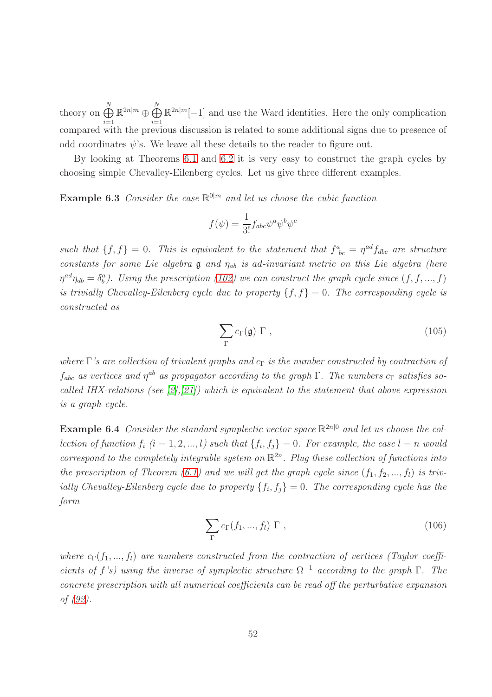theory on  $\bigoplus^N$  $i=1$  $\mathbb{R}^{2n|m} \oplus \bigoplus^N_1$  $i=1$  $\mathbb{R}^{2n|m}[-1]$  and use the Ward identities. Here the only complication compared with the previous discussion is related to some additional signs due to presence of odd coordinates  $\psi$ 's. We leave all these details to the reader to figure out.

<span id="page-51-1"></span>By looking at Theorems [6.1](#page-43-0) and [6.2](#page-50-2) it is very easy to construct the graph cycles by choosing simple Chevalley-Eilenberg cycles. Let us give three different examples.

**Example 6.3** *Consider the case*  $\mathbb{R}^{0|m}$  *and let us choose the cubic function* 

$$
f(\psi)=\frac{1}{3!}f_{abc}\psi^a\psi^b\psi^c
$$

such that  $\{f, f\} = 0$ . This is equivalent to the statement that  $f^a_{bc} = \eta^{ad} f_{dbc}$  are structure *constants for some Lie algebra* g *and* ηab *is* ad*-invariant metric on this Lie algebra (here*  $\eta^{ad}\eta_{db} = \delta^a_b$ ). Using the prescription [\(102\)](#page-50-1) we can construct the graph cycle since  $(f, f, ..., f)$ *is trivially Chevalley-Eilenberg cycle due to property*  $\{f, f\} = 0$ *. The corresponding cycle is constructed as*

$$
\sum_{\Gamma} c_{\Gamma}(\mathfrak{g}) \Gamma , \qquad (105)
$$

*where* Γ's are collection of trivalent graphs and  $c<sub>Γ</sub>$  is the number constructed by contraction of  $f_{abc}$  *as vertices and*  $\eta^{ab}$  *as propagator according to the graph*  $\Gamma$ *. The numbers*  $c_{\Gamma}$  *satisfies socalled IHX-relations (see [\[2\]](#page-64-2),[\[21\]](#page-66-7)) which is equivalent to the statement that above expression is a graph cycle.*

<span id="page-51-0"></span>**Example 6.4** Consider the standard symplectic vector space  $\mathbb{R}^{2n|0}$  and let us choose the col*lection of function*  $f_i$   $(i = 1, 2, ..., l)$  such that  $\{f_i, f_j\} = 0$ . For example, the case  $l = n$  would *correspond to the completely integrable system on* R 2n *. Plug these collection of functions into the prescription of Theorem [\(6.1\)](#page-43-0)* and we will get the graph cycle since  $(f_1, f_2, ..., f_l)$  is triv*ially Chevalley-Eilenberg cycle due to property*  $\{f_i, f_j\} = 0$ . The corresponding cycle has the *form*

$$
\sum_{\Gamma} c_{\Gamma}(f_1, ..., f_l) \Gamma , \qquad (106)
$$

<span id="page-51-2"></span>*where*  $c_{\Gamma}(f_1, ..., f_l)$  *are numbers constructed from the contraction of vertices (Taylor coefficients of* f's) using the inverse of symplectic structure  $\Omega^{-1}$  *according to the graph* Γ. The *concrete prescription with all numerical coefficients can be read off the perturbative expansion of [\(92\)](#page-43-1).*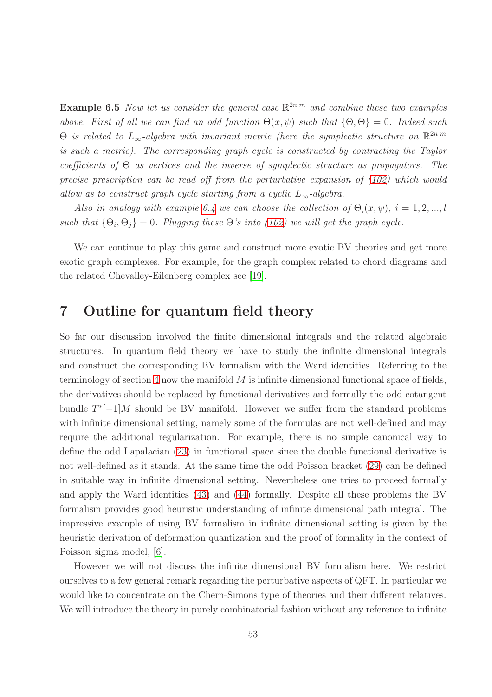**Example 6.5** *Now let us consider the general case*  $\mathbb{R}^{2n|m}$  *and combine these two examples above. First of all we can find an odd function*  $\Theta(x, \psi)$  *such that*  $\{\Theta, \Theta\} = 0$ *. Indeed such*  $\Theta$  *is related to*  $L_{\infty}$ -algebra with invariant metric (here the symplectic structure on  $\mathbb{R}^{2n|m}$ *is such a metric). The corresponding graph cycle is constructed by contracting the Taylor coefficients of* Θ *as vertices and the inverse of symplectic structure as propagators. The precise prescription can be read off from the perturbative expansion of [\(102\)](#page-50-1) which would allow as to construct graph cycle starting from a cyclic*  $L_{\infty}$ -algebra.

*Also in analogy with example* [6.4](#page-51-0) *we can choose the collection* of  $\Theta_i(x, \psi)$ ,  $i = 1, 2, ..., l$ *such that*  $\{\Theta_i, \Theta_j\} = 0$ . Plugging these  $\Theta$ 's into [\(102\)](#page-50-1) we will get the graph cycle.

We can continue to play this game and construct more exotic BV theories and get more exotic graph complexes. For example, for the graph complex related to chord diagrams and the related Chevalley-Eilenberg complex see [\[19\]](#page-66-6).

### <span id="page-52-0"></span>7 Outline for quantum field theory

So far our discussion involved the finite dimensional integrals and the related algebraic structures. In quantum field theory we have to study the infinite dimensional integrals and construct the corresponding BV formalism with the Ward identities. Referring to the terminology of section [4](#page-14-0) now the manifold  $M$  is infinite dimensional functional space of fields, the derivatives should be replaced by functional derivatives and formally the odd cotangent bundle  $T^*[-1]M$  should be BV manifold. However we suffer from the standard problems with infinite dimensional setting, namely some of the formulas are not well-defined and may require the additional regularization. For example, there is no simple canonical way to define the odd Lapalacian [\(23\)](#page-16-2) in functional space since the double functional derivative is not well-defined as it stands. At the same time the odd Poisson bracket [\(29\)](#page-16-0) can be defined in suitable way in infinite dimensional setting. Nevertheless one tries to proceed formally and apply the Ward identities [\(43\)](#page-21-2) and [\(44\)](#page-21-3) formally. Despite all these problems the BV formalism provides good heuristic understanding of infinite dimensional path integral. The impressive example of using BV formalism in infinite dimensional setting is given by the heuristic derivation of deformation quantization and the proof of formality in the context of Poisson sigma model, [\[6\]](#page-65-8).

However we will not discuss the infinite dimensional BV formalism here. We restrict ourselves to a few general remark regarding the perturbative aspects of QFT. In particular we would like to concentrate on the Chern-Simons type of theories and their different relatives. We will introduce the theory in purely combinatorial fashion without any reference to infinite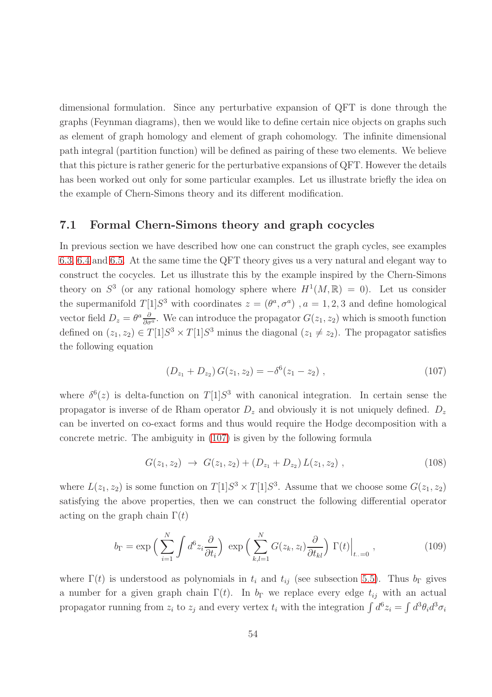dimensional formulation. Since any perturbative expansion of QFT is done through the graphs (Feynman diagrams), then we would like to define certain nice objects on graphs such as element of graph homology and element of graph cohomology. The infinite dimensional path integral (partition function) will be defined as pairing of these two elements. We believe that this picture is rather generic for the perturbative expansions of QFT. However the details has been worked out only for some particular examples. Let us illustrate briefly the idea on the example of Chern-Simons theory and its different modification.

### <span id="page-53-0"></span>7.1 Formal Chern-Simons theory and graph cocycles

In previous section we have described how one can construct the graph cycles, see examples [6.3,](#page-51-1) [6.4](#page-51-0) and [6.5.](#page-51-2) At the same time the QFT theory gives us a very natural and elegant way to construct the cocycles. Let us illustrate this by the example inspired by the Chern-Simons theory on  $S^3$  (or any rational homology sphere where  $H^1(M,\mathbb{R}) = 0$ ). Let us consider the supermanifold  $T[1]S^3$  with coordinates  $z = (\theta^a, \sigma^a)$ ,  $a = 1, 2, 3$  and define homological vector field  $D_z = \theta^a \frac{\partial}{\partial \sigma^a}$ . We can introduce the propagator  $G(z_1, z_2)$  which is smooth function defined on  $(z_1, z_2) \in T[1]S^3 \times T[1]S^3$  minus the diagonal  $(z_1 \neq z_2)$ . The propagator satisfies the following equation

<span id="page-53-1"></span>
$$
(D_{z_1} + D_{z_2}) G(z_1, z_2) = -\delta^6(z_1 - z_2) , \qquad (107)
$$

where  $\delta^{6}(z)$  is delta-function on  $T[1]S^3$  with canonical integration. In certain sense the propagator is inverse of de Rham operator  $D_z$  and obviously it is not uniquely defined.  $D_z$ can be inverted on co-exact forms and thus would require the Hodge decomposition with a concrete metric. The ambiguity in [\(107\)](#page-53-1) is given by the following formula

<span id="page-53-3"></span>
$$
G(z_1, z_2) \rightarrow G(z_1, z_2) + (D_{z_1} + D_{z_2}) L(z_1, z_2) , \qquad (108)
$$

where  $L(z_1, z_2)$  is some function on  $T[1]S^3 \times T[1]S^3$ . Assume that we choose some  $G(z_1, z_2)$ satisfying the above properties, then we can construct the following differential operator acting on the graph chain  $\Gamma(t)$ 

<span id="page-53-2"></span>
$$
b_{\Gamma} = \exp\left(\sum_{i=1}^{N} \int d^{6}z_{i} \frac{\partial}{\partial t_{i}}\right) \exp\left(\sum_{k,l=1}^{N} G(z_{k}, z_{l}) \frac{\partial}{\partial t_{kl}}\right) \Gamma(t)\Big|_{t..=0},\tag{109}
$$

where  $\Gamma(t)$  is understood as polynomials in  $t_i$  and  $t_{ij}$  (see subsection [5.5\)](#page-39-0). Thus  $b_{\Gamma}$  gives a number for a given graph chain  $\Gamma(t)$ . In  $b_{\Gamma}$  we replace every edge  $t_{ij}$  with an actual propagator running from  $z_i$  to  $z_j$  and every vertex  $t_i$  with the integration  $\int d^6 z_i = \int d^3 \theta_i d^3 \sigma_i$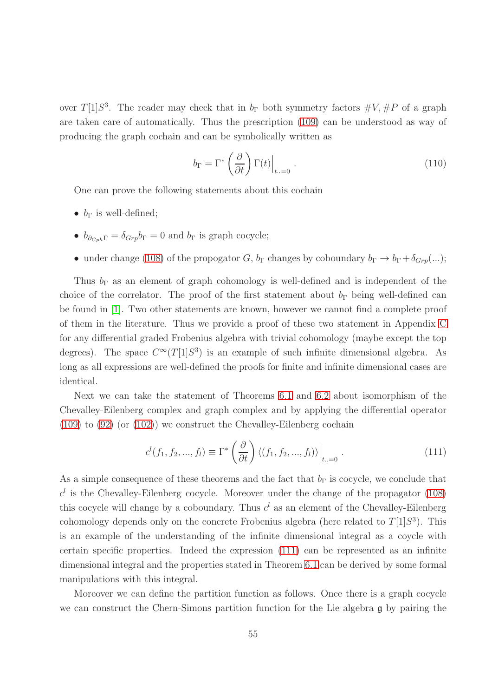over  $T[1]S^3$ . The reader may check that in  $b_{\Gamma}$  both symmetry factors  $\#V, \#P$  of a graph are taken care of automatically. Thus the prescription [\(109\)](#page-53-2) can be understood as way of producing the graph cochain and can be symbolically written as

$$
b_{\Gamma} = \Gamma^* \left( \frac{\partial}{\partial t} \right) \Gamma(t) \Big|_{t \dots = 0} . \tag{110}
$$

One can prove the following statements about this cochain

- $b_{\Gamma}$  is well-defined;
- $b_{\partial_{Gph}\Gamma} = \delta_{Grp} b_{\Gamma} = 0$  and  $b_{\Gamma}$  is graph cocycle;
- under change [\(108\)](#page-53-3) of the propogator G,  $b_{\Gamma}$  changes by coboundary  $b_{\Gamma} \to b_{\Gamma} + \delta_{Grp}(\ldots);$

Thus  $b_{\Gamma}$  as an element of graph cohomology is well-defined and is independent of the choice of the correlator. The proof of the first statement about  $b_{\Gamma}$  being well-defined can be found in [\[1\]](#page-64-3). Two other statements are known, however we cannot find a complete proof of them in the literature. Thus we provide a proof of these two statement in Appendix [C](#page-58-0) for any differential graded Frobenius algebra with trivial cohomology (maybe except the top degrees). The space  $C^{\infty}(T[1]S^3)$  is an example of such infinite dimensional algebra. As long as all expressions are well-defined the proofs for finite and infinite dimensional cases are identical.

Next we can take the statement of Theorems [6.1](#page-43-0) and [6.2](#page-50-2) about isomorphism of the Chevalley-Eilenberg complex and graph complex and by applying the differential operator [\(109\)](#page-53-2) to [\(92\)](#page-43-1) (or [\(102\)](#page-50-1)) we construct the Chevalley-Eilenberg cochain

<span id="page-54-0"></span>
$$
c^{l}(f_1, f_2, ..., f_l) \equiv \Gamma^* \left(\frac{\partial}{\partial t}\right) \langle (f_1, f_2, ..., f_l) \rangle \Big|_{t \dots = 0}.
$$
 (111)

As a simple consequence of these theorems and the fact that  $b_{\Gamma}$  is cocycle, we conclude that  $c<sup>l</sup>$  is the Chevalley-Eilenberg cocycle. Moreover under the change of the propagator [\(108\)](#page-53-3) this cocycle will change by a coboundary. Thus  $c<sup>l</sup>$  as an element of the Chevalley-Eilenberg cohomology depends only on the concrete Frobenius algebra (here related to  $T[1]S^3$ ). This is an example of the understanding of the infinite dimensional integral as a coycle with certain specific properties. Indeed the expression [\(111\)](#page-54-0) can be represented as an infinite dimensional integral and the properties stated in Theorem [6.1](#page-43-0) can be derived by some formal manipulations with this integral.

Moreover we can define the partition function as follows. Once there is a graph cocycle we can construct the Chern-Simons partition function for the Lie algebra g by pairing the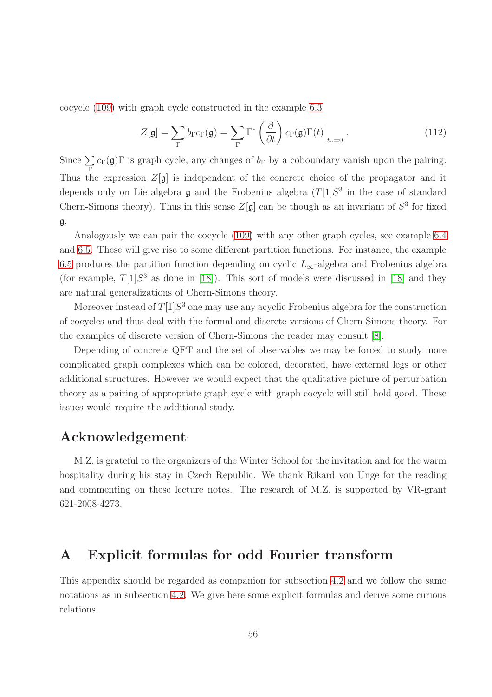cocycle [\(109\)](#page-53-2) with graph cycle constructed in the example [6.3](#page-51-1)

$$
Z[\mathfrak{g}] = \sum_{\Gamma} b_{\Gamma} c_{\Gamma}(\mathfrak{g}) = \sum_{\Gamma} \Gamma^* \left( \frac{\partial}{\partial t} \right) c_{\Gamma}(\mathfrak{g}) \Gamma(t) \Big|_{t \ldots = 0} . \tag{112}
$$

Since  $\sum$ Γ  $c_{\Gamma}(\mathfrak{g})\Gamma$  is graph cycle, any changes of  $b_{\Gamma}$  by a coboundary vanish upon the pairing. Thus the expression  $Z[g]$  is independent of the concrete choice of the propagator and it depends only on Lie algebra  $\mathfrak g$  and the Frobenius algebra  $(T[1]S^3)$  in the case of standard Chern-Simons theory). Thus in this sense  $Z[\mathfrak{g}]$  can be though as an invariant of  $S^3$  for fixed g.

Analogously we can pair the cocycle [\(109\)](#page-53-2) with any other graph cycles, see example [6.4](#page-51-0) and [6.5.](#page-51-2) These will give rise to some different partition functions. For instance, the example [6.5](#page-51-2) produces the partition function depending on cyclic  $L_{\infty}$ -algebra and Frobenius algebra (for example,  $T[1]S<sup>3</sup>$  as done in [\[18\]](#page-66-8)). This sort of models were discussed in [18] and they are natural generalizations of Chern-Simons theory.

Moreover instead of  $T[1]S^3$  one may use any acyclic Frobenius algebra for the construction of cocycles and thus deal with the formal and discrete versions of Chern-Simons theory. For the examples of discrete version of Chern-Simons the reader may consult [\[8\]](#page-65-9).

Depending of concrete QFT and the set of observables we may be forced to study more complicated graph complexes which can be colored, decorated, have external legs or other additional structures. However we would expect that the qualitative picture of perturbation theory as a pairing of appropriate graph cycle with graph cocycle will still hold good. These issues would require the additional study.

## Acknowledgement:

M.Z. is grateful to the organizers of the Winter School for the invitation and for the warm hospitality during his stay in Czech Republic. We thank Rikard von Unge for the reading and commenting on these lecture notes. The research of M.Z. is supported by VR-grant 621-2008-4273.

## <span id="page-55-0"></span>A Explicit formulas for odd Fourier transform

This appendix should be regarded as companion for subsection [4.2](#page-15-0) and we follow the same notations as in subsection [4.2.](#page-15-0) We give here some explicit formulas and derive some curious relations.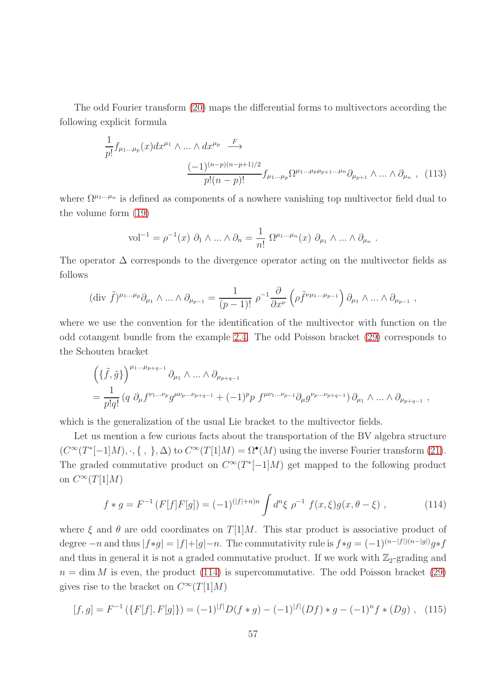The odd Fourier transform [\(20\)](#page-15-1) maps the differential forms to multivectors according the following explicit formula

<span id="page-56-0"></span>
$$
\frac{1}{p!} f_{\mu_1...\mu_p}(x) dx^{\mu_1} \wedge ... \wedge dx^{\mu_p} \xrightarrow{F}
$$
\n
$$
\frac{(-1)^{(n-p)(n-p+1)/2}}{p!(n-p)!} f_{\mu_1...\mu_p} \Omega^{\mu_1...\mu_p \mu_{p+1}...\mu_n} \partial_{\mu_{p+1}} \wedge ... \wedge \partial_{\mu_n} , (113)
$$

.

where  $\Omega^{\mu_1...\mu_n}$  is defined as components of a nowhere vanishing top multivector field dual to the volume form [\(19\)](#page-15-2)

$$
\text{vol}^{-1} = \rho^{-1}(x) \ \partial_1 \wedge \ldots \wedge \partial_n = \frac{1}{n!} \ \Omega^{\mu_1 \ldots \mu_n}(x) \ \partial_{\mu_1} \wedge \ldots \wedge \partial_{\mu_n}
$$

The operator  $\Delta$  corresponds to the divergence operator acting on the multivector fields as follows

$$
(\text{div }\tilde{f})^{\mu_1\ldots\mu_p}\partial_{\mu_1}\wedge\ldots\wedge\partial_{\mu_{p-1}}=\frac{1}{(p-1)!}\,\rho^{-1}\frac{\partial}{\partial x^{\nu}}\left(\rho\tilde{f}^{\nu\mu_1\ldots\mu_{p-1}}\right)\partial_{\mu_1}\wedge\ldots\wedge\partial_{\mu_{p-1}}\ ,
$$

where we use the convention for the identification of the multivector with function on the odd cotangent bundle from the example [2.4.](#page-7-1) The odd Poisson bracket [\(29\)](#page-16-0) corresponds to the Schouten bracket

$$
\begin{split}\n&\left(\{\tilde{f},\tilde{g}\}\right)^{\mu_1\dots\mu_{p+q-1}}\partial_{\mu_1}\wedge\ldots\wedge\partial_{\mu_{p+q-1}} \\
&=\frac{1}{p!q!}\left(q\;\partial_\mu f^{\nu_1\dots\nu_p}g^{\mu\nu_p\dots\nu_{p+q-1}}+(-1)^p p\;f^{\mu\nu_1\dots\nu_{p-1}}\partial_\mu g^{\nu_p\dots\nu_{p+q-1}}\right)\partial_{\mu_1}\wedge\ldots\wedge\partial_{\mu_{p+q-1}}\;, \n\end{split}
$$

which is the generalization of the usual Lie bracket to the multivector fields.

Let us mention a few curious facts about the transportation of the BV algebra structure  $(C^{\infty}(T^*[-1]M), \cdot, \{\ ,\ \}, \Delta)$  to  $C^{\infty}(T[1]M) = \Omega^{\bullet}(M)$  using the inverse Fourier transform [\(21\)](#page-15-3). The graded commutative product on  $C^{\infty}(T^*[-1]M)$  get mapped to the following product on  $C^{\infty}(T[1]M)$ 

<span id="page-56-1"></span>
$$
f * g = F^{-1}(F[f]F[g]) = (-1)^{(|f|+n)n} \int d^n \xi \, \rho^{-1} \, f(x,\xi)g(x,\theta-\xi) \;, \tag{114}
$$

where  $\xi$  and  $\theta$  are odd coordinates on  $T[1]M$ . This star product is associative product of degree  $-n$  and thus  $|f*g| = |f|+|g|-n$ . The commutativity rule is  $f*g = (-1)^{(n-|f|)(n-|g|)}g*f$ and thus in general it is not a graded commutative product. If we work with  $\mathbb{Z}_2$ -grading and  $n = \dim M$  is even, the product [\(114\)](#page-56-1) is supercommutative. The odd Poisson bracket [\(29\)](#page-16-0) gives rise to the bracket on  $C^{\infty}(T[1]M)$ 

$$
[f,g] = F^{-1}(\{F[f], F[g]\}) = (-1)^{|f|}D(f*g) - (-1)^{|f|}(Df)*g - (-1)^{n}f*(Dg), \quad (115)
$$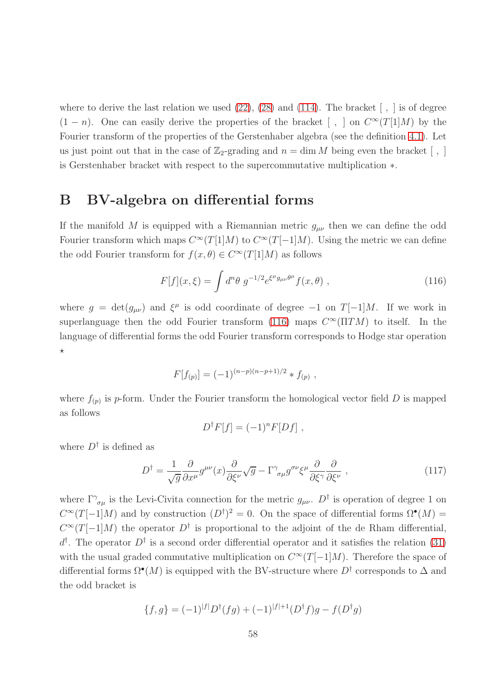where to derive the last relation we used  $(22)$ ,  $(28)$  and  $(114)$ . The bracket  $\lceil$ ,  $\rceil$  is of degree  $(1 - n)$ . One can easily derive the properties of the bracket [, ] on  $C^{\infty}(T[1]M)$  by the Fourier transform of the properties of the Gerstenhaber algebra (see the definition [4.1\)](#page-17-1). Let us just point out that in the case of  $\mathbb{Z}_2$ -grading and  $n = \dim M$  being even the bracket [, ] is Gerstenhaber bracket with respect to the supercommutative multiplication ∗.

# <span id="page-57-0"></span>B BV-algebra on differential forms

If the manifold M is equipped with a Riemannian metric  $g_{\mu\nu}$  then we can define the odd Fourier transform which maps  $C^{\infty}(T[1]M)$  to  $C^{\infty}(T[-1]M)$ . Using the metric we can define the odd Fourier transform for  $f(x, \theta) \in C^{\infty}(T[1]M)$  as follows

<span id="page-57-1"></span>
$$
F[f](x,\xi) = \int d^n \theta \ g^{-1/2} e^{\xi^{\mu} g_{\mu\nu} \theta^{\mu}} f(x,\theta) \ , \tag{116}
$$

where  $g = det(g_{\mu\nu})$  and  $\xi^{\mu}$  is odd coordinate of degree  $-1$  on  $T[-1]M$ . If we work in superlanguage then the odd Fourier transform [\(116\)](#page-57-1) maps  $C^{\infty}(\Pi TM)$  to itself. In the language of differential forms the odd Fourier transform corresponds to Hodge star operation  $\star$ 

$$
F[f_{(p)}] = (-1)^{(n-p)(n-p+1)/2} * f_{(p)},
$$

where  $f_{(p)}$  is p-form. Under the Fourier transform the homological vector field D is mapped as follows

$$
D^{\dagger}F[f] = (-1)^n F[Df],
$$

where  $D^{\dagger}$  is defined as

$$
D^{\dagger} = \frac{1}{\sqrt{g}} \frac{\partial}{\partial x^{\mu}} g^{\mu \nu}(x) \frac{\partial}{\partial \xi^{\nu}} \sqrt{g} - \Gamma^{\gamma}{}_{\sigma \mu} g^{\sigma \nu} \xi^{\mu} \frac{\partial}{\partial \xi^{\gamma}} \frac{\partial}{\partial \xi^{\nu}} , \qquad (117)
$$

where  $\Gamma^{\gamma}_{\sigma\mu}$  is the Levi-Civita connection for the metric  $g_{\mu\nu}$ .  $D^{\dagger}$  is operation of degree 1 on  $C^{\infty}(T[-1]M)$  and by construction  $(D^{\dagger})^2 = 0$ . On the space of differential forms  $\Omega^{\bullet}(M) =$  $C^{\infty}(T[-1]M)$  the operator  $D^{\dagger}$  is proportional to the adjoint of the de Rham differential,  $d^{\dagger}$ . The operator  $D^{\dagger}$  is a second order differential operator and it satisfies the relation [\(31\)](#page-18-1) with the usual graded commutative multiplication on  $C^{\infty}(T[-1]M)$ . Therefore the space of differential forms  $\Omega^{\bullet}(M)$  is equipped with the BV-structure where  $D^{\dagger}$  corresponds to  $\Delta$  and the odd bracket is

$$
\{f,g\} = (-1)^{|f|} D^{\dagger}(fg) + (-1)^{|f|+1} (D^{\dagger}f)g - f(D^{\dagger}g)
$$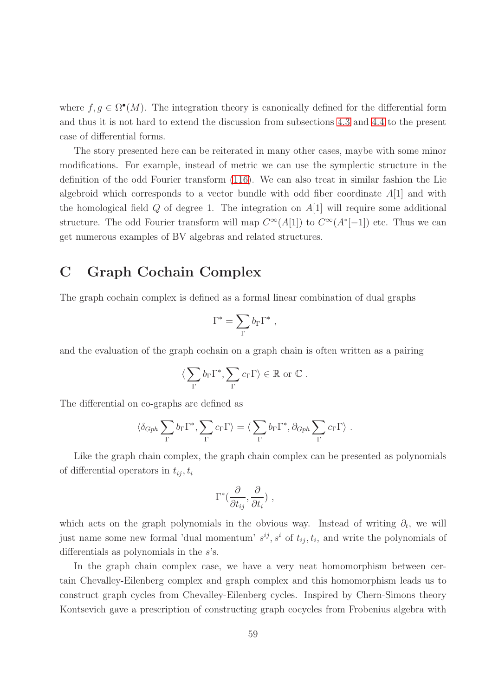where  $f, g \in \Omega^{\bullet}(M)$ . The integration theory is canonically defined for the differential form and thus it is not hard to extend the discussion from subsections [4.3](#page-18-0) and [4.4](#page-22-0) to the present case of differential forms.

The story presented here can be reiterated in many other cases, maybe with some minor modifications. For example, instead of metric we can use the symplectic structure in the definition of the odd Fourier transform [\(116\)](#page-57-1). We can also treat in similar fashion the Lie algebroid which corresponds to a vector bundle with odd fiber coordinate  $A[1]$  and with the homological field  $Q$  of degree 1. The integration on  $A[1]$  will require some additional structure. The odd Fourier transform will map  $C^{\infty}(A[1])$  to  $C^{\infty}(A^*[-1])$  etc. Thus we can get numerous examples of BV algebras and related structures.

# <span id="page-58-0"></span>C Graph Cochain Complex

The graph cochain complex is defined as a formal linear combination of dual graphs

$$
\Gamma^* = \sum_{\Gamma} b_{\Gamma} \Gamma^* \ ,
$$

and the evaluation of the graph cochain on a graph chain is often written as a pairing

$$
\langle \sum_{\Gamma} b_{\Gamma} \Gamma^*, \sum_{\Gamma} c_{\Gamma} \Gamma \rangle \in \mathbb{R}
$$
 or  $\mathbb{C}$ .

The differential on co-graphs are defined as

$$
\langle \delta_{Gph} \sum_{\Gamma} b_{\Gamma} \Gamma^*, \sum_{\Gamma} c_{\Gamma} \Gamma \rangle = \langle \sum_{\Gamma} b_{\Gamma} \Gamma^*, \partial_{Gph} \sum_{\Gamma} c_{\Gamma} \Gamma \rangle.
$$

Like the graph chain complex, the graph chain complex can be presented as polynomials of differential operators in  $t_{ij}$ ,  $t_i$ 

$$
\Gamma^*(\frac{\partial}{\partial t_{ij}}, \frac{\partial}{\partial t_i}) ,
$$

which acts on the graph polynomials in the obvious way. Instead of writing  $\partial_t$ , we will just name some new formal 'dual momentum'  $s^{ij}, s^i$  of  $t_{ij}, t_i$ , and write the polynomials of differentials as polynomials in the s's.

In the graph chain complex case, we have a very neat homomorphism between certain Chevalley-Eilenberg complex and graph complex and this homomorphism leads us to construct graph cycles from Chevalley-Eilenberg cycles. Inspired by Chern-Simons theory Kontsevich gave a prescription of constructing graph cocycles from Frobenius algebra with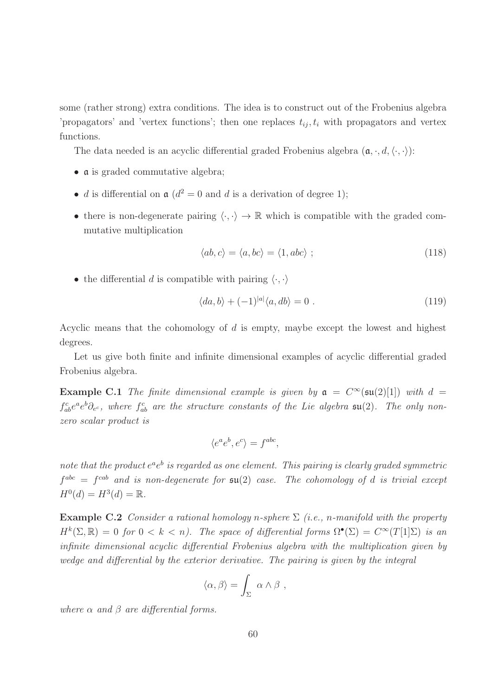some (rather strong) extra conditions. The idea is to construct out of the Frobenius algebra 'propagators' and 'vertex functions'; then one replaces  $t_{ij}$ ,  $t_i$  with propagators and vertex functions.

The data needed is an acyclic differential graded Frobenius algebra  $(\mathfrak{a}, \cdot, d, \langle \cdot, \cdot \rangle)$ :

- a is graded commutative algebra;
- d is differential on  $\mathfrak{a}$  ( $d^2 = 0$  and d is a derivation of degree 1);
- there is non-degenerate pairing  $\langle \cdot, \cdot \rangle \rightarrow \mathbb{R}$  which is compatible with the graded commutative multiplication

<span id="page-59-0"></span>
$$
\langle ab, c \rangle = \langle a, bc \rangle = \langle 1, abc \rangle ; \qquad (118)
$$

• the differential d is compatible with pairing  $\langle \cdot, \cdot \rangle$ 

$$
\langle da, b \rangle + (-1)^{|a|} \langle a, db \rangle = 0 . \tag{119}
$$

Acyclic means that the cohomology of  $d$  is empty, maybe except the lowest and highest degrees.

Let us give both finite and infinite dimensional examples of acyclic differential graded Frobenius algebra.

**Example C.1** The finite dimensional example is given by  $a = C^{\infty}(\mathfrak{su}(2)[1])$  with  $d =$  $f_{ab}^c e^a e^b \partial_{e^c}$ , where  $f_{ab}^c$  are the structure constants of the Lie algebra  $\mathfrak{su}(2)$ . The only non*zero scalar product is*

$$
\langle e^a e^b, e^c \rangle = f^{abc},
$$

note that the product  $e^a e^b$  is regarded as one element. This pairing is clearly graded symmetric  $f^{abc} = f^{cab}$  and is non-degenerate for  $\mathfrak{su}(2)$  case. The cohomology of d is trivial except  $H^0(d) = H^3(d) = \mathbb{R}$ .

**Example C.2** *Consider a rational homology n-sphere*  $\Sigma$  *(i.e., n-manifold with the property*  $H^k(\Sigma, \mathbb{R}) = 0$  for  $0 < k < n$ ). The space of differential forms  $\Omega^{\bullet}(\Sigma) = C^{\infty}(T[1]\Sigma)$  is an *infinite dimensional acyclic differential Frobenius algebra with the multiplication given by wedge and differential by the exterior derivative. The pairing is given by the integral*

$$
\langle \alpha, \beta \rangle = \int_{\Sigma} \alpha \wedge \beta ,
$$

*where* α *and* β *are differential forms.*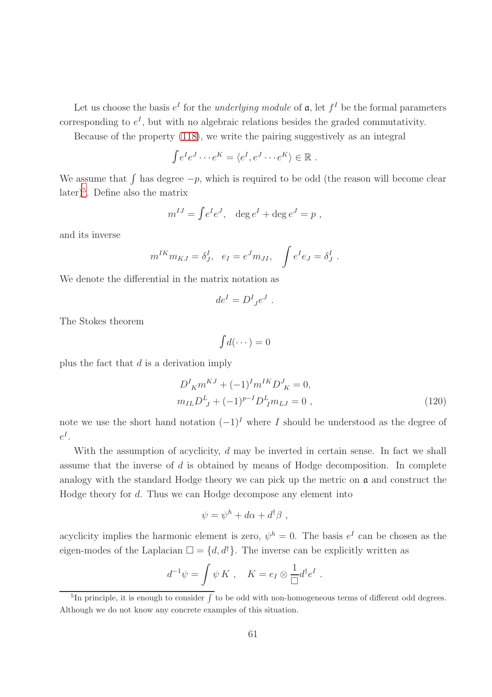Let us choose the basis  $e^I$  for the *underlying module* of  $\mathfrak{a}$ , let  $f^I$  be the formal parameters corresponding to  $e^I$ , but with no algebraic relations besides the graded commutativity.

Because of the property [\(118\)](#page-59-0), we write the pairing suggestively as an integral

$$
\int e^I e^J \cdots e^K = \langle e^I, e^J \cdots e^K \rangle \in \mathbb{R} .
$$

We assume that  $\int$  has degree  $-p$ , which is required to be odd (the reason will become clear later)[5](#page-60-0) . Define also the matrix

$$
m^{IJ} = \int e^I e^J, \quad \deg e^I + \deg e^J = p,
$$

and its inverse

$$
m^{IK}m_{KJ} = \delta^I_J, e_I = e^J m_{JI}, \int e^I e_J = \delta^I_J.
$$

We denote the differential in the matrix notation as

$$
de^I = D^I{}_{J}e^J .
$$

The Stokes theorem

$$
\int d(\cdots) = 0
$$

plus the fact that  $d$  is a derivation imply

<span id="page-60-1"></span>
$$
D^{I}_{K}m^{KJ} + (-1)^{I}m^{IK}D^{J}_{K} = 0,
$$
  
\n
$$
m_{IL}D^{L}_{J} + (-1)^{p-I}D^{L}_{I}m_{LJ} = 0,
$$
\n(120)

note we use the short hand notation  $(-1)^{I}$  where I should be understood as the degree of  $e^I.$ 

With the assumption of acyclicity,  $d$  may be inverted in certain sense. In fact we shall assume that the inverse of d is obtained by means of Hodge decomposition. In complete analogy with the standard Hodge theory we can pick up the metric on  $\alpha$  and construct the Hodge theory for d. Thus we can Hodge decompose any element into

$$
\psi = \psi^h + d\alpha + d^{\dagger} \beta ,
$$

acyclicity implies the harmonic element is zero,  $\psi^h = 0$ . The basis  $e^I$  can be chosen as the eigen-modes of the Laplacian  $\square = \{d, d^{\dagger}\}\.$  The inverse can be explicitly written as

$$
d^{-1}\psi = \int \psi K , \quad K = e_I \otimes \frac{1}{\Box} d^{\dagger} e^I .
$$

<span id="page-60-0"></span><sup>&</sup>lt;sup>5</sup>In principle, it is enough to consider  $\int$  to be odd with non-homogeneous terms of different odd degrees. Although we do not know any concrete examples of this situation.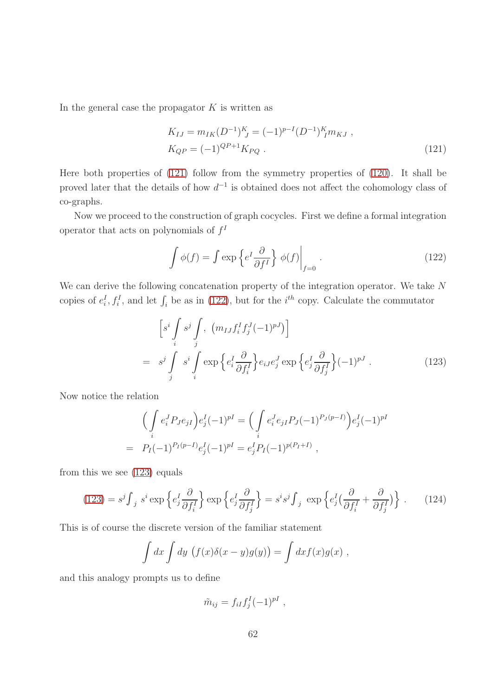In the general case the propagator  $K$  is written as

<span id="page-61-0"></span>
$$
K_{IJ} = m_{IK} (D^{-1})_{\ J}^{K} = (-1)^{p-I} (D^{-1})_{\ I}^{K} m_{KJ} ,
$$
  
\n
$$
K_{QP} = (-1)^{QP+1} K_{PQ} .
$$
\n(121)

Here both properties of [\(121\)](#page-61-0) follow from the symmetry properties of [\(120\)](#page-60-1). It shall be proved later that the details of how  $d^{-1}$  is obtained does not affect the cohomology class of co-graphs.

Now we proceed to the construction of graph cocycles. First we define a formal integration operator that acts on polynomials of  $f<sup>I</sup>$ 

<span id="page-61-1"></span>
$$
\int \phi(f) = \int \exp\left\{e^I \frac{\partial}{\partial f^I}\right\} \phi(f)\Big|_{f=0}.
$$
\n(122)

We can derive the following concatenation property of the integration operator. We take N copies of  $e_i^I, f_i^I$ , and let  $\int_i$  be as in [\(122\)](#page-61-1), but for the *i*<sup>th</sup> copy. Calculate the commutator

<span id="page-61-2"></span>
$$
\[s^i \int_j s^j \int_j, (m_{IJ} f_i^I f_j^J (-1)^{pJ})\] \n= s^j \int_j s^i \int_i \exp\left\{e_i^I \frac{\partial}{\partial f_i^I}\right\} e_{iJ} e_j^J \exp\left\{e_j^I \frac{\partial}{\partial f_j^I}\right\} (-1)^{pJ} .
$$
\n(123)

Now notice the relation

$$
\left(\int_{i} e_i^J P_J e_{jI}\right) e_j^I (-1)^{pI} = \left(\int_{i} e_i^J e_{jI} P_J (-1)^{P_J(p-I)}\right) e_j^I (-1)^{pI}
$$
  
=  $P_I(-1)^{P_I(p-I)} e_j^I (-1)^{pI} = e_j^I P_I (-1)^{p(P_I+I)}$ ,

from this we see [\(123\)](#page-61-2) equals

<span id="page-61-3"></span>
$$
(123) = s^j \int_j s^i \exp\left\{e_j^I \frac{\partial}{\partial f_i^I}\right\} \exp\left\{e_j^I \frac{\partial}{\partial f_j^I}\right\} = s^i s^j \int_j \exp\left\{e_j^I \left(\frac{\partial}{\partial f_i^I} + \frac{\partial}{\partial f_j^I}\right)\right\}.
$$
 (124)

This is of course the discrete version of the familiar statement

$$
\int dx \int dy \, (f(x)\delta(x-y)g(y)) = \int dx f(x)g(x) ,
$$

and this analogy prompts us to define

$$
\tilde{m}_{ij} = f_{iI}f_j^I(-1)^{pI} ,
$$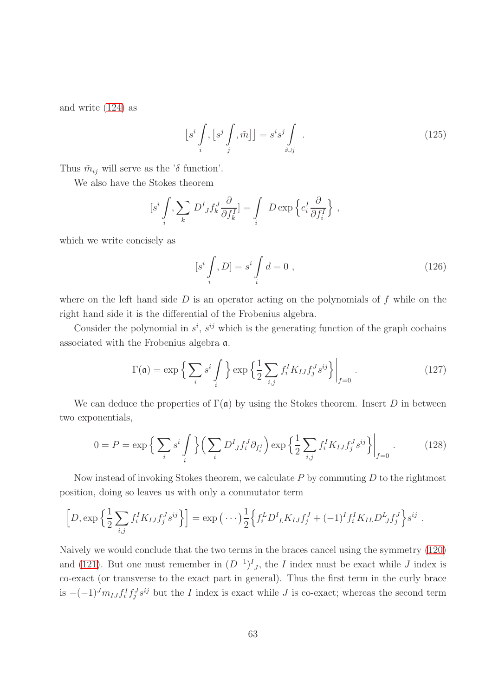and write [\(124\)](#page-61-3) as

<span id="page-62-1"></span>
$$
\[s^i \int \limits_i, [s^j \int \limits_j, \tilde{m}] \] = s^i s^j \int \limits_{i \cup j} . \tag{125}
$$

Thus  $\tilde{m}_{ij}$  will serve as the ' $\delta$  function'.

We also have the Stokes theorem

$$
[s^i \int \limits_i, \sum \limits_k D^I_{J} f^J_k \frac{\partial}{\partial f^I_k}] = \int \limits_i D \exp \left\{ e^I_i \frac{\partial}{\partial f^I_i} \right\},\,
$$

which we write concisely as

$$
[s^i \int \limits_i, D] = s^i \int \limits_i d = 0 , \qquad (126)
$$

where on the left hand side  $D$  is an operator acting on the polynomials of  $f$  while on the right hand side it is the differential of the Frobenius algebra.

Consider the polynomial in  $s^i$ ,  $s^{ij}$  which is the generating function of the graph cochains associated with the Frobenius algebra a.

<span id="page-62-2"></span>
$$
\Gamma(\mathfrak{a}) = \exp\left\{ \sum_{i} s^{i} \int_{i} \right\} \exp\left\{ \frac{1}{2} \sum_{i,j} f_{i}^{I} K_{IJ} f_{j}^{J} s^{ij} \right\} \Big|_{f=0} .
$$
 (127)

We can deduce the properties of  $\Gamma(\mathfrak{a})$  by using the Stokes theorem. Insert D in between two exponentials,

<span id="page-62-0"></span>
$$
0 = P = \exp\left\{\sum_{i} s^{i} \int_{i} \right\} \left( \sum_{i} D^{I} f_{i}^{J} \partial_{f_{i}^{I}} \right) \exp\left\{\frac{1}{2} \sum_{i,j} f_{i}^{I} K_{IJ} f_{j}^{J} s^{ij} \right\} \Big|_{f=0} .
$$
 (128)

Now instead of invoking Stokes theorem, we calculate  $P$  by commuting  $D$  to the rightmost position, doing so leaves us with only a commutator term

$$
\[D, \exp\left\{\frac{1}{2}\sum_{i,j}f_i^I K_{IJ}f_j^J s^{ij}\right\}\] = \exp\left(\cdots\right)\frac{1}{2}\Big\{f_i^L D^I{}_L K_{IJ}f_j^J + (-1)^I f_i^I K_{IL} D^L{}_J f_j^J\Big\} s^{ij}.
$$

Naively we would conclude that the two terms in the braces cancel using the symmetry [\(120\)](#page-60-1) and [\(121\)](#page-61-0). But one must remember in  $(D^{-1})^I_{J}$ , the I index must be exact while J index is co-exact (or transverse to the exact part in general). Thus the first term in the curly brace is  $-(-1)^J m_{IJ} f_i^I f_j^J s^{ij}$  but the *I* index is exact while *J* is co-exact; whereas the second term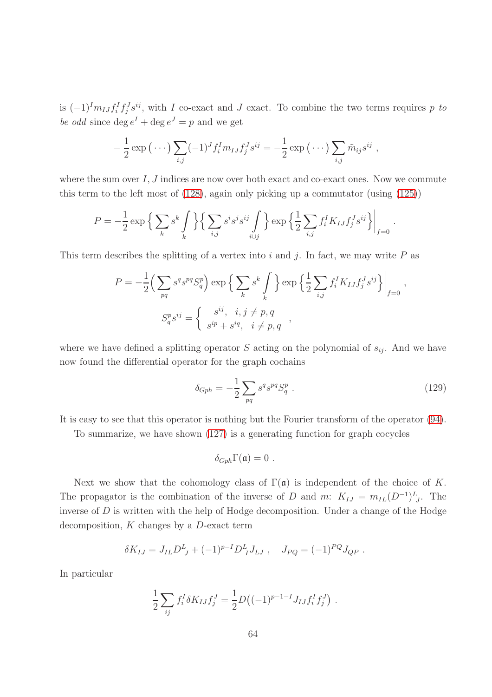is  $(-1)^{I} m_{IJ} f_i^I f_j^J s^{ij}$ , with I co-exact and J exact. To combine the two terms requires p to be odd since  $\deg e^I + \deg e^J = p$  and we get

$$
-\frac{1}{2}\exp\left(\cdots\right)\sum_{i,j}(-1)^Jf_i^I m_{IJ}f_j^J s^{ij} = -\frac{1}{2}\exp\left(\cdots\right)\sum_{i,j}\tilde{m}_{ij}s^{ij},
$$

where the sum over  $I, J$  indices are now over both exact and co-exact ones. Now we commute this term to the left most of [\(128\)](#page-62-0), again only picking up a commutator (using [\(125\)](#page-62-1))

$$
P = -\frac{1}{2} \exp\left\{\sum_{k} s^{k} \int_{k} \right\} \left\{\sum_{i,j} s^{i} s^{j} s^{ij} \int_{i \cup j} \right\} \exp\left\{\frac{1}{2} \sum_{i,j} f_{i}^{I} K_{IJ} f_{j}^{J} s^{ij}\right\}\Big|_{f=0}
$$

This term describes the splitting of a vertex into i and j. In fact, we may write  $P$  as

$$
P = -\frac{1}{2} \left( \sum_{pq} s^q s^{pq} S_q^p \right) \exp \left\{ \sum_k s^k \int_k \right\} \exp \left\{ \frac{1}{2} \sum_{i,j} f_i^I K_{IJ} f_j^J s^{ij} \right\} \Big|_{f=0},
$$
  

$$
S_q^p s^{ij} = \begin{cases} s^{ij}, & i, j \neq p, q \\ s^{ip} + s^{iq}, & i \neq p, q \end{cases}
$$

where we have defined a splitting operator S acting on the polynomial of  $s_{ij}$ . And we have now found the differential operator for the graph cochains

$$
\delta_{Gph} = -\frac{1}{2} \sum_{pq} s^q s^{pq} S_q^p \ . \tag{129}
$$

.

It is easy to see that this operator is nothing but the Fourier transform of the operator [\(94\)](#page-44-2).

To summarize, we have shown [\(127\)](#page-62-2) is a generating function for graph cocycles

$$
\delta_{Gph}\Gamma(\mathfrak{a})=0.
$$

Next we show that the cohomology class of  $\Gamma(\mathfrak{a})$  is independent of the choice of K. The propagator is the combination of the inverse of D and m:  $K_{IJ} = m_{IL}(D^{-1})^L_{J}$ . The inverse of  $D$  is written with the help of Hodge decomposition. Under a change of the Hodge decomposition,  $K$  changes by a  $D$ -exact term

$$
\delta K_{IJ} = J_{IL} D^L_{J} + (-1)^{p-I} D^L_{I} J_{LJ} , \quad J_{PQ} = (-1)^{PQ} J_{QP} .
$$

In particular

$$
\frac{1}{2} \sum_{ij} f_i^I \delta K_{IJ} f_j^J = \frac{1}{2} D \big( (-1)^{p-1-I} J_{IJ} f_i^I f_j^J \big) .
$$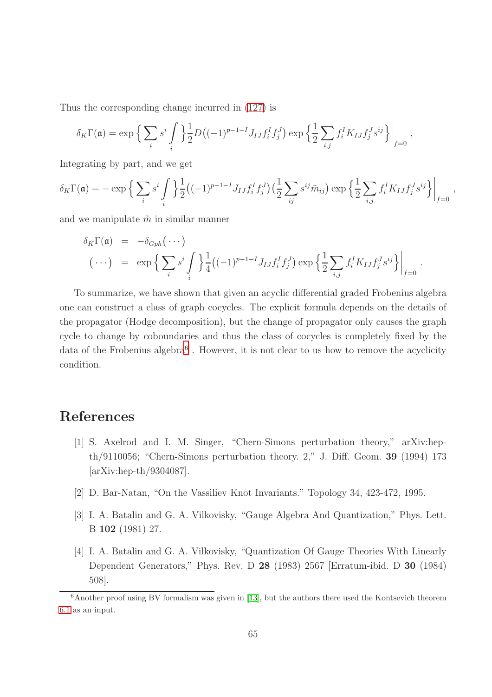Thus the corresponding change incurred in [\(127\)](#page-62-2) is

$$
\delta_K \Gamma(\mathfrak{a}) = \exp \Big\{ \sum_i s^i \int \Big\} \frac{1}{2} D \big( (-1)^{p-1-I} J_{IJ} f_i^I f_j^J \big) \exp \Big\{ \frac{1}{2} \sum_{i,j} f_i^I K_{IJ} f_j^J s^{ij} \Big\} \Big|_{f=0} ,
$$

Integrating by part, and we get

$$
\delta_K \Gamma(\mathfrak{a}) = -\exp\Big\{\sum_i s^i \int\limits_i \Big\} \frac{1}{2} \big((-1)^{p-1-I} J_{IJ} f_i^I f_j^J \big) \Big(\frac{1}{2} \sum_{ij} s^{ij} \tilde{m}_{ij}\Big) \exp\Big\{\frac{1}{2} \sum_{i,j} f_i^I K_{IJ} f_j^J s^{ij}\Big\}\Big|_{f=0} ,
$$

and we manipulate  $\tilde{m}$  in similar manner

$$
\delta_K \Gamma(\mathfrak{a}) = -\delta_{Gph}(\cdots)
$$
\n
$$
(\cdots) = \exp\Big\{\sum_i s^i \int\limits_i \Big\} \frac{1}{4} ((-1)^{p-1-I} J_{IJ} f_i^I f_j^J) \exp\Big\{\frac{1}{2} \sum_{i,j} f_i^I K_{IJ} f_j^J s^{ij}\Big\}\Big|_{f=0}.
$$

To summarize, we have shown that given an acyclic differential graded Frobenius algebra one can construct a class of graph cocycles. The explicit formula depends on the details of the propagator (Hodge decomposition), but the change of propagator only causes the graph cycle to change by coboundaries and thus the class of cocycles is completely fixed by the data of the Frobenius algebra<sup>[6](#page-64-4)</sup>. However, it is not clear to us how to remove the acyclicity condition.

# <span id="page-64-3"></span>References

- [1] S. Axelrod and I. M. Singer, "Chern-Simons perturbation theory," arXiv:hepth/9110056; "Chern-Simons perturbation theory. 2," J. Diff. Geom. 39 (1994) 173 [arXiv:hep-th/9304087].
- <span id="page-64-2"></span><span id="page-64-0"></span>[2] D. Bar-Natan, "On the Vassiliev Knot Invariants." Topology 34, 423-472, 1995.
- <span id="page-64-1"></span>[3] I. A. Batalin and G. A. Vilkovisky, "Gauge Algebra And Quantization," Phys. Lett. B 102 (1981) 27.
- [4] I. A. Batalin and G. A. Vilkovisky, "Quantization Of Gauge Theories With Linearly Dependent Generators," Phys. Rev. D 28 (1983) 2567 [Erratum-ibid. D 30 (1984) 508].

<span id="page-64-4"></span> $6$ Another proof using BV formalism was given in [\[13\]](#page-65-10), but the authors there used the Kontsevich theorem [6.1](#page-43-0) as an input.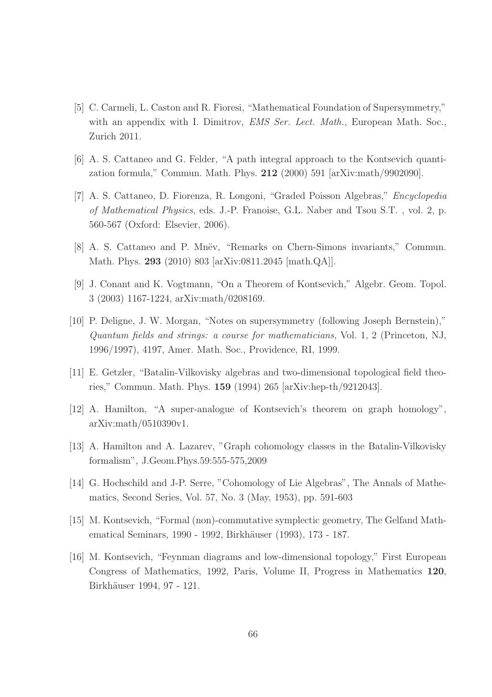- <span id="page-65-1"></span>[5] C. Carmeli, L. Caston and R. Fioresi, "Mathematical Foundation of Supersymmetry," with an appendix with I. Dimitrov, *EMS Ser. Lect. Math.*, European Math. Soc., Zurich 2011.
- <span id="page-65-8"></span><span id="page-65-3"></span>[6] A. S. Cattaneo and G. Felder, "A path integral approach to the Kontsevich quantization formula," Commun. Math. Phys. 212 (2000) 591 [arXiv:math/9902090].
- [7] A. S. Cattaneo, D. Fiorenza, R. Longoni, "Graded Poisson Algebras," *Encyclopedia of Mathematical Physics*, eds. J.-P. Franoise, G.L. Naber and Tsou S.T. , vol. 2, p. 560-567 (Oxford: Elsevier, 2006).
- <span id="page-65-9"></span><span id="page-65-5"></span>[8] A. S. Cattaneo and P. Mnev, "Remarks on Chern-Simons invariants," Commun. Math. Phys. 293 (2010) 803 [arXiv:0811.2045 [math.QA]].
- <span id="page-65-2"></span>[9] J. Conant and K. Vogtmann, "On a Theorem of Kontsevich," Algebr. Geom. Topol. 3 (2003) 1167-1224, arXiv:math/0208169.
- [10] P. Deligne, J. W. Morgan, "Notes on supersymmetry (following Joseph Bernstein)," *Quantum fields and strings: a course for mathematicians*, Vol. 1, 2 (Princeton, NJ, 1996/1997), 4197, Amer. Math. Soc., Providence, RI, 1999.
- <span id="page-65-7"></span><span id="page-65-4"></span>[11] E. Getzler, "Batalin-Vilkovisky algebras and two-dimensional topological field theories," Commun. Math. Phys. 159 (1994) 265 [arXiv:hep-th/9212043].
- <span id="page-65-10"></span>[12] A. Hamilton, "A super-analogue of Kontsevich's theorem on graph homology", arXiv:math/0510390v1.
- [13] A. Hamilton and A. Lazarev, "Graph cohomology classes in the Batalin-Vilkovisky formalism", J.Geom.Phys.59:555-575,2009
- <span id="page-65-6"></span>[14] G. Hochschild and J-P. Serre, "Cohomology of Lie Algebras", The Annals of Mathematics, Second Series, Vol. 57, No. 3 (May, 1953), pp. 591-603
- <span id="page-65-0"></span>[15] M. Kontsevich, "Formal (non)-commutative symplectic geometry, The Gelfand Mathematical Seminars, 1990 - 1992, Birkhäuser (1993), 173 - 187.
- [16] M. Kontsevich, "Feynman diagrams and low-dimensional topology," First European Congress of Mathematics, 1992, Paris, Volume II, Progress in Mathematics 120, Birkhäuser 1994, 97 - 121.